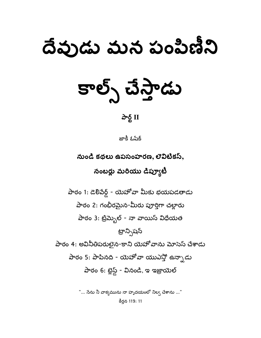# దేవుడు మన పంపిణీని

కాల్స్ చేస్తాడు

## $\frac{\partial}{\partial \xi}$  II

జాకీ ఓషేక్

నుండి కథలు ఉపసంహరణ, లెవిటికస్, నంబర్లు మరియు డిప్యూటీ

పాఠం 1: డెలిపేర్డ్ - యెహోవా మీకు భయపడతాడు పాఠం 2: గంభీరమైన-మీరు పూర్తిగా చల్లారు పాఠం 3: ట్రిమ్బెల్ - నా వాయిస్ విధేయత ట్రాన్నిషన్ పాఠం 4: అవినీతిపరులైన-కాని యెహోవాను మోసెస్ చేశాడు పాఠం 5: పాపినది - యెహోవా యుఎన్తో ఉన్నాడు పాఠం 6: బ్లెస్డ్ - వినండి, ఇ ఇజ్రాయెల్

> "... సేను నీ వాక్యమును నా హృదయంలో నిల్వ చేశాను ..." కీర్తన 119: 11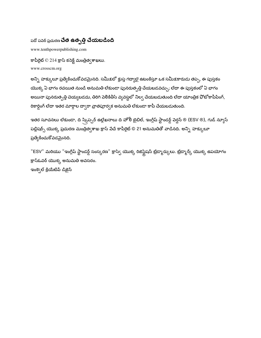## పదో పపెర్ ప్రచురణ **చేత ఉత్పత్తి చేయబడింది**

www.tenthpowerpublishing.com

కాపీరైట్  $\odot$  214 క్రాస్ కనెక్ట్ మంత్రిత్వశాఖలు. www.crosscm.org

అన్ని హక్కులూ ప్రత్యేకించుకోవడమైనది. సమీ<u>క</u>లో క్లుప్త గద్యాలై ఉటంకిస్తూ ఒక సమీక్షకారుడు తప్ప, ఈ పుస్తకం యొక్క ఏ భాగం రచయిత నుండి అనుమతి లేకుండా పునరుత్పత్తి చేయబడవచ్చు; లేదా ఈ పుస్తకంలో ఏ భాగం అయినా పునరుత్పత్తి చెయ్యబడదు, తిరిగి పెలికితీసే వ్యవస్థలో నిల్వ చేయబడుతుంది లేదా యాంత్రిక ఫోటోకాపీపింగ్, రికార్డింగ్ లేదా ఇతర మార్గాల ద్వారా వ్రాతపూర్వక అనుమతి లేకుండా కాపీ చేయబడుతుంది.

ఇతర సూచనలు లేకుండా, ది స్క్రిప్చర్ ఉల్లేఖనాలు ది హోలీ టైబిల్, ఇంగ్లీష్ స్టాండర్డ్ వెర్షన్ ® (ESV ®), గుడ్ న్యూస్ పబ్లిషర్స్ యొక్క ప్రచురణ మంత్రిత్వశాఖ క్రాస్ పేచే కాపీరైట్ © 21 అనుమతితో వాడినది. అన్ని హక్కులూ ప్రత్యేకించుకోవడమైనది.

"ESV" మరియు "ఇంగ్లీష్ స్టాండర్డ్ సంస్కరణ" క్రాస్వే యొక్క రిజిస్ట్రేషన్ ట్రేడ్మార్కులు. ట్రేడ్మార్క్ యొక్క ఉపయోగం క్రాస్ఓవర్ యొక్క అనుమతి అవసరం.

ఇంక్వెల్ క్రియేటివ్ డిజైన్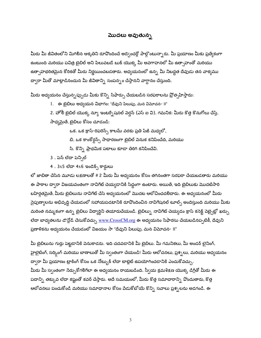#### మొదలు అవుతున్న

మీరు మీ జీవితంలోని మిగిలిన ఆకృతిని రూపొందించే అడ్వెంచర్లో పాల్గొంటున్నారు. మీ ప్రయాణం మీకు ప్రత్యేకంగా ఉంటుంది మరియు పవిత్ర బైబిల్ అని పిలువబడే బుక్ యొక్క మీ అవగాహనలో మీ ఉత్సాహంతో మరియు ఉత్సాహభరితమైన కోరికతో మీరు నిర్ణయించబడతారు. అధ్యయనంలో ఉన్న మీ నిబద్దత దేవుడు తన వాక్యము ద్వారా మీతో మాట్లాడినందున మీ జీవితాన్ని సంపన్నం చేస్తానని వాగ్దానం చేస్తుంది.

మీరు అధ్యయనం చేస్తున్నప్పుడు మీకు కొన్ని సిఫార్సు చేయబడిన సరఫరాలను ప్రోత్సహిస్తారు:

1. ఈ బైబిలు అధ్యయన విభాగం: "దేవుని పిలుపు, మన విమోచన- II"

2. హోలీ బైబిల్ యొక్క న్యూ ఇంటర్సేషనల్ పెర్షన్ (ఎస్ ఐ వి). గమనిక: మీరు కొత్త కొనుగోలు చేస్తే,

సాధ్యమైతే, బైబిలు కోసం చూడండి:

ఒక. ఒక క్రాస్-రిఫరెన్స్ కాలమ్ వరకు ప్రతి పేజీ మధ్యలో,

బి. ఒక కాంకోర్డన్స్ సాధారణంగా బైబిల్ పెనుక కనిపించేది, మరియు

సి. కొన్ని ప్రాథమిక పటాలు కూడా తిరిగి కనిపించేవి.

3 . పెన్ లేదా పెన్సిల్

4 . 3x5 లేదా 4x6 ఇండెక్స్ కార్డులు

లో జాబితా చేసిన మూడు లక్షణాలతో # 2 మీరు మీ అధ్యయనం కోసం తగినంతగా సరఫరా చేయబడతారు మరియు ఈ పాఠాల ద్వారా విజయవంతంగా నావిగేట్ చెయ్యడానికి సిద్ధంగా ఉంటారు. అయితే, ఇది బైబిలుకు మొదటిసారి బహిర్గతమైతే, మీరు బైబిలును నావిగేట్ చేసే అధ్యయనంలో మొదట ఆలోచించదలిిచారు. ఈ అధ్యయనంలో మీరు నైపుణ్యాలను అభివృద్ధి చేయడంలో సహాయపడటానికి రూపొందించిన నావిగేషనల్ టూల్స్ అందిస్తుంది మరియు మీకు మరింత నమ్మకంగా ఉన్న బైబిలు విద్యార్థిని తయారుచేయండి. బైబిల్ను నావిగేట్ చెయ్యడం క్రాస్ కనెక్ట్ వెబ్సైట్లో ఖర్చు లేదా బాధ్యతలను డౌన్లోడ్ చేసుకోవచ్చు <u>www.CrossCM.or</u>g ఈ అధ్యయనం సిఫారసు చేయబడినప్పటికీ, దేవుని ప్రణాళికను అధ్యయనం చేయడంలో విజయం సా "దేవుని పిలుపు, మన విమోచన- II"

మీ బైబిలును గుర్తు పెట్టడానికి వెనుకాడరు. ఇది చదవడానికి మీ బైబిలు. మీ గమనికలు, మీ అండర్ లైనింగ్, హైలైటింగ్, సర్కింగ్ మరియు బాణాలుతో మీ స్వంతంగా చేయండి! మీరు ఆలోచనలు, ప్రశ్నలు, మరియు అధ్యయనం ద్వారా మీ ప్రయాణం ట్రాకింగ్ కోసం ఒక నోట్బుక్ లేదా టాబ్లెట్ ఉపయోగించడానికి ఎంచుకోవచ్చు. మీరు మీ స్వంతంగా సేర్చుకోగలిగేలా ఈ అధ్యయనం రాయబడింది. స్వీయ క్రమశిక్షణ యొక్క డిగ్రీతో మీరు ఈ పదాన్ని తక్కువ లేదా కష్టంతో కవర్ చేస్తారు. అదే సమయంలో, మీరు కొత్త సమాచారాన్ని వొందుతారు, కొత్త ఆలోచనలు పంచుకోండి మరియు సమాధానాల కోసం పేడుకోటోయే కొన్ని సవాలు ప్రశ్నలను అడగండి. ఈ

 $\overline{3}$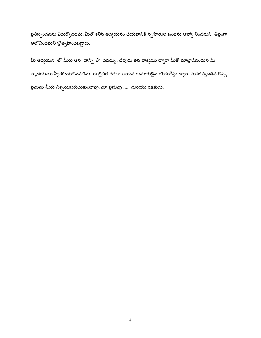ప్రతిస్పందనను ఎదుర్కోవడమే, మీతో కలిసి అధ్యయనం చేయటానికి స్నేహితుల జంటను ఆహ్వా నించమని తీవ్రంగా ఆలోచించమని ప్రోత్సహించబడ్డారు.

మీ అధ్యయన లో మీరు ఆన దాన్ని వొ దవచ్చు. దేవుడు తన వాక్యము ద్వారా మీతో మాట్లాడినందున మీ హృదయము స్వీకరించుకొనవలెను. ఈ బైబిల్ కథలు ఆయన కుమారుడైన యేసుక్రీస్తు ద్వారా మనకివ్వబడిన గొప్ప ప్రేమను మీరు నిశ్చయపరుచుకుంటావు, మా ప్రభువు ..... మరియు రక్షకుడు.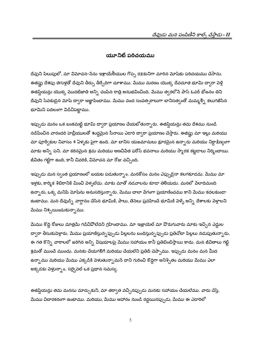#### యూనిట్ పరిచయము

దేవుని పిలుపులో, మా విమోచన-సేను ఇశ్రాయేలీయుల గొప్ప రక్షకునిగా మారిన మోషేకు పరిచయము చేసాను. ఈజిప్షు దేశపు తెగుళ్లతో దేవుని తీర్పు తీర్చేదిగా చూశాము. మేము మరణం యొక్క దేవదూత భూమి ద్వారా పెళ్లి ఈజిప్షియన్లు యొక్క మొదటిజాతి అన్ని చంపిన రాత్రి అనుభవించింది. మేము త్వరలోనే పాస్ ఓవర్ భోజనం తిని దేవుని సేవకుడైన మోషే ద్వారా ఆజ్ఞాపించాము. మేము వంద సంవత్సరాలుగా బానిసత్వంతో మమ్మల్ని కలుగజేసిన భూమిని పదిలంగా విడిచిపెట్టాము.

ఇప్పుడు మనం ఒక బంకమట్టి భూమి ద్వారా ప్రయాణం చేయబోతున్నారు. ఈజిప్షియన్లు తమ దేశము నుండి నడిపించిన వారందరి హెబ్రీయులతో శుద్దమైన సీనాయి ఎడారి ద్వారా ప్రయాణం చేస్తారు. ఈజిప్టు మా ఇల్లు మరియు మా పూర్వీకుల నివాసం 4 ఏళ్ళకు పైగా ఉంది. మా బానిస యజమానులు క్రూరమైన ఉన్నారు మరియు నిర్ధాక్షిణ్యంగా మాకు అన్ని పని. మా కఠినమైన శ్రమ మరియు అణచిపేత ఫరోస్ భవనాలు మరియు స్మారక కట్టడాలు నిర్మించాయి. జీవితం గట్టిగా ఉంది, కానీ చివరికి, విమోచన మా రోజు వచ్చింది.

ఇప్పుడు మన స్వంత ప్రయాణంలో బయట పడుతున్నాం. మనకోసం మనం ఎప్పుడైనా కలగకూడదు. మేము మా ఇళ్లకు, కార్మిక శిబిరానికి మించి పెళ్ళలేదు. మాకు మాతో నడవాలను కూడా తెలియదు. మనలో పేలాదిమంది ఉన్నారు, ఒక్క మనిషి మోషేను అనుసరిస్తున్నారు. మేము చాలా వేగంగా ప్రయాణించము కాని మేము కదలకుండా ఉంటాము. మన దేవుడ్ని *వా*గ్దానం చేసిన భూమికి, పాలు, తేనెలు ప్రవహించే భూమికి వెళ్ళే అన్ని దేశాలకు వెళ్లాలని మేము నిశ్చయించుకున్నాము.

మేము కొద్ది రోజులు మాత్రమే గడిచివోలేదని గ్రహించాము. మా ఇజ్రాయెల్ మా వొరుగువారు మాకు ఇచ్చిన ఎద్దుల ద్వారా తీసుకుపెళ్లారు. మేము ప్రయాణిస్తున్నప్పుడు పిల్లలను బంధిస్తున్నప్పుడు ప్రతిచోటా పిల్లలు నడుపుతున్నారు. ఈ గత కొన్ని వారాలలో జరిగిన అన్ని విషయాలపై మేము సహాయం కానీ ప్రతిబింబిస్తాయి కాదు. మన జీవితాలు గట్టి శ్రమతో ముంచే ముందు. మనకు చేయగలిగే మరియు చేయలేని ప్రతిదీ చెప్పాము. ఇప్పుడు మనం మన మీద ఉన్నాము మరియు మేము ఎక్కడికి వెళుతున్నామనే దాని గురించి కొద్దిగా అనిశ్చితం మరియు మేము ఎలా అక్కడకు పెళ్తున్నాం. సర్వైవల్ ఒక ప్రధాన సమస్య.

ఈజిప్షియన్లు తమ మనసు మార్చుకుని, మా తర్వాత వచ్చినప్పుడు మనకు సహాయం చేయలేము. వారు చేస్తే, మేము విచారకరంగా ఉంటాము. మరియు, మేము ఆహారం నుండి రద్దయినప్పుడు, మేము ఈ ఎడారిలో

5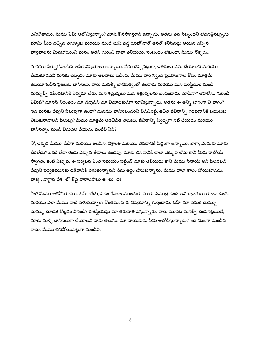చనివోతాము. మేము ఏమి ఆలోచిస్తున్నాం? మోషే కొనసాగిస్తూనే ఉన్నాడు. అతను తన సిబ్బందిని లేవనెత్తినప్పుడు భూమి మీద వచ్చిన తెగుళ్ళకు మరియు మండే బుష్ వద్ద యెహోవాతో తనతో కలిసినట్లు ఆయన చెప్పిన వాస్తవాలను మినహాయించి మనం అతని గురించి చాలా తెలియదు. సంబంధం లేకుండా, మేము నొక్కడం.

మనము సేర్చుకోవలసిన అసేక విషయాలు ఉన్నాయి. సేను చెప్పినట్లుగా, ఇతరులు ఏమి చేయాలని మరియు చేయకూడదని మనకు చెప్పడం మాకు అలవాటు పడింది. మేము వారి స్వంత ప్రయోజనాల కోసం మాత్రమే ఉపయోగించిన ప్రజలకు బానిసలు. వారు మనల్ని బానిసత్వంలో ఉంచారు మరియు మన పరిస్థితుల నుండి మమ్మల్ని రక్షించటానికి ఎవ్వరూ లేరు. మన శత్రువులు మన శత్రువులను బంధించారు. మోషేనా? అహరోను గురించి ఏమిటి? మోసెస్ నిరంతరం మా దేవుడిని మా విమోచకుడిగా సూచిస్తున్నాడు. అతను ఈ అన్ని భాగంగా ఏ భాగం? ఇది మనకు దేవుని పిలుపుగా ఉందా? మనము బానిసలందరినీ విడిచిపెట్టి, ఉచిత జీవితాన్ని గడపడానికి బయటకు తీసుకురావాలనే పిలుపు? మేము మాత్రమే అణచివేత తెలుసు. జీవితాన్ని స్వేచ్ఛగా సెట్ చేయడం మరియు బానిసత్వం నుండి విడుదల చేయడం వంటివి ఏవి?

నో, ఇక్కడ మేము, వేడిగా మరియు అలసిన, విశ్రాంతి మరియు తినడానికి సిద్ధంగా ఉన్నాయి. బాగా, ఎందుకు మాకు చేరలేదు? ఒకటి లేదా రెండు ఎక్కువ తేడాలు ఉండవు. మాకు తినడానికి చాలా ఎక్కువ లేదు కానీ మీరు రాబోయే స్వాగతం కంటే ఎక్కువ. ఈ పర్యటన ఎంత సమయం పట్టిందో మాకు తెలియదు కాని మేము సినాయ్ అని పిలవ<mark>బ</mark>డే దేవుని పర్వతమునకు దక్షిణానికి పెళుతున్నానని సేను అర్థం చేసుకున్నాను. మేము చాలా కాలం వోయకూడదు. వాక్య, వాగ్దాన దేశ లో కొద్ది వారాలపాటు ఉటు ది!

ఏం? మేము ఆగివోయాము. ఓహ్, లేదు, పదం కేవలం ముందుకు మాకు సముద్ర ఉంది అని ర్యాంకులు గుండా ఉంది. మరియు ఎలా మేము దాటి పెళుతున్నాం? కొంతమంది ఈ విషయాన్ని గుర్తించారు. ఓహ్, మా వెనుక దుమ్ము దుమ్ము చూడు! కొట్టడం వినండి? ఈజిప్షియన్లు మా తరువాత వస్తున్నారు. వారు మొదట మనల్ని చంపనట్లయితే, మాకు మళ్ళీ బానిసలుగా చేయాలని నాకు తెలుసు. మా నాయకుడు ఏమి ఆలోచిస్తున్నాడు? ఇది నిజంగా మంచిది కాదు. మేము చనిపోయినట్లుగా మంచివి.

6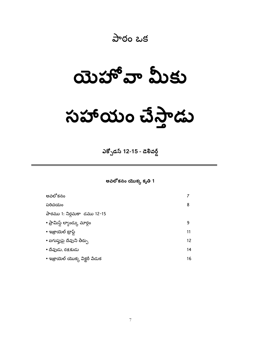## పాఠం ఒక

**ಯೆಸ್'ವ್ ಮಿకು** 

# $\omega$ పోయం చేస్తాడు

ఎక్బోడస్ 12-15 - డెలివర్డ్

అవలోకనం యొక్క కృతి 1

| అవలోకనం                         |                 |
|---------------------------------|-----------------|
| పరిచయం                          | 8               |
| పాఠము 1: నిర్గమకా డము 12-15     |                 |
| • ప్రామిస్డ్ ల్యాండ్కు మార్గం   | ٩               |
| • ఇజ్రాయెల్ ట్రాఫ్డ్            | 11              |
| • ఐగుఫ్తుపై దేవుని తీర్పు       | 12 <sup>2</sup> |
| • దేవుడు, రక్షకుడు              | 14              |
| • ఇజ్రాయెల్ యొక్క విక్టరీ పేడుక | 16              |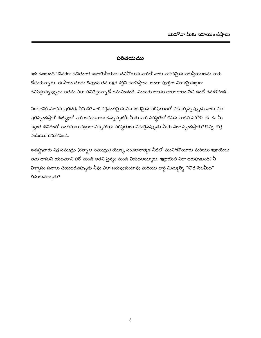#### పరిచయము

ఇది ఉంటుంది? చివరగా ఉచితంగా! ఇశ్రాయేలీయుల చనిపోయిన వారితో వారు నాశనమైన ఐగుప్తీయులను వారు దోచుకున్నారు. ఈ పాఠం చూడు దేవుడు తన రక్షక శక్తిని చూపిస్తాడు. అంతా పూర్తిగా నిరాశమైనట్లుగా కనిపిస్తున్నప్పుడు అతను ఎలా పనిచేస్తున్నాడో గమనించండి. ఎందుకు అతను చాలా కాలం పేచి ఉందో కనుగొనండి.

నిరాశానికి మానవ ప్రతిచర్య ఏమిటి? వారి శక్తివంతమైన వినాశకరమైన పరిస్థితులతో ఎదుర్కొన్నప్పుడు వారు ఎలా ప్రతిస్పందిస్తారో ఈజిఫ్టులో వారి అనుభవాలు ఉన్నప్పటికీ. మీరు వారి పరిస్థితిలో చేసిన వాటిని పరిశీలి చ డి. మీ స్వంత జీవితంలో అంతమయినట్లుగా నిస్సహాయ పరిస్థితులు ఎదురైనప్పుడు మీరు ఎలా స్పందిస్తారు? కొన్ని కొత్త ఎంపికలు కనుగొనండి.

ఈజిప్టువారు ఎర్ర సముద్రం (రత్నాల సముద్రం) యొక్క సంచలనాత్మక నీటిలో మునిగిపోయారు మరియు ఇశ్రాయేలు తమ దాసుని యజమాని ఫరో నుండి అతని సైన్యం నుండి విడుదలయ్యారు. ఇజ్రాయెల్ ఎలా జరుపుకుంది? నీ విశ్వాసం సవాలు చేయబడినప్పుడు నీవు ఎలా జరుపుకుంటావు మరియు లార్డ్ మిమ్మల్ని "పొడి సేలమీద" తీసుకువచ్చాడు?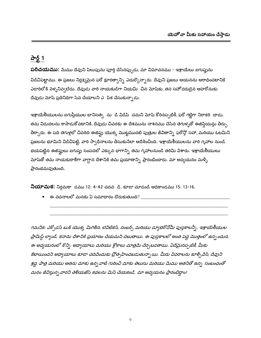## పార్ట్ 1

**పరిచయము:** మేము దేవుని పిలుపును పూర్తి చేసినప్పుడు, మా విమోచనము - ఇశ్రాయేలు ఐగుప్తును విడిచిపెట్టాము. ఈ ప్రజలు నిర్లక్ష్మమైన ఫరో క్రూరత్వాన్ని ఎదుర్కొన్నారు. దేవుని ప్రజలు ఆయనను ఆరాధించటానికి ఎడారిలోకి పెళ్ళనివ్వలేదు. దేవుడు వారి నాయకుడిగా నియమి చిన మోషేకు, తన సహోదరుడైన అహరోనుకు దేవుడు మోషే ప్రతినిధిగా సేవ చేయాలని ఎిపిక చేసుకున్నాడు.

ఇశ్రాయేలీయులను ఐగుప్తీయుల బానిసత్వ ను డి విడిపి చమని మోష్ కోరినప్పటికీ, ఫరో గట్టిగా నిరాకరి చాడు. తమ విడుదలను కాపాడుకోవటానికి, దేవుడు చివరకు ఈ దేశమును నాశనము చేసిన తెగుళ్ళతో ఈజిప్షియన్లు తీర్పు తీర్చారు. ఈ పది తెగుళ్లలో చివరిది ఈజిఫ్టు యొక్క మొట్టమొదటి పుత్రుల జీవితాన్ని ఫరోస్తో సహా, మరియు ఓటమిని ప్రజలను భూమిని విడిచిపెట్టి, వారి స్వాధీనాలను తీసుకునేలా ఆదేశించింది. ఇశ్రాయేలీయులను వారి గృహాల నుండి భయపెట్టిన ఈజిఫ్టులు ఐగుప్తు సంపదలో ఎక్కువ భాగాన్ని తమ గృహాలనుండి తరిమి పేశారు. ఇశ్రాయేలీయులు మోషేతో తమ నాయకురాలిగా వాగ్దాన దేశానికి తమ ప్రయాణాన్ని ప్రారంభించారు. మా అధ్యయనం మళ్ళీ ప్రారంభమవుతుంది.

**నియామక:** నిర్గమకా డము 12: 4-42 చదవ డి. కూడా చూడండి ఆదికాండము 15: 13-16.

 $\bullet$   $\,\,$  ఈ వచనాలలో మనకు ఏ సమాచారం దొరుకుతుంది? \_\_\_\_

గమనిక: ఎక్సోడస్ బుక్ యొక్క మిగిలిన, లెవిటికస్, నంబర్స్ మరియు డ్యూటెరోనోమీ పుస్తకాలన్నీ, ఇశ్రాయేలీయుల ప్రామిస్ట్ ల్యాండ్, కనాను దేశానికి ప్రయాణం చేయమని చెబుతాయి. ఈ పుస్తకాలలో అంత పెద్ద మొత్తంలో ఉన్న ందున, ఈ అధ్యయనంలో కొన్ని అధ్యాయాలు మరియు శ్లోకాలు మాత్రమే చేర్చబడతాయి. ఏదేమైనప్పటికీ, మీకు కేటాయించని అధ్యాయాలు కూడా చదివేందుకు ప్రోత్సహించబడుతున్నా యి. మీరు వివరాలను కూర్చివేసి, దేవుని శ్రద్ధ, పాత్ర మరియు అతను మాకు ఉన్న వాటి గురించి మాకు తెలుసు మరియు మేము అతనితో ఉన్న సంబంధంతో మనం జీవిస్తున్న వారని తెలియజేసే కథలను మిస్ చేయకండి. మా అధ్యయనం ప్రారంభిద్ధాం!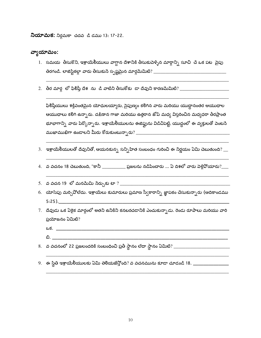**నియామక:** నిర్గమకా చదవ డి డము 13: 17-22.

#### వ్వాయామం:

- 1. సమయ తీసుకొని, ఇశ్రాయేలీయులు వాగ్దాన దేశానికి తీసుకువెళ్ళిన మార్గాన్ని సూచి చే ఒక పట వైపు
- 

ఫిరిష్తీయులు శక్తివంతమైన యోధులయ్యారు, సైపుణ్యం కలిగిన వారు మరియు యుద్ధానంతర ఆయుధాల ఆయుధాలు కలిగి ఉన్నారు. దక్షిణాన గాజా మరియు ఉత్తరాన జోప్ మధ్య విస్తరించిన మధ్యధరా తీరప్రాంత భూభాగాన్ని వారు పేర్కొన్నారు. ఇశ్రాయేలీయులను ఈజిప్టును విడిచిపెట్టి, యుద్ధంలో ఈ వ్యక్తులతో వెంటనే 

- 3. ఇశ్రాయేలీయులతో దేవునితో, ఆయనకున్న సన్నిహిత సంబంధం గురించి ఈ నిర్ణయం ఏమి చెబుతుంది?  $\_\_$
- 4. వ వచనం 18 చెబుతుంది, "కానీ \_\_\_\_\_\_\_\_\_\_\_ ప్రజలను నడిపించారు ... ఏ దిశలో వారు పెళ్లిపోయారు?\_\_\_\_
- 
- 6. యోసేపు మర్చివోలేదు. ఇశ్రాయేలు కుమారులు ప్రమాణ స్వీకారాన్ని జ్ఞాపకం చేసుకున్నారు (ఆదికాండము  $5:25$ ).
- 7. దేవుడు ఒక ఏకైక మార్గంలో అతని ఉనికిని కనబరచడానికి ఎంచుకున్నాడు. రెండు రూపాలు మరియు వారి ప్రయోజనం ఏమిటి?
	- $25.$
	- ඩ. $\overline{\phantom{a}}$
- 
-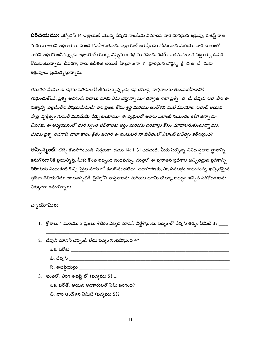**పరిచయము:** ఎక్సోడస్ 14 ఇజ్రాయెల్ యొక్క దేవుని నాటకీయ విమోచన వారి కఠినమైన శత్రువు, ఈజిప్ట్ రాజు మరియు అతని అధికారులు నుండి కొనసాగుతుంది. ఇజ్రాయెల్ ఐగుప్తీలను దోచుకుంది మరియు వారి దుఃఖంతో వారిని అధిగమించినప్పుడు ఇజ్రాయెల్ యొక్క నిష్కమణ కథ ముగిసింది. రీడర్ ఉపశమనం ఒక నిట్టూర్పు ఊపిరి కోరుకుంటున్నారు. చివరగా, వారు ఉచితం! అయితే, హిబ్రూ జనా గ $\sigma$  క్రూరమైన దౌర్జన్య క్రి ద $\sigma$ ఉ డే దుకు శత్రువులు ప్రయత్నిస్తున్నారు.

గమనిక: మేము ఈ కథను పరిగణలోకి తీసుకున్న ప్పుడు, కథ యొక్క వాస్తవాలను తెలుసుకోవడానికి గుర్తుంచుకోండి. ప్రశ్న అడగండి: పదాలు మాకు ఏమి చెప్తున్నా యి? తర్వాత, ఇలా ప్రశ్ని చ డి: దేవుని గురి చిన ఈ సత్యాన్ని వెల్లడించిన విషయమేమిటి? తన ప్రజల కోసం శ్రద్ధ మరియు ఆందోళన వంటి విషయాల గురించి ఆయన పాత్ర, వ్యక్తిత్వం గురించి మనమేమి నేర్చుకుంటాము? ఈ వ్యక్తులతో అతను ఎలాంటి సంబంధం కలిగి ఉన్నాడు? చివరకు, ఈ అధ్యయనంలో మన స్వంత జీవితాలకు అర్ధం మరియు దరఖాస్తు కోసం చూడాలనుకుంటున్నా ము. మేము ప్రశ్న అడగాలి: చాలా కాలం క్రితం జరిగిన ఈ సంఘటన నా జీవితంలో ఎలాంటి ఔచిత్యం కలిగివుంది?

**అస్పేన్మెంట్:** లెట్స్ కొనసాగించండి. నిర్గమకా డము 14: 1-31 చదవండి. మీరు పేర్కొన్న వివిధ స్థలాల స్థానాన్ని కనుగొనడానికి ప్రయత్నిస్తే, మీకు కొంత ఇబ్బంది ఉండవచ్చు. చరిత్రలో ఈ పురాతన ప్రదేశాల ఖచ్చితమైన ప్రదేశాన్ని తెలియదు ఎందుకంటే కొన్ని సైట్లు మాప్ లో కనుగొనబడలేదు. ఉదాహరణకు, ఎర్ర సముద్రం దాటుతున్న ఖచ్చితమైన ప్రదేశం తెలియలేదు; అయినప్పటికీ, బైబిల్లోని వాస్తవాలను మరియు భూమి యొక్క అబద్ధం ఇచ్చిన పరిశోధకులను ఎక్కువగా కనుగొన్నారు.

## వ్యాయామం:

1.  $\,$  శ్లోకాలు 1 మరియు 2 ప్రజలు శిబిరం ఎక్కడ మోసెస్ నిర్దేశిస్తుంది. పద్యం లో దేవుని తర్కం ఏమిటి 3 $?$  \_\_\_\_

| 2. దేవుని మోసెస్ చెప్పండి లేదు పద్యం సంభవిస్తుంది 4? |
|------------------------------------------------------|
| ఒక. ఫరోకు                                            |
| బి. దేవుని ______                                    |
| సి. ఈజిషియన్లు ____                                  |
| ఇంతలో, తిరిగి ఈజిప్ట్ లో (పద్యము 5)                  |
| ఒక. ఫరోతో, ఆయన అధికారులతో ఏమి జరిగింది? $\,$         |
| బి. వారి ఆందోళన ఏమిటి (పద్యము 5)? _                  |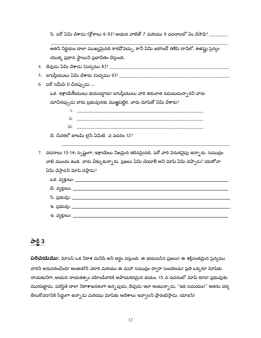సి. ఫరో ఏమి చేశాడు (శ్లోకాలు 6-9)? ఆయన వాటితో 7 మరియు 9 వచనాలలో ఏం చేసావ్? \_\_\_\_\_\_\_\_\_

| అతని నిర్ణయం చాలా ముఖ్యమైనది కాకవోవచ్చు, కానీ ఏమి జరిగిందో తెలిపే దానిలో, ఈజిప్లు సైన్యం      |
|-----------------------------------------------------------------------------------------------|
| యొక్క ప్రధాన స్థాయిని ప్రభావితం చేస్తుంది.                                                    |
|                                                                                               |
|                                                                                               |
|                                                                                               |
| $6.$ ఫరో సమీపి 0 చినప్పుడు                                                                    |
| ఒక. ఇశ్రాయేలీయులు భయపడ్డారు! ఐగుప్తీయులు వారి తరువాత నడుచుచున్నారని వారు                      |
| చూచినప్పుడు వారు ప్రభువునకు మొఱ్ఱపెట్టిరి. వారు మోషేతో ఏమి చేశారు?                            |
| i.                                                                                            |
| ii.                                                                                           |
| iii.                                                                                          |
| బి. చివరిలో బాటమ్ లైన్ ఏమిటి  వ వచనం 12?                                                      |
|                                                                                               |
| 7.   వచనాలు 13-14: స్పష్టంగా, ఇశ్రాయేలు నిజమైన కటినమైనది. ఫరో వారి వెనుకవైపు ఉన్నారు. సముద్రం |
| వాటి ముందు ఉంది. వారు చిక్కుకున్నారు. ప్రజలు ఏమి చేయాలి అని మోష ఏమి చెప్పాడు? యెహోవా          |
| ఏమి చేస్తాడని మోష చెప్తాడు?                                                                   |
| ఒక. వ్యక్తులు: ________________                                                               |
| బి. వ్యక్తులు: __________________________________                                             |
| సి. ప్రభువు: ____                                                                             |
|                                                                                               |

## పార్ట్  $3$

**పరిచయము:** మోసెస్ ఒక నిరాశ మనిషి అని అర్ధం వస్తుంది. ఈ భయపడిన ప్రజలు! ఈ శక్తివంతమైన సైన్యము వారిని అనుసరించింది! అంతులేని ఎడారి మరియు ఈ మహా సముద్రం ద్వారా సంచరించు! ప్రతి ఒక్కరూ మోషేకు నాయకునిగా, ఆయన నాయకత్వం వహించేవారికి అపాయకరమైన భయం. 15 వ వచనంలో మోషే కూడా ప్రభువుకు మొరపెట్టాడు. పరిస్థితి చాలా నిరాశాజనకంగా ఉన్నపుడు, దేవుడు ఇలా అంటున్నాడు, "ఇది సమయం!" అతను చర్య తీసుకోవడానికి సిద్ధంగా ఉన్నాడు మరియు మోషేకు ఆదేశాలు ఇవ్వాలని ప్రారంభిస్తాడు. యాక్షన్!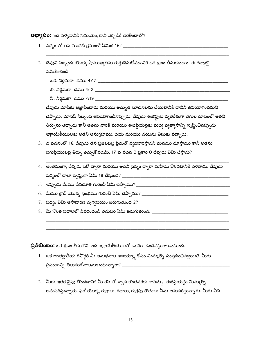**అభ్యాసం:** ఇది పెళ్ళడానికి సమయం, కానీ ఎక్కడికి తరలించాలో?

- 
- 2. దేవుని సిబ్బంది యొక్క ప్రాముఖ్యతను గుర్తుచేసుకోవడానికి ఒక క్షణం తీసుకుందాం. ఈ గద్యాలై సమీకించండి:
	-
	-
	-

దేవుడు మోషేకు ఆజ్ఞాపించాడు మరియు అద్భుత సూచనలను చేయటానికి దానిని ఉపయోగించమని చెప్పాడు. మోసెస్ సిబ్బంది ఉపయోగించినప్పుడు, దేవుడు ఈజిఫ్టుకు వ్యతిరేకంగా తెగుల రూపంలో అతని .<br>తీర్పును తెచ్చాడు కానీ అతను వారికి మరియు ఈజిప్షియన్లకు మధ్య వ్యత్యాసాన్ని సృష్టించినప్పుడు ఇశ్రాయేలీయులకు అతని అనుగ్రహము, దయ మరియు దయను తీసుకు వచ్చాడు.

- 3. వ వచనంలో 16, దేవుడు తన ప్రజలపట్ల ప్రేమతో వ్యవహరిస్తాడని మనము చూస్తాము కానీ అతను
- 4. అంతిమంగా, దేవుడు ఫరో ద్వారా మరియు అతని సైన్యం ద్వారా మహిమ వొందటానికి పెళతాడు. దేవుడు

- 
- 8. మీ నొంత పదాలలో వివరించండి తదుపరి ఏమి జరుగుతుంది: \_\_\_\_\_\_\_\_\_\_\_\_\_\_\_\_\_\_\_\_\_\_\_\_\_\_\_\_\_

**ప్రతిబింబం:** ఒక క్షణం తీసుకొని, అది ఇశ్రాయేలీయులలో ఒకరిగా ఉండినట్లుగా ఉంటుంది.

- 1. ఒక అంతర్జాతీయ రివోర్టర్ మీ అనుభవాల ఇంటర్వ్యూ కోసం మిమ్మల్ని సంప్రదించినట్లయితే, మీరు
- 2. మీరు ఇతర వైపు పొందడానికి మీ రష్ లో శా్స కొంతవరకు కావచ్చు. ఈజిప్షియన్లు మిమ్మల్ని అనుసరిస్తున్నారు. ఫరో యొక్క గుర్రాలు, రథాలు, గుర్రపు రౌతులు నీను అనుసరిస్తున్నారు. మీరు నీటి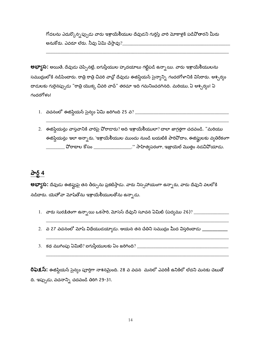గోడలను ఎదుర్కొన్నప్పుడు వారు ఇశ్రాయేలీయుల దేవుడని గుర్తిస్తే వారి మోకాళ్లకి పడిపోతారని మీరు 

**అభ్యాస:** అయితే, దేవుడు చెప్పినట్లే, ఐగుప్తీయుల హృదయాలు గట్టిపడి ఉన్నాయి. వారు ఇశ్రాయే<mark>లీ</mark>యులను సముద్రంలోకి నడిపించారు. రాత్రి రాత్రి చివరి వాచ్లో దేవుడు ఈజిప్షియన్ సైన్యాన్ని గందరగోళానికి విసిరారు. ఆశ్చర్యం దాడులకు గురైనప్పుడు "రాత్రి యొక్క చివరి వాచ్" తరచూ ఇది గమనించదగినది. మరియు, ఏ ఆశ్చర్యం! ఏ గందరగోళం!

- 
- 2. ఈజిషియన్లు వాస్తవానికి వారిపై పోరాడారు? అది ఇశ్రాయేలీయులా? చాలా జాగ్రత్తగా చదవండి. "మరియు ఈజిప్షియన్లు ఇలా అన్నారు, 'ఇశ్రాయేలీయుల ముందు నుండి బయటికి పారివోదాం, ఈజిప్షులకు వ్యతిరేకంగా \_\_\_\_\_\_\_\_\_ వోరాటాల కోసం \_\_\_\_\_\_\_\_\_\_\_\_\_\_\_\_\_\_\_.'" సాహిత్యపరంగా, ఇజ్రాయెల్ మొత్తం నడచివోయాడు.

## పార్ట్ 4

**అభ్యాస:** దేవుడు ఈజిప్టుపై తన తీర్పును ప్రకటిస్తాడు. వారు నిస్సహాయంగా ఉన్నారు, వారు దేవుని వలలోకి నడిదారు. యెహోవా మోషితోను ఇశ్రాయేలీయులతోను ఉన్నాడు.

- 
- 
- 3. కథ ముగింపు ఏమిటి? ఐగుప్తీయులకు ఏం జరిగింది? \_\_\_\_\_\_\_\_\_\_\_\_\_\_\_\_\_\_\_\_\_\_\_\_\_\_\_\_\_\_\_\_\_\_

రిఫెక్షస్: ఈజిష్షియన్ సైన్యం పూర్తిగా నాశనమైంది. 28 వ వచన మనలో ఎవరికీ ఉనికిలో లేదని మనకు చెబుతో ది. ఇప్పుడు, వచనాన్ని చదవండి తిరిగి 29-31.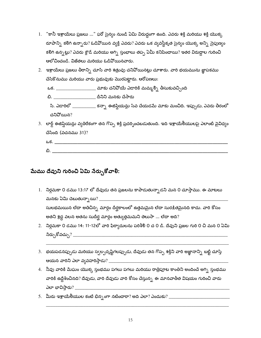- 1. "కానీ ఇశ్రాయేలు ప్రజలు ..." ఫరో సైన్యం నుండి ఏమి విరుద్ధంగా ఉంది. ఎవరు శక్తి మరియు శక్తి యొక్క రూపాన్ని కలిగి ఉన్నారు? ఓడివోయిన వ్యక్తి ఎవరు? ఎవరు ఒక వ్యవస్థీకృత సైన్యం యొక్క అన్ని సైపుణ్యం కలిగి ఉన్నట్లు? ఎవరు క్లౌడ్ మరియు అగ్ని స్తంభాలు తప్ప ఏమీ కనిపించాయి? ఇతర విరుద్దాల గురించి ఆలోచించండి. విజేతలు మరియు ఓడిపోయినవారు.
- 2. ఇశ్రాయేలు ప్రజలు తీరాన్ని చూసి వారి శత్రువు చనివోయినట్లు చూశారు. వారి భయమును జ్ఞాపకము చేసికొనుము మరియు వారు ప్రభువుకు మొరపెట్టారు. ఆరోపణలు:

ఒక. \_\_\_\_\_\_\_\_\_\_\_\_\_\_\_\_\_\_\_ మాకు చనిపోయే ఎడారికి మమ్మల్ని తీసుకువచ్చింది

బి. \_\_\_\_\_\_\_\_\_\_\_\_\_\_\_\_\_\_\_\_\_\_\_ దీనిని మనకు చేసారు

సి. ఎడారిలో \_\_\_\_\_\_\_\_\_\_\_ కన్నా ఈజిప్షియన్లు సేవ చేయడమే మాకు మంచిది. ఇప్పుడు, ఎవరు తీరంలో చనిపోయిన?

3. లార్డ్ ఈజిప్షియన్లు వ్యతిరేకంగా తన గొప్ప శక్తి ప్రదర్భించబడుతుంది. ఇది ఇశ్రాయేలీయులపై ఎలాంటి వైవిద్యం చేసింది (వచనము 31)?

| ఒక |         |
|----|---------|
| ಬಿ | _______ |

## మేము దేవుని గురించి ఏమి నేర్చుకోవాలి:

- 1. నిర్గమకా 0 డము 13:17 లో దేవుడు తన ప్రజలను కాపాడుతున్నాడని మన 0 చూస్తాము. ఈ మాటలు మనకు ఏమి చెబుతున్నాయి? \_\_\_\_\_\_ సులభమయిన లేదా అతిచిన్న మార్గం దీర్ఘకాలంలో ఉత్తమమైన లేదా సుర<u>కి</u>తమైనది కాదు. వారి కోసం అతని శ్రద్ధ వలన అతను సుదీర్ఘ మార్గం అత్యుత్తమమని తెలుసా ... లేదా అది?
- 2. నిర్ధమకా 0 డము 14: 11-12లో వారి ఫిర్యాదులను పరిశీలి 0 చ 0 డి. దేవుని ప్రజల గురి 0 చి మన 0 ఏమి నేర్చుకోవచ్చు? \_\_\_\_\_\_\_\_\_\_\_\_\_\_\_\_\_\_\_
- 3. భయపడనప్పుడు మరియు స్వల్పదృష్టిగలప్పుడు, దేవుడు తన గొప్ప శక్తిని వారి అజ్ఞానాన్ని బట్టి చూస్తే
- 4. నీవు వారికి మేఘం యొక్క స్తంభము పగలు పగలు మరియు రాత్రిపూట కాంతిని అందించే అగ్ని స్తంభము వారికి ఉద్దేశించినది? దేవుడు, వారి దేవుడు వారి కోసం చేస్తున్న ఈ మానవాతీత విషయం గురించి వారు
-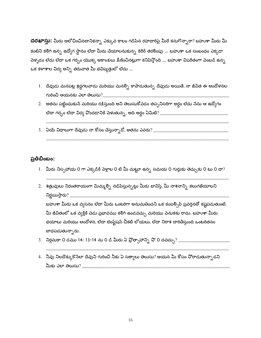**దరఖాస్తు:** మీరు ఆలోచించినదానికన్నా ఎక్కువ కాలం గడిపిన రహదారిపై మీరే కనుగొన్నారా? బహుశా మీరు మీ కంటిని కలిగి ఉన్న ఉద్యోగ స్థానం లేదా మీరు చేయాలనుకున్న కెరీర్ తరలింపు … బహుశా ఒక సంబంధం ఎక్కడా పెళ్ళడం లేదు లేదా ఒక గర్బం యొక్క ఆకాంక్షలు క్షీణించినట్లుగా కనిపిస్తోంది … బహుశా విపరీతంగా పెంబడి ఉన్న ఒక కళాశాల విద్య అన్ని తరువాత మీ భవిష్యత్తులో లేదు …

- $1.$  దేవుడు మనపట్ల శ్రద్ధగలవాడు మరియు మనల్ని కాపాడుతున్న దేవుడు అయితే, నా జీవిత ఈ ఆందోళనల గురించి ఆయనకు ఎలా తెలుసు?
- 2. అతను పట్టించుకునే మరియు రక్షిస్తుంది అని తెలుసుకోవడం తప్పనిసరిగా అర్థం లేదు నేను ఆ ఉద్యోగం లేదా గర్భం లేదా విద్య పొందడానికి పెళుతున్న, అది అర్థం ఏమిటి? \_\_\_\_\_
- 

#### ప్రతిబింబం:

- 1. మీరు నిస్సహాయ 0 గా ఎక్కడికి పెళ్లాల 0 టీ మీ చుట్టూ ఉన్న సమయ 0 గుర్తుకు తెచ్చుకు 0 టు 0 దా?
- 2. శత్రువులు నిరంతరాయంగా మిమ్మల్ని నడిపిస్తున్నట్లు మీరు భావిస్తే, మీ నాశనాన్ని కలుగజేయాలని నిర్ణయిస్తారు?  $\_\$

బహుశా మీరు ఒక వ్వసనం లేదా మీరు ఒంటరిగా అనుమతించని ఒక కంపల్సివ్ ప్రవర్తనతో కష్టపడుతుంటే. మీ జీవితంలో ఒక వ్యక్తికి చెడు ప్రభావము కలిగి ఉండవచ్చు మరియు పెనుకకు రాదు. బహుశా మీరు భయాలు మరియు ఆందోళన, లేదా టెంప్టేషన్ చీకటి లోయలు, లేదా నిరాశ దారితీస్తుంది ఒంటరితనం బాధపడుతున్నారు.

- 3. నిర్గమకా 0 డము 14: 13-14 ను 0 డి మీరు ఏ ప్రోత్సాహాన్ని పొ 0 దవచ్చు? \_\_\_\_\_
- 4. నీవు నిలదొక్కుకొనేలా దేవుని గురించి నీకు ఏ సత్యాలు తెలుసు? ఆయన మీ కోసం పోరాడుతున్నాడని మీకు ఎలా తెలుసు?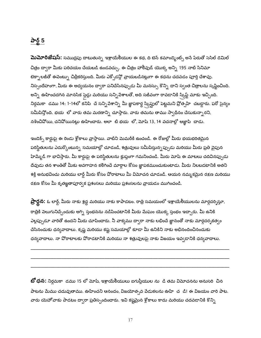## పార్ట్ 5

**మెమోరిజేషస్:** సముద్రపు దాటుతున్న ఇశ్రాయేలీయుల ఈ కథ, ది టెన్ కమాండ్మెంట్స్ అనే పేరుతో సెసిల్ డెమిల్ చిత్రం ద్వారా మీకు పరిచయం చేయబడి ఉండవచ్చు. ఈ చిత్రం హాలీవుడ్ యొక్క అన్ని 195 నాటి సినిమా టెక్నాలజీతో ఈపెంట్ను చిత్రీకరిస్తుంది. మీరు ఎక్సోడన్లో వ్రాయబడినట్లుగా ఈ కధను చదవడం పూర్తి చేశావు. నిస్సందేహంగా, మీరు ఈ అద్యయనం ద్వారా పనిచేసినప్పుడు మీ మనస్సు కొన్ని దాని స్వంత చిత్రాలను సృష్టించింది. అన్ని ఊహించదగిన మానసిక స్లెడ్లు మరియు సన్నిపేశాలతో, అది సజీవంగా రావడానికి స్క్రిప్ట్ మాకు ఇచ్చింది. నిర్గమకా డము 14: 1-14లో కనిపి చే సన్ని పేశాన్ని మీ జ్ఞాపకార్థ స్రిప్టులో పెట్టమని ప్రోత్సహి చబడ్డారు. ఫరో సైన్యం సమీపిస్తోంది. భయ లో వారు తమ మరణాన్ని చూస్తారు. వారు తమను తాము స్వాధీనం చేసుకున్నారని, నశించివోయి, చనివోయినట్లు ఊహించారు. అలా టి భయ లో, మోష్ 13, 14 వచనాల్లో ఆజ్ఞాపి చాడు.

ఇండెక్స్ కార్డుపై ఈ రెండు శ్లోకాలు వ్రాస్తాయి. వాటిని మెమరీకి ఉంచండి. ఈ రోజుల్లో మీరు భయభరితమైన పరిస్థితులను ఎదుర్కొంటున్న సమయాల్లో చూడండి, శత్రువులు సమీపిస్తున్నప్పుడు మరియు మీరు ప్రతి వైపున హెమ్మేడ్ గా భావిస్తారు. మీ కార్డుపై ఈ పరిస్థితులను క్లుప్తంగా గమనించండి. మీరు మోష ఈ మాటలు చదివినప్పుడు దేవుడు తన శాంతితో మీకు అవగాహన కలిగించే మార్గాల కోసం జ్ఞాపకముంచుకుంటాడు. మీరు నిలబడటానికి అతని శక్తి అనుభవించు మరియు లార్డ్ మీరు కోసం పోరాటాలు మీ విమోచన చూడండి. ఆయన నమ్మకమైన రక్షణ మరియు రక్షణ కోసం మీ కృతఙ్ఞతాపూర్వక ప్రశంసలు మరియు ప్రశంసలను వ్రాయడం ముగించండి.

**ప్రార్థన:** ఓ లార్డ్, మీరు నాకు శ్రద్ధ మరియు నాకు కాపాడటం. రాత్రి సమయంలో ఇశ్రాయేలీయులను మార్గదర్శిస్తూ, రాత్రికి పెలుగునిచ్చేందుకు అగ్ని స్తంభనను నడిపించటానికి మీరు మేఘం యొక్క స్తంభం ఇచ్చారు. మీ ఉనిక<mark>ి</mark> ఎల్లప్పుడూ వారితో ఉందని మీరు చూపించారు. నీ వాక్యము ద్వారా నాకు లభించే జ్ఞానంతో నాకు మార్గదర్శకత్వం చేసినందుకు ధన్యవాదాలు. కృష్ణ మరియు కష్ట సమయాల్లో కూడా మీ ఉనికిని నాకు అభినందించినందుకు ధన్వవాదాలు. నా వోరాటాలకు వోరాడటానికి మరియు నా శత్రువులపై నాకు విజయం ఇవ్వడానికి ధన్యవాదాలు.

**బో ధన:** నిర్గమకా డము 15 లో మోష్, ఇశ్రాయేలీయులు ఐగుప్తీయుల ను డి తమ విమోచనను అనుసరి చిన పాటను మేము చదువుతాము. ఊహించని ఆనందం, విజయోత్సవ పేడుకలను ఊహి చ $\;$  డి! ఈ విజయం వారి పాట. వారు యెహోవాకు పాడటం ద్వారా ప్రతిస్పందించారు. ఇవి కష్టమైన శ్లోకాలు కాదు మరియు చదవడానికి కొన్ని

17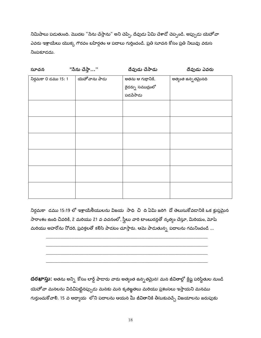నిమిషాలు పడుతుంది. మొదట "సేను చేస్తాను" అని చెప్పి, దేవుడు ఏమి చేశాడో చెప్పండి. అప్పుడు యెహోవా ఎవరు ఇశ్రాయేలు యొక్క గౌరవం బహిర్గతం ఆ పదాలు గుర్తించండి. ప్రతి సూచన కోసం ప్రతి నిలువు వరుస నింపకూడదు.

| సూచన                 | "సేను చేస్తా" | దేవుడు చేసాడు                                       | దేవుడు ఎవరు        |
|----------------------|---------------|-----------------------------------------------------|--------------------|
| నిర్గమకా 0 డము 15: 1 | యెహోవాను పాడు | అతను ఆ గుర్రానికి,<br>రైడర్ను సముద్రంలో<br>పడపేసాడు | అత్యంత ఉన్న తమైనది |
|                      |               |                                                     |                    |
|                      |               |                                                     |                    |
|                      |               |                                                     |                    |
|                      |               |                                                     |                    |
|                      |               |                                                     |                    |
|                      |               |                                                     |                    |

నిర్గమకా డము 15:19 లో ఇశ్రాయేలీయులను విజయ సాధి చి ది ఏమి జరిగి దో తెలుసుకోవడానికి ఒక క్లుప్తమైన సారాంశం ఉంది చివరికి, 2 మరియు 21 వ వచనంలో, స్త్రీలు వారి టాంబురన్లతో నృత్యం చేస్తూ, మిరియం, మోషే మరియు అహరోను నోదరి, ప్రవక్తలతో కలిసి పాడటం చూస్తారు. ఆమె పాడుతున్న పదాలను గమనించండి ...

దరఖాస్తు: అతను అన్ని కోసం లార్డ్ పాడారు వారు అత్యంత ఉన్నతమైన! మన జీవితాల్లో క్లిష్ట పరిస్థితుల నుండి యెహోవా మనలను విడిచిపెట్టినప్పుడు మనకు మన కృతజ్ఞతలు మరియు ప్రశంసలు ఇస్తాయని మనము గుర్తుంచుకోవాలి. 15 వ అధ్యాయి లోని పదాలను ఆయన మీ జీవితానికి తీసుకువచ్చే విజయాలను జరుపుకు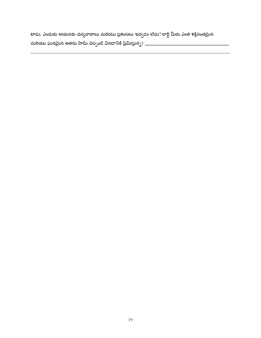టాడు. ఎందుకు ఆయనకు ధన్యవాదాలు మరియు ప్రశంసలు ఇవ్వడం లేదు? లార్డ్ మీరు ఎంత శక్తివంతమైన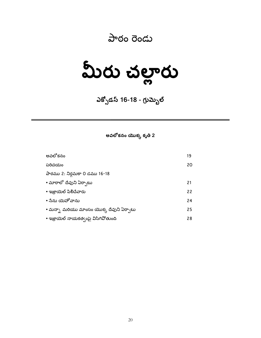## పాఠం రెండు

మీరు చల్లారు

ఎక్పోడస్ 16-18 - గ్రుమ్బెల్

అవలోకనం యొక్క కృతి 2

| అవలోకనం                                  | 19 |
|------------------------------------------|----|
| పరిచయం                                   | 20 |
| పాఠము 2: నిర్గమకా 0 డము 16-18            |    |
| • మారాలో దేవుని ఏర్పాటు                  | 21 |
| • ఇజ్రాయెల్ పిలిచేవారు                   | 22 |
| • సేను యెహోవాను                          | 24 |
| • మన్నా మరియు మాంసం యొక్క దేవుని ఏర్పాటు | 25 |
| • ఇజ్రాయెల్ నాయకత్వంపై విసిగిపోతుంది     | 28 |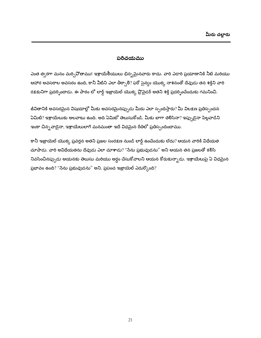#### పరిచయము

ఎంత త్వరగా మనం మర్చివోతాము! ఇశ్రాయేలీయులు భిన్నమైనవారు కాదు. వారి ఎడారి ప్రయాణానికి నీటి మరియు ఆహార అవసరాల అవసరం ఉంది, కానీ వీటిని ఎలా తీర్చాలి? ఫరో సైన్యం యొక్క నాశనంతో దేవుడు తన శక్తిని వారి రక్షకునిగా ప్రదర్శించాడు. ఈ పాఠం లో లార్డ్ ఇజ్రాయెల్ యొక్క వ్రొపైడర్ అతని శక్తి ప్రదర్శించేందుకు గమనించి.

జీవితానికి అవసరమైన విషయాల్లో మీకు అవసరమైనప్పుడు మీరు ఎలా స్పందిస్తారు? మీ విల<u>క</u>ణ ప్రతిస్పందన .<br>ఏమిటి? ఇశ్రాయేలుకు అలవాటు ఉంది. అది ఏమిటో తెలుసుకోండి. మీకు బాగా తెలిసినా? ఇప్పుడైనా పిల్లవాడిని ఇంకా చిన్న*వా*డైనా, ఇశ్రాయేలులాగే మనమంతా ఇదే విధమైన రీతిలో ప్రతిస్పందిందాము.

కానీ ఇజ్రాయెల్ యొక్క ప్రవర్తన అతని ప్రజల సంరక్షణ నుండి లార్డ్ ఉంచేందుకు లేదు? ఆయన వారికి విధేయత చూపాడు. వారి అవిధేయతను దేవుడు ఎలా చూశాడు? "సేను ప్రభువుడను" అని ఆయన తన ప్రజలతో కలిసి నివసించినప్పుడు ఆయనకు తెలుసు మరియు అర్ధం చేసుకోవాలని ఆయన కోరుకున్నాడు. ఇశ్రాయేలుపై ఏ విధమైన ప్రభావం ఉంది? "సేను ప్రభువుడను" అని. ప్రపంచ ఇజ్రాయెల్ ఎదుర్కొంది?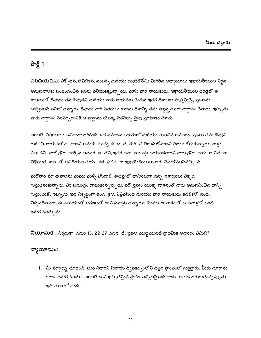## <u>పార్ట్ 1</u>

**పరిచయము:** ఎక్సోడస్, లెవిటికస్, నంబర్స్ మరియు ద్యుటేరోనోమి మిగిలిన అధ్యాయాలు ఇశ్రాయేలీయుల నిర్లన అనుభవాలకు సంబంధించిన కథను తెలియజేస్తున్నాయి. మోషే వారి నాయకుడు. ఇశ్రాయేలీయుల చరిత్రలో ఈ కాలములో దేవుడు తన దేవుడని మరియు వారు ఆయనకు చెందిన ఇతర దేశాలకు సాక్షమిచ్చే ప్రజలను ఆకట్టుకునే పనిలో ఉన్నారు. దేవుడు వారి పితరులు కనాను దేశాన్ని తమ స్వాస్థ్యముగా వాగ్దానం చేసాడు. ఇప్పుడు వారు వాగ్దానం సెరపేర్చడానికి ఆ వాగ్దానం యొక్క సెరపేర్పు పైపు ప్రయాణం చేశారు.

అయితే, విషయాలు ఆవిధంగా జరిగింది. ఒక సమాజం ఆకారంలో మరియు మలచిన అవసరం. ప్రజలు తమ దేవుని గురి చి, ఆయనతో ఉ డాలని అనుకు టున్న స బ ధ గురి చి తెలుసుకోవాలని ప్రజలు కోరుకున్నారు. వాళ్లు ఎలా జీవి చారో గ్రహి చాల్సిన అవసర ఉ దని, ఇతర జనా గాలపట్ల భయపడతారని వారు గ్రహి చారు. ఆ విధ గా, విధేయత, శాప లో అవిధేయత చూపి చడ ఫలిత గా ఇశ్రాయేలీయులు అర్ధ చేసుకోవలసివచ్చి ది.

మరోసారి మా ఊహలను మేము మళ్ళీ వొందాలి. ఈజిప్టులో బానిసలుగా ఉన్న ఇశ్రాయేలు ఎక్కడ గుర్తుచేసుకున్నారు. ఎర్ర సముద్రం దాటుతున్నప్పుడు, ఫరో సైన్యం యొక్క నాశనంతో వారు అనుభవించిన దాన్ని గుర్తుంచుకో. ఇప్పుడు, ఇది నిశ్శబ్దంగా ఉంది. క్లౌడ్ ఎత్తిపేసింది మరియు వారి నాయకుడు కదలికలో ఉంది. నిస్సందేహంగా, ఈ సమయంలో అరణ్యంలో దాని సవాళ్లు ఉన్నాయి. మేము ఈ పాఠం లో ఆ సవాళ్లలో ఒకటి కనుగొనవచ్చును.

నియామక : నిర్గమకా డము 15: 22-27 చదవ డి. ప్రజల మొట్టమొదటి ప్రాథమిక అవసరం ఏమిటి?\_

## వ్యాయామం:

1. మీ మ్యాప్ను చూడండి. షుర్ ఎడారిని సినాయ్ ద్వీపకల్పంలోని ఉత్తర ప్రాంతంలో గుర్తిస్తారు. మీరు మారాను కూడా కనుగొనవచ్చు, అయితే దాని ఖచ్చితమైన స్థానం ఖచ్చితమైనది కాదు. ఈ కథ జరుగుతున్నప్పుడు ఇది మారాలో ఉంది.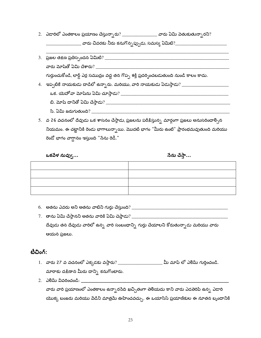2. ఎడారిలో ఎంతకాలం ప్రయాణం చేస్తున్నారు? \_\_\_\_\_\_\_\_\_\_\_\_\_\_\_\_\_ వారు ఏమి పెతుకుతున్నారని?

\_\_\_\_\_\_ వారు చివరకు నీరు కనుగొన్నప్పుడు, సమస్య ఏమిటి?\_\_\_\_\_

| 3. ప్రజల తక్షణ ప్రతిస్పందన ఏమిటి? _                                                         |
|---------------------------------------------------------------------------------------------|
| వారు మోషేతో ఏమి చేశారు?                                                                     |
| గుర్తుంచుకోండి, లార్డ్ ఎర్ర సముద్రం వద్ద తన గొప్ప శక్తి ప్రదర్శించబడుతుంది నుండి కాలం కాదు. |
| 4. ఇప్పటికే నాయకుడు దాడిలో ఉన్నారు. మరియు, వారి నాయకుడు ఏడుస్తాడు? ____                     |
| ఒక. యెహోవా మోషేను ఏమి చూస్తాడు? _                                                           |
| బి. మోష్ దానితో ఏమి చేస్తాడు? ___                                                           |
| సి. ఏమి జరుగుతుంది?                                                                         |

5. వ 26 వచనంలో దేవుడు ఒక శాసనం చేస్తాడు, ప్రజలను పరీక్షిస్తున్న మార్గంగా ప్రజలు అనుసరించాల్సిన నియమం. ఈ చట్టానికి రెండు భాగాలున్నాయి. మొదటి భాగం "మీరు ఉంటే" ప్రారంభమవుతుంది మరియు రెండో భాగం వాగ్దానం ఇస్తుంది "సేను రెడీ."

ఒకపేళ నువ్వు...

నేను చేస్తా...

- 
- దేవుడు తన దేవుడు వారిలో ఉన్న వారి సంబంధాన్ని గుర్తు చేయాలని కోరుతున్నాడు మరియు వారు ఆయన ప్రజలు.

#### టీచింగ్:

- 1. వారు 27 వ వచనంలో ఎక్కడకు వస్తారు? \_\_\_\_\_\_\_\_\_\_\_\_\_\_\_\_\_\_\_\_\_\_ మీ మాప్ లో ఎలిమ్ గుర్తించండి. మారాకు దక్షిణాన మీరు దాన్ని కనుగొంటారు.
- వారు వారి ప్రయాణంలో ఎంతకాలం ఉన్నారసేది ఖచ్చితంగా తెలియదు కాని వారు ఎడతెరిపి ఉన్న ఎడారి యొక్క బంజరు మరియు వేడిని మాత్రమే ఊహించవచ్చు. ఈ ఒయాసిస్ ప్రయాణికుల ఈ నూతన బృందానికి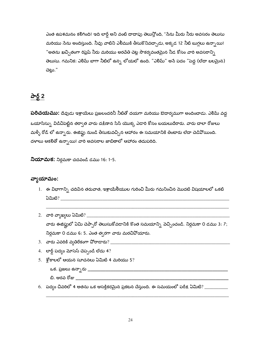ఎంత ఉపశమనం కలిగింది! ఇది లార్డ్ అని వంటి దాదాపు తెలుస్తోంది, "సేను మీరు నీరు అవసరం తెలుసు మరియు సేను అందిస్తుంది. నీవు వాటిని ఎలీముకి తీసుకొనివచ్చాడు, అక్కడ 12 నీటి బుగ్గలు ఉన్నాయి! "అతను ఖచ్చితంగా రిఫ్రెష్ నీరు మరియు అరచేతి చెట్ల సౌకర్యవంతమైన నీడ కోసం వారి అవసరాన్ని తెలుసు. గమనిక: ఎలిమ్ బాగా నీటిలో ఉన్న లోయలో ఉంది. "ఎలిమ్" అసే పదం "పెద్ద (లేదా బలమైన) చెట్లు."

## <u>పార్ట్ 2</u>

పరిచయము: దేవుడు ఇశ్రాయేలు ప్రజలందరినీ నీటితో దయగా మరియు ఔదార్యముగా అందించాడు. ఎలిమ్ వద్ద ఒయాసిస్స్తు విడిచిపెట్టిన తర్వాత వారు దక్షిణాన సిన్ యొక్క ఎడారి కోసం బయలుదేరారు. వారు చాలా రోజులు మళ్ళీ రోడ్ లో ఉన్నారు. ఈజిప్షు నుండి తీసుకువచ్చిన ఆహారం ఈ సమయానికి తింటారు లేదా చెడివోయింది. దళాలు ఆకలితో ఉన్నాయి! వారి అవసరాల జాబితాలో ఆహారం తదుపరిది.

**నియామక:** నిర్గమకా చదవండి డము 16: 1-5.

#### వ్వాయామం:

- 1. ఈ విభాగాన్ని చదివిన తరువాత, ఇశ్రాయేలీయుల గురించి మీరు గమనించిన మొదటి విషయాలలో ఒకటి
- వారు ఈజిప్టులో ఏమి చెప్పారో తెలుసుకోవడానికి కొంత సమయాన్ని వెచ్చించండి. నిర్ధమకా 0 డము 3: 7;
	- నిర్ధమకా 0 డము 6: 5. ఎంత త్వరగా వారు మరచిపోయారు.
- 
- 4. లార్డ్ పద్యం మోసెస్ చెప్పండి లేదు  $4$ ?
- 5.  $\frac{2}{3}$ కాలలో ఆయన సూచనలు ఏమిటి 4 మరియు 5?
	-
	- బి. ఆరవ రోజు కార్యకారం కార్యకర్తులు మార్కెట్ క్రాంతి కేసుకున్నారు. అందుకే స్టార్ క్రాంతి క్రాంతి క్రాంతి క్రాం
- 6. పద్యం చివరిలో 4 అతను ఒక ఆసక్తికరమైన ప్రకటన చేస్తుంది. ఈ సమయంలో పరీక్ష ఏమిటి? \_\_\_\_\_\_\_\_\_\_\_\_\_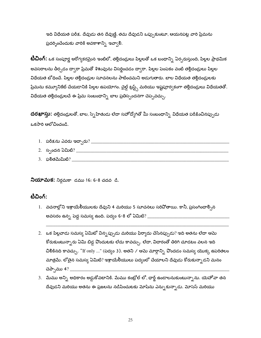ఇది విధేయత పరీక్ష. దేవుడు తన దేవుణ్ణి, తమ దేవుడని ఒప్పుకుంటూ, ఆయనపట్ల వారి ప్రేమను ప్రదర్నించేందుకు వారికి అవకాశాన్ని ఇవ్వాలి.

**టీచింగ్:** ఒక సంపూర్ణ ఆరోగ్యకరమైన ఇంటిలో, తల్లిదండ్రులు పిల్లలతో ఒక బంధాన్ని ఏర్పరుస్తుంది, పిల్లల ప్రాథమిక అవసరాలను తీర్చడం ద్వారా ప్రేమతో శిశువును విసర్జించడం ద్వారా. పిల్లల పెంపకం వంటి తల్లిదండ్రులు పిల్లల విధేయత బోధించే. పిల్లల తల్లిదండ్రుల సూచనలను పాటించమని అడుగుతారు. బాల విధేయత తల్లిదండ్రులకు ప్రేమను కమ్యూనికేట్ చేయడానికి పిల్లల ఉపయోగం. చైల్డ్ ట్రస్ట్స్ మరియు ఇష్టపూర్వకంగా తల్లిదండ్రులు విధేయతతో. విధేయత తల్లిదండ్రులచే ఈ ప్రేమ సంబంధాన్ని బాల ప్రతిస్పందనగా చెప్పవచ్చు.

దరఖాస్తు: తల్లిదండ్రులతో, బాల, స్నే హితుడు లేదా సహోద్యోగితో మీ సంబంధాన్ని విధేయత పరీక్షించినప్పుడు ఒకసారి ఆలోచించండి.

- 
- 
- 

**నియామక:** నిర్గమకా డము 16: 6-8 చదవ డి.

#### టీచింగ్:

- 1. వచనాల్లోని ఇశ్రాయేలీయులకు దేవుని 4 మరియు 5 సూచనలు సరిపోతాయి. కానీ, ప్రసంగించాల్సిన అవసరం ఉన్న పెద్ద సమస్య ఉంది. పద్యం 6-8 లో ఏమిటి? \_\_\_\_\_\_
- 2. ఒక పిల్లవాడు సమస్య ఏమిటో విన్నప్పుడు మరియు ఫిర్యాదు చేసినప్పుడు? ఇది అతను లేదా ఆమె కోరుకుంటున్నారు ఏమి బిడ్డ పొందుటకు లేదు కావచ్చు. లేదా, విదారంతో తిరిగి చూడటం వలన ఇది చిలికినది కావచ్చు. "If only ..." (పద్యం 3). అతని / ఆమె మార్గాన్ని పొందడం సమస్య యొక్క ఉపరితలం మాత్రమే. లోతైన సమస్య ఏమిటి? ఇశ్రాయేలీయులు పద్యంలో చేయాలని దేవుడు కోరుకున్నాడని మనం
- 3. మేము అన్ని అధికారం అడ్డుకోవటానికి. మేము కంట్రోల్ లో, ఛార్జ్ ఉండాలనుకుంటున్నాను. యెహోవా తన దేవుడని మరియు అతను ఈ ప్రజలను నడిపించుటకు మోషేను ఎన్నుకున్నాడు. మోసెస్ మరియు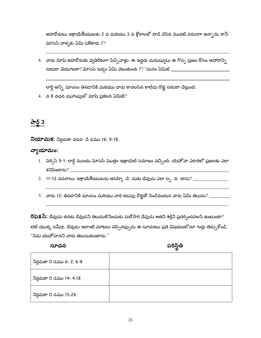అహరోనులు ఇశ్రాయేలీయులకు 2 వ మరియు 3 వ శ్లోకాలలో దాడి చేసిన మొదటి వరుసగా ఉన్నారు, కానీ మోసెస్ వాళ్ళకు ఏమి పలికారు  $7?$ 

4. వారు మోషే అహరోనుకు వ్యతిరేకంగా పిచ్చివాళ్లు. ఈ ఇద్దరు మనుష్యులు ఈ గొప్ప ప్రజల కోసం ఆహారాన్ని సరఫరా చేయగలరా? మోసెస్ పద్యం ఏమి చెబుతుంది 7? "మనం ఏమిటి \_\_\_\_\_\_\_\_\_\_\_\_\_\_\_\_\_\_\_\_\_\_\_\_\_

లార్డ్ అన్ని మాంసం తినడానికి మరియు వారు కావలసిన కాలేదు రొట్టె సరఫరా చేస్తుంది.

 $4.$  వ 8 వచన ముగింపులో మోషే ప్రకటన ఏమిటి?

## <u>పార్ట్ 3</u>

**నియామక:** నిర్గమకా చదవ డి డము 16: 9-18.

#### వ్యాయామం:

- 1. వెర్సెస్ 9-1: లార్డ్ ముందు మోసెస్ మొత్తం ఇజ్రాయెల్ సమాజం వచ్చింది. యెహోవా ఎడారిలో ప్రజలకు ఎలా కనిపించాడు?
- 
- 

రిఫెక్షస్: దేవుడు తనకు దేవుడని తెలుసుకొసేందుకు మరోసారి దేవుడు అతని శక్తిని ప్రదర్భించవలసి ఉంటుందా? లెట్ యొక్క సమీక్ష. దేవుడు ఇలాంటి మాటలు చెప్పినప్పుడు ఈ సూచనలు ప్రతి విషయంలోనూ గుర్తు తెచ్చుకోండి, "సేను యెహోవానని వారు తెలుసుకుంటారు."

#### సూచన

పరిస్థితి

| నిర్గమకా 0 డము 6: 2, 6-8 |  |
|--------------------------|--|
| నిర్గమకా 0 డము 14: 4,18  |  |
| నిర్గమకా 0 డము 15:26     |  |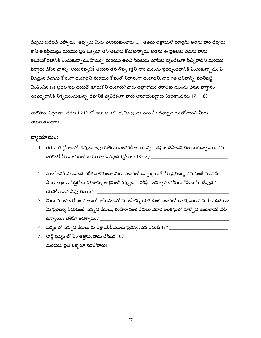దేవుడు పదేపదే చెప్పాడు, "అప్పుడు మీరు తెలుసుకుంటారు ..." అతను ఇజ్రాయెల్ మాత్రమే అతను వారి దేవుడు కానీ ఈజిప్షియన్లు మరియు ప్రతి ఒక్కరూ అని తెలుసు కోరుకున్నారు. అతను ఈ ప్రజలకు తనను తాను కలుసుకోవటానికి ఎంచుకున్నాడు, హిమ్ను మరియు అతని సేవకుడు మోషకు వ్యతిరేకంగా పిచ్చివాడిని మరియు ఫిర్యాదు చేసిన వాళ్ళు. అయినప్పటికీ ఆయన తన గొప్ప శక్తిని వారి ముందు ప్రదర్శించటానికి ఎంచుకున్నాడు. ఏ విధమైన దేవుడు కోపంగా ఉంటాడని మరియు కోపంతో నిదానంగా ఉంటాడని, వారి గత జీవితాన్ని వదిలిపెట్టి చింతించిన ఒక ప్రజల పట్ల దయతో కూడుకొని ఉంటారు? వారు అబ్రాహాము తరాలకు ముందు చేసిన వాగ్దానం సెరపేర్చడానికి నిశ్చయించుకున్న దేవునికి వ్యతిరేకంగా వారు అసూయపడ్డారు (ఆదికాండము 17: 1-8).

మరోసారి, నిర్గమకా డము 16:12 లో ఇలా అ టో ది, "అప్పుడు సేను మీ దేవుడైన యెహోవానని మీరు తెలుసుకుంటారు."

#### వ్యాయామం:

- 1. తరువాతి శ్లోకాలలో, దేవుడు ఇశ్రాయేలీయులందరికీ ఆహారాన్ని సరఫరా చేసాడని తెలుసుకున్నాము. ఏమి
- 2. మాంసానికి ఎటువంటి నిరీక్షణ లేకుండా మీరు ఎడారిలో ఉన్నట్లయితే, మీ ప్రతిచర్య ఏమిటంటే మొదటి సాయంత్రం ఆ పిట్టగోలు శిబిరాన్ని ఆక్రమించినప్పుడు? బిలీఫ్? అవిశ్వాసం? మీరు "సేను మీ దేవుడైన యెహోవానని నీవు తెలుసా?" \_\_\_\_\_
- 3. మీరు మాంసం కోసం ఏ ఆశతో కానీ ఎండలో మాంసాన్ని కలిగి ఉంటే ఎడారిలో ఉంటే, మరుసటి రోజు ఉదయం మీ ప్రతిచర్య ఏమిటంటే, సన్నని రేకులు, తుషార-వంటి రేకులు ఎడారి అంతస్తులో కూర్చొని ఉండటానికి పేచి ఉన్నాయి? బిలీఫ్? అవిశా్సం? \_\_\_
- 
- మరియు, ప్రతి ఒక్కరూ సరిపోతారు!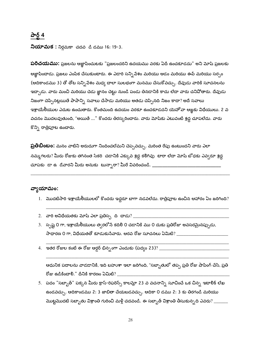## పార్ట్ 4

**నియామక :** నిర్గమకా చదవ డి డము 16: 19-3.

**పరిచయము:** ప్రజలను ఆజ్ఞాపించుటకు "ప్రజలందరిని ఉదయము వరకు ఏదీ ఉంచకూడదు" అని మోషే ప్రజలకు ఆజ్ఞాపించాడు. ప్రజలు ఎంపిక చేసుకుంటారు. ఈ ఎడారి సన్ని వేశం మరియు ఆడం మరియు ఈవ్ మరియు సర్పం (ఆదికాండము 3) తో తోట సన్నిపేశం మధ్య చాలా సులభంగా మనము చేసుకోవచ్చు. దేవుడు వారికి సూచనలను ఇచ్చాడు. వారు మంచి మరియు చెడు జ్ఞానం చెట్టు నుండి పండు తినడానికి కాదు లేదా వారు చనిపోతారు. దేవుడు నిజంగా చెప్పినట్లయితే పాపాన్ని సవాలు చేసాడు మరియు అతడు చెప్పినది నిజం కాదా? అదే సవాలు ఇశ్రాయేలీయుల ఎదుట ఉంచుతారు. కొంతమంది ఉదయం వరకూ ఉంచకూడదని యెహోవా ఆజ్ఞకు విధేయులు. 2 వ వచనం మొదలవుతుంది, "అయితే ..." కొందరు తిరస్కరించారు. వారు మోషేకు ఎటువంటి శ్రద్ధ చూపలేదు. వారు కొన్ని రాత్రిపూట ఉంచారు.

**ప్రతిబింబం:** మనం వాటిని అరుదుగా నిందించలేమని చెప్పవచ్చు. మరింత రేపు ఉంటుందని వారు ఎలా నమ్మగలరు? మీరు రోజుకు తగినంత సేకరి చడానికి ఎక్కువ శ్రద్ధ కలిగివు టారా లేదా మోషే టోధకు ఎవ్వరూ శ్రద్ధ 

#### వ్యాయామం:

- 1. మొదటిసారి ఇశ్రాయేలీయులలో కొందరు ఇద్దరూ బాగా నడవలేదు. రాత్రిపూట ఉంచిన ఆహారం ఏం జరిగింది?
- $2.$  వారి అవిధేయతకు మోషే ఎలా ప్రతిస్ప $\sim$  ది $\sim$ దాడు $\sim$   $\sim$
- 3. స్పష్ట 0 గా, ఇశ్రాయేలీయులు త్వరలోనే కదిలి 0 చడానికి ము 0 దుకు ప్రతిరోజు అవసరమైనప్పుడు, సాధారణ 0 గా, విధేయతతో కూడుకునేవారు. ఆరవ రోజు సూచనలు ఏమిటి? \_\_\_\_\_\_\_\_\_\_\_\_\_\_\_\_\_\_\_\_\_\_
- 

ఆధునిక పదాలను వాడడానికి, ఇది బహుశా ఇలా జరిగింది, "సబ్బాతులో తప్ప ప్రతి రోజు షాపింగ్ చేసి, ప్రతి రోజు ఉడికించాలి." దీనికి కారణం ఏమిటి?  $\_\_$ 

5. పదం "సబ్బాత్" పక్కన మీరు క్రాస్-రిఫరెన్స్ కాలమ్లో 23 వ వచనాన్ని సూచించే ఒక చిన్న ఇటాలిక్ లేఖ ఉండవచ్చు. ఆదికాండము 2: 3 జాబితా చేయబడవచ్చు. ఆదికా 0 డము 2: 3 కు తిరగండి మరియు మొట్టమొదటి సబ్బాతు విశ్రాంతి గురించి మళ్లీ చదవండి. ఈ సబ్బాత్ విశ్రాంతి తీసుకున్నది ఎవరు? \_\_\_\_\_\_\_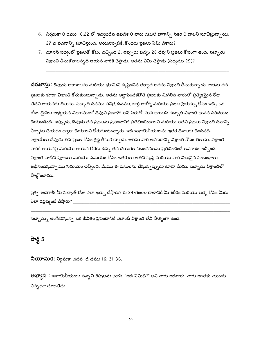- 6. నిర్గమకా 0 డము 16:22 లో ఇవ్వబడిన ఉపదేశ 0 వారు డబుల్ భాగాన్ని సేకరి 0 చాలని సూచిస్తున్నాయి. 27 వ వచనాన్ని సూచిస్తుంది. అయినప్పటికీ, కొందరు ప్రజలు ఏమి చేశారు? \_\_\_\_\_
- 7. మోసెస్ పద్యంలో ప్రజలతో కోపం వచ్చింది 2. ఇప్పుడు పద్యం 28 దేవుని ప్రజలు కోపంగా ఉంది. సబ్బాతు విశ్రాంతి తీసుకోవాలన్నది ఆయన వారికి చెప్తాడు. అతను ఏమి చెప్తాడు (పద్యము 29)? \_\_\_\_\_

దరఖాస్తు: దేవుడు ఆకాశాలను మరియు భూమిని సృష్టించిన తర్వాత అతను విశ్రాంతి తీసుకున్నాడు. అతను తన ప్రజలకు కూడా విశ్రాంతి కోరుకుంటున్నాడు. అతను ఆజ్ఞాపించకవోతే ప్రజలకు మిగిలిన వారంలో ప్రత్యేకమైన రోజు లేదని ఆయనకు తెలుసు. సబ్బాత్ దినము పవిత్ర దినము, లార్డ్ ఆరోగ్య మరియు ప్రజల శ్రేయస్సు కోసం ఇచ్చే ఒక రోజు. బైబిలు అధ్యయన విభాగములో దేవుని ప్రణాళిక అసే పేరుతో, మన ఛాయిస్ సబ్బాత్ విశ్రాంతి భావన పరిచయం చేయబడింది. ఇప్పుడు, దేవుడు తన ప్రజలను ప్రపంచానికి ప్రతిబింబించాలని మరియు అతని ప్రజలు విశ్రాంతి దినాన్ని ఏర్పాటు చేయడం ద్వారా చేయాలని కోరుకుంటున్నారు. ఇది ఇశ్రాయే<mark>లీయులను ఇతర దేశాలకు చెందినది</mark>. ఇశ్రాయేలు దేవుడు తన ప్రజల కోసం శ్రద్ద తీసుకున్నాడు. అతను వారి అవసరాన్ని విశ్రాంతి కోసం తెలుసు. విశ్రాంతి వారికి ఆయనపై మరియు ఆయన కొరకు ఉన్న తన దయగల నిబంధనలను ప్రతిబింబించే అవకాశం ఇచ్చింది. విశ్రాంతి వాటిని పూజలు మరియు సమయం కోసం ఇతరులు అతని సృష్టి మరియు వారి విలువైన సంబంధాలు అభినందిస్తున్నాము సమయం ఇచ్చింది. మేము ఈ పనులను చేస్తున్నప్పుడు కూడా మేము సబ్బాతు విశ్రాంతిలో పాల్గొంటాము.

ప్రశ్న అడగాలి: మీ సబ్బాత్ రోజు ఎలా ఖర్చు చేస్తారు? ఈ 24-గంటల కాలానికి మీ శరీరం మరియు ఆత్మ కోసం మీరు ఎలా రిఫ్రెష్మెంట్ చేస్తారు? \_\_\_\_\_\_\_\_\_\_\_\_\_\_\_

సబ్బాత్ను అంగీకరిస్తున్న ఒక జీవితం ప్రపంచానికి ఎలాంటి విశ్రాంతి లేని సాక్ష్యంగా ఉంది.

### పార్ట్ 5

**నియామక:** నిర్గమకా చదవ ్డి డము 16: 31-36.

**అభ్యాస :** ఇశ్రాయేలీయులు సన్నని రేపులను చూసి, "అది ఏమిటి?" అని వారు అడిగారు. వారు అంతకు ముందు ఎన్నడూ చూడలేదు.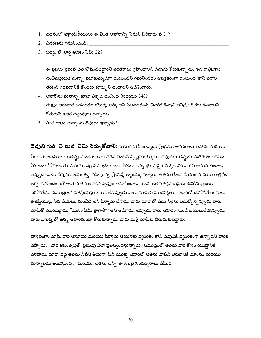- $1.$  వచనంలో ఇశ్రాయేలీయులు ఈ వింత ఆహారాన్ని ఏమని పిలిచారు వ $31?$  \_\_\_\_\_\_\_\_\_\_\_\_\_\_\_\_\_\_\_\_\_
- 
- 

ఈ ప్రజలు ప్రభువుచేత వోషించబడ్డారని తరతరాలు గ్రహించాలని దేవుడు కోరుకున్నాడు. ఇది రాత్రిపూట ఉంచినట్లయితే మన్సా మూకుమ్మడిగా ఉంటుందని గమనించడం ఆసక్తికరంగా ఉంటుంది, కాని తరాల తరబడి గడపడానికి కొందరు కూర్చుని ఉంచాలని ఆదేశించారు.

- 4. అహరోను మనాన్న కూజా ఎక్కడ ఉంచింది (పద్యము 34)? \_\_\_\_ సాక్ష్యం తరువాత ఒడంబడిక యొక్క ఆర్క్ అని పిలవబడింది, చివరికి దేవుని పవిత్రత కొరకు ఉంచాలని కోరుకునే ఇతర వస్తువులు ఉన్నాయి.
- 

దేవుని గురి చి మన ఏమి నేర్చుకోవాలి: మనుగడ కోసం ఇద్దరు ప్రాథమిక అవసరాలు ఆహారం మరియు నీరు. ఈ అవసరాలు ఈజిఫ్టు నుండి బయలుదేరిన పెంటనే స్పష్టమయ్యాయి. దేవుడు ఈజిఫ్టుకు వ్యతిరేకంగా చేసిన పోరాటంలో పోరాడాడు మరియు ఎర్ర సముద్రం గుండా పొడిగా ఉన్న భూమిపైకి వెళ్ళటానికి వారిని అనుమతించాడు. ఇప్పుడు వారు దేవుని నాయకత్వ వహిస్తున్న ప్రామిస్డ్ ల్యాండ్కు పెళ్ళారు. అతను రోజున మేఘం మరియు రాత్రివేళ అగ్ని కనిపించటంతో ఆయన తన ఉనికిని స్పష్టంగా చూపించాడు. కానీ, అతని శక్తివంతమైన ఉనికిని ప్రజలకు సరిపోలేదు. సముద్రంలో ఈజిప్షియన్లు భయపడినప్పుడు వారు మోషేకు మొరపెట్టారు, ఎడారిలో చనిపోయే బదులు ఈజిప్షియన్లు సేవ చేయటం మంచిది అని ఫిర్యాదు చేసారు. వారు మారాలో చేదు నీళ్లను ఎదుర్కొన్న ప్పుడు వారు మోషేతో మొరపెట్టారు. "మనం ఏమి త్రాగాలి?" అని అడిగారు. అప్పుడు వారు ఆహారం నుండి బయలుదేరినప్పుడు, వారు ఐగుప్తులో ఉన్న ఆహారమంతా కోరుకున్నారు. వారు మళ్లీ మోషేకు విరుచుకుపడ్డారు.

వాస్తవంగా, మోషీ, వారి అసూయ మరియు ఫిర్యాదు ఆయనకు వ్యతిరేకం కాని దేవునికి వ్యతిరేకంగా ఉన్నాడని వారికి చెప్పాడు. వారి అసంతృప్తితో, ప్రభువు ఎలా ప్రతిస్పందిస్తున్నాడు? సముద్రంలో అతను వారి కోసం యుద్ధానికి పెళతాడు, మారా వద్ద అతను నీటిని తీయగా, సిన్ యొక్క ఎడారిలో అతను వాటిని తినటానికి మాంసం మరియు మన్సాలను అందిస్తుంది. మరియు, అతను అన్ని ఈ నలభై సంవత్సరాలు చేసింది!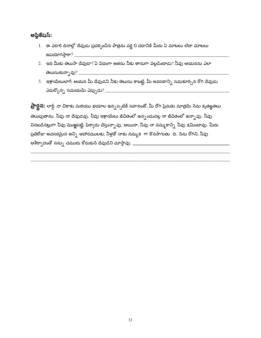#### అప్లికేషస్:

- 1. ఈ ఎడారి దినాల్లో దేవుడు ప్రదర్పించిన పాత్రను వర్ణి 0 చడానికి మీరు ఏ మాటలు లేదా మాటలు
- .<br>2. ఇది మీకు తెలుసా దేవుడా? ఏ విధంగా అతను నీకు తానుగా వెల్లడించాడు? నీవు ఆయనను ఎలా
- 3. ఇశ్రాయేలులాగే, ఆయన మీ దేవుడని నీకు తెలుసు కాబట్టి, మీ అవసరాన్ని సమకూర్చిన రోగి దేవుడు

**ప్రార్థన:** లార్డ్, నా చికాకు మరియు భయాల ఉన్నప్పటికీ సహనంతో, మీ రోగి ప్రేమకు మాత్రమే నేను కృతజ్ఞతలు తెలుపుతాను. నీవు నా దేవుడవు. నీవు ఇశ్రాయేలు జీవితంలో ఉన్నందువల్ల నా జీవితంలో ఉన్నావు. నీవు వినబడినట్లుగా నీవు మొఱ్ఱపెట్టి, ఫిర్యాదు చేస్తున్నావు. అయినా, నీవు నా నమ్మకాన్ని నీవు క్షమించావు. మీరు ప్రతిరోజు అవసరమైన అన్ని ఆహారములకు, నీళ్లతో నాకు నమ్మక $\;$ గా కొనసాగుతు $\;$  ది. సేను రోగిని, నీవు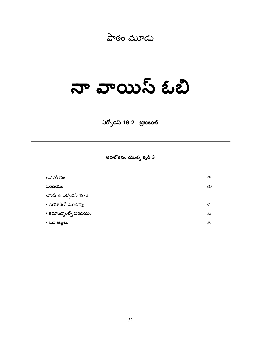## పాఠం మూడు

# నా వాయిస్ ఓబి

ఎక్సోడస్ 19-2 - ట్రెబబుల్

అవలోకనం యొక్క కృతి 3

| అవలోకనం                | 29 |
|------------------------|----|
| పరిచయం                 | 30 |
| లెసన్ 3: ఎక్సోడస్ 19-2 |    |
| • తయారీలో ముడుపు       | 31 |
| • కమాండ్కెంట్స్ పరిచయం | 32 |
| • ಏದಿ ಆಜ್ಞಲು           | 36 |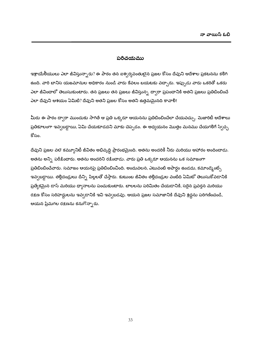#### పరిచయము

ఇశ్రాయేలీయులు ఎలా జీవిస్తున్నారు? ఈ పాఠం తన ఐశ్వర్యవంతులైన ప్రజల కోసం దేవుని ఆదేశాల ప్రకటనను కలిగి ఉంది. వారి బానిస యజమానుల అధికారం నుండి వారు కేవలం బయటకు వచ్చారు. ఇప్పుడు వారు ఒకరితో ఒకరు ఎలా జీవించాలో తెలుసుకుంటారు. తన ప్రజలు తన ప్రజలు జీవిస్తున్న ద్వారా ప్రపంచానికి అతని ప్రజలు ప్రతిబింబించే ఎలా దేవుని ఆశయం ఏమిటి? దేవుని అతని ప్రజల కోసం అతని ఉత్తమమైనది కావాలి!

మీరు ఈ పాఠం ద్వారా ముందుకు సాగితే ఆ ప్రతి ఒక్కరూ ఆయనను ప్రతిబింబించేలా చేయవచ్చు. మెజారిటీ ఆదేశాలు ప్రతికూలంగా ఇవ్వబడ్డాయి, ఏమి చేయకూడదని మాకు చెప్పడం. ఈ అధ్యయనం మొత్తం మనము చేయగలిగే స్వేచ్చ కోసం.

దేవుని ప్రజల వలె కమ్యూనిటీ జీవితం అభివృద్ధి ప్రారంభమైంది. అతను అందరికీ నీరు మరియు ఆహారం అందించాడు. అతను అన్ని పరీక్షించారు. అతను అందరిని రక్షించాడు. వారు ప్రతి ఒక్కరూ ఆయనను ఒక సమాజంగా ప్రతిబింబించేవారు. సమాజం ఆయనపై ప్రతిబింబించింది. అందువలన, ఎటువంటి అపార్ధం ఉండదు, కమాండ్మెంట్స్ ఇవ్వబడ్డాయి. తల్లిదండ్రులు దీన్ని పిల్లలతో చేస్తారు. కుటుంబ జీవితం తల్లిదండ్రుల వంటిది ఏమిటో తెలుసుకోవడానికి ప్రత్యేకమైన డాస్ మరియు ధ్యానాలను పంచుకుంటారు. బాలలను పరిమితం చేయడానికి, సరైన ప్రవర్తన మరియు రక్షణ కోసం సరిహద్దులను ఇవ్వడానికి ఇవి ఇవ్వటడవు. ఆయన ప్రజల సమాజానికి దేవుని శ్రద్ధను పరిగణించండి, ఆయన ప్రేమగల రక్షణను కనుగొన్నారు.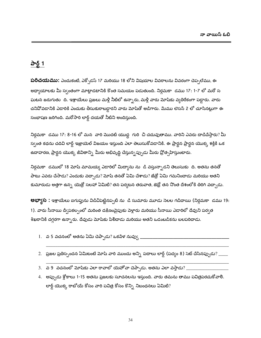## పార్ట్ 1

**పరిచయము:** ఎందుకంటే, ఎక్సోడస్ 17 మరియు 18 లోని విషయాల వివరాలను వివరంగా చెప్పలేము, ఈ అధ్యాయాలకు మీ స్వంతంగా మాట్లాడటానికి కొంత సమయం పడుతుంది. నిర్ధమకా డము 17: 1-7 లో మరో స ఘటన జరుగుతు ది. ఇశ్రాయేలు ప్రజలు మళ్లీ నీటిలో ఉన్నారు, మళ్లీ వారు మోషేకు వ్యతిరేకంగా పడ్డారు. వారు చనివోవడానికి ఎడారికి ఎందుకు తీసుకురాబడ్డారని వారు మోషేతో అడిగారు. మేము లెసన్ 2 లో చూసినట్లుగా ఈ సంభాషణ జరిగింది. మరోసారి లార్డ్ దయతో నీటిని అందిస్తుంది.

నిర్గమకా డము 17: 8-16 లో మన వారి మొదటి యుద్ధ గురి చి చదువుతాము. వారిని ఎవరు దాడిచేస్తారు? మీ స్వంత కథను చదివి లార్డ్ ఇజ్రాయెల్ విజయం ఇస్తుంది ఎలా తెలుసుకోవడానికి. ఈ ప్రార్థన ప్రార్థన యొక్క శక్తికి ఒక ఉదాహరణ, ప్రార్థన యొక్క జీవితాన్ని మీరు అభివృద్ధి చేస్తున్నప్పుడు మీరు ప్రోత్సహిస్తుంటారు.

నిర్గమకా డములో 18 మోష్ మామయ్య ఎడారిలో మిద్యాను ను డి వస్తున్నాడని తెలుసుకు ది. అతను తనతో పాటు ఎవరు చేసాడు? ఎందుకు వచ్చాడు? మోషే తనతో ఏమి చేశాడు? జేత్రో ఏమి గమనించాడు మరియు అతని కుమారుడు అత్తగా ఉన్న యెత్రో సలహా ఏమిటి? తన పర్యటన తరువాత, జెథ్రో తన నొంత దేశంలోకి తిరిగి వచ్చాడు.

**అభ్యాస :** ఇశ్రాయేలు ఐగుప్తును విడిచిపెట్టినప్పటి ను డి సుమారు మూడు సెలల గడిదాయి (నిర్గమకా డము 19: 1). వారు సీనాయి దీ్పకల్పంలో మరింత దక్షిణంవైపుకు పెళ్లారు మరియు సీనాయి ఎడారిలో దేవుని పర్వత శిఖరానికి దగ్గరగా ఉన్నారు. దేవుడు మోషేకు పిలిచాడు మరియు అతని ఒడంబడికను బలపరిచాడు.

- 1. ప 5 వచనంలో అతను ఏమి చెప్పాడు? ఒకపేళ నువ్వు \_
- $2.$  ప్రజల ప్రతిస్పందన ఏమిటంటే మోషే వారి ముందు అన్ని పదాలు లార్డ్ (పద్యం 8) సెట్ చేసినప్పుడు? \_\_\_\_\_
- $3.$  వ 9 వచనంలో మోషకు ఎలా రావాలో యెహోవా చెప్పాడు. అతను ఎలా వస్తాడు?  $\overline{.}$
- 4. అప్పుడు శ్లోకాలు 1-15 అతను ప్రజలకు సూచనలను ఇస్తుంది. వారు తమను తాము పవిత్రపరచుకోవాలి. లార్డ్ యొక్క రాబోయే కోసం వారి పవిత్ర కోసం కొన్ని నిబంధనలు ఏమిటి?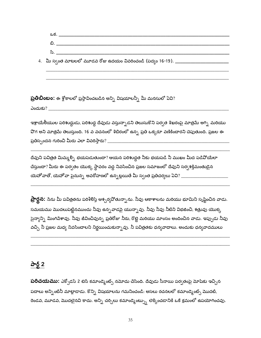- ඩ. 2008 April 2012 April 2012 April 2012 April 2012 April 2012 April 2012 April 2012 April 2013 April 2013 Apr
- 4. మీ స్వంత మాటలలో మూడవ రోజు ఉదయం వివరించండి (పద్వం 16-19). \_\_\_\_\_\_\_\_\_\_\_\_\_\_\_\_\_\_\_\_\_

 $\mathbf{\ddot{\odot}}$ లిబింబం: ఈ శ్లోకాలలో ప్రస్తావించబడిన అన్ని విషయాలన్నీ మీ మనసులో ఏవి?

<u>ఎందుకు? \_\_\_\_\_\_\_\_\_\_\_\_\_</u>

ఇశ్రాయేలీయుల పరిశుద్దుడు, పరిశుద్ద దేవుడు వస్తున్నాడని తెలుసుకొని పర్వత శిఖరంపై మాత్రమే అగ్ని మరియు .<br>వొగ అని మాత్రమే తెలుస్తుంది. 16 వ వచనంలో శిబిరంలో ఉన్న ప్రతి ఒక్కరూ వణికించారని చెపుతుంది. ప్రజల ఈ 

దేవుని పవిత్రత మిమ్మల్ని భయపెడుతుందా? ఆయన పరిశుద్ధత నీకు భయపడి నీ ముఖం మీద పడి<mark>వో</mark>యేలా చేస్తుందా? మీరు ఈ పర్వతం యొక్క స్థావరం వద్ద నివసించిన ప్రజల సమాజంలో దేవుని సర్వ<del>శ</del>క్తిమంతుడైన యెహోవాతో, యెహోవా పైనున్న అవరోహణలో ఉన్నట్లయితే మీ స్వంత ప్రతిచర్యలు ఏవి? \_\_\_\_\_\_\_\_\_\_\_\_\_\_\_\_\_\_\_\_\_\_\_\_\_\_\_\_

**ప్రార్థన:** సేను మీ పవిత్రతను పరిశీలిస్తే ఆశ్చర్యవోతున్నాను. నీవు ఆకాశాలను మరియు భూమిని సృష్టించిన వాడు. సమయము మొదలుపెట్టినముందు నీవు ఉన్న*వా*డపై యున్నావు. నీవు నీవు నీటిని విభజించి, <del>శ</del>త్రువు యొక్క సైన్యాన్ని మింగిపేశావు. నీవు జీవించివున్న ప్రతిరోజు నీరు, రొట్టె మరియు మాంసం అందించిన వాడు. ఇప్పుడు నీవు వచ్చి నీ ప్రజల మధ్య నివసించాలని నిర్ణయించుకున్నావు. నీ పవిత్రతకు ధన్యవాదాలు. అందుకు ధన్యవాదములు

### పార్ట్ 2

**పరిచయము:** ఎక్సోడస్ 2 టెన్ కమాండ్మెంట్స్ నమోదు చేసింది. దేవుడు సీనాయి పర్వతంపై మోషకు ఇచ్చిన పదాలు అన్నింటినీ మాట్లాడాడు. కొన్ని విషయాలను గమనించండి: అసలు రచనలలో కమాండ్కెంట్స్ మొదటి, రెండవ, మూడవ, మొదలైనవి కాదు. అన్ని చర్చిలు కమాండ్మెంట్స్ను లెక్కించడానికి ఒకే క్రమంలో ఉపయోగించవు.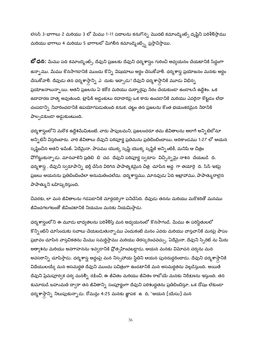లెసన్ 3-భాగాలు 2 మరియు 3 లో మేము 1-11 పదాలను కనుగొన్న మొదటి కమాండ్మెంట్స్ దృష్టిని పరిశీలిస్తాము మరియు భాగాలు 4 మరియు 5 భాగాలలో మిగిలిన కమాండ్మెంట్స్ని ప్రస్తావిస్తాయి.

**బో ధన:** మేము పది కమాండ్మెంట్స్, దేవుని ప్రజలకు దేవుని ధర్మశాస్త్రం గురించి అధ్యయనం చేయటానికి సిద్ధంగా ఉన్నాము. మేము కొనసాగడానికి ముందు కొన్ని విషయాలు అర్థం చేసుకోవాలి. ధర్మశాస్త్ర ప్రయోజనం మనకు అర్థం చేసుకోవాలి. దేవుడు తన ధర్మశాస్త్రాన్ని ఎర్దుకు ఇచ్చాడు? దేవుని ధర్మశాస్త్రానికి మూడు విభిన్న ప్రయోజనాలున్నాయి. అతని ప్రజలను ఏ కఠోర మరియు దుర్మార్గపు సేరం చేయకుండా ఉండాలసే ఉద్దేశం. ఒక ఉదాహరణ హత్య అవుతుంది. ట్రాఫిక్ అడ్డంకులు రహదారిపై ఒక కారు ఉంచడానికి మరియు ఎవరైనా కొట్టడం లేదా చంపడాన్ని నివారించడానికి ఉపయోగపడుతుంది కనుక, చట్టం తన ప్రజలను కొంత భయంకరమైన సేరానికి పాల్పడకుండా అడ్డుకుంటుంది.

ధర్మశాస్త్రంలోని మరొక ఉద్దేశమేమిటంటే, వారు పాపులమని, ప్రజలందరూ తమ జీవితాలను అలాగే అన్నిటిలోనూ అన్నిటినీ విస్తరించారు. వారి జీవితాలు దేవుని పరిపూర్ణ ప్రతిమను ప్రతిబింబించాయి, ఆదికాండము 1:27 లో ఆయన సృష్టించిన అతని ఇమేజ్. ఏదేమైనా, పాపము యొక్క సృష్టి యొక్క సృష్టికి అన్నింటికీ, మనిషి ఆ చిత్రం <mark>వోగొట్టుకున్నాడు. మానవాళిని ప్రతిబి బి చడ దేవుని పరిపూర్ణ స్వరూప విచ్ఛిన్నమై నాశన చేయబడి ది.</mark> ధర్మశాస్త్ర , దేవుని స్వరూపాన్ని భర్తీ చేసిన విరిగిన పాపాత్మకమైన చిత్ర -చూపిన అద్ద -గా తయారై -ది. సిన్ ఇకపై ప్రజలు ఆయనను ప్రతిబింబించేలా అనుమతించలేదు. ధర్మశాస్త్రము, మానవుడు ఏది అబ్రాహాము, పాపాత్మురాలైన పాపాత్కుని బహిష్కరిస్తుంది.

చివరకు, లా మన జీవితాలను గడపడానికి మార్గదర్నిగా పనిచేసేది. దేవుడు తనను మరియు మరొకరితో మనము జీవించగలగటంతో జీవించటానికి నియమం మనకు నియమిస్తాడు.

ధర్మశాస్త్రంలోని ఈ మూడు బాధ్యతలను పరిశీరిస్తే మన అధ్యయనంలో కొనసాగండి. మేము ఈ పరిస్థితులలో కొన్నింటిని చూసేందుకు సవాలు చేయబడుతున్నాము ఎందుకంటే మనం ఎవరు మరియు వాస్తవానికి మనపై పాపం ప్రభావం చూపిన వాస్తవికతను మేము సమర్థిస్తాము మరియు తిరస్కరించవచ్చు. ఏదేమైనా, దేవుని స్పిరిట్ ను మీరు అత్యాశను మరియు అవగాహనను ఇవ్వడానికి ప్రోత్సహించబడ్డాడు, ఆయన మనకు విమోచన చర్యను మన అవసరాన్ని చూపిస్తాడు. ధర్మశాస్త్ర అద్దంపై మన నిస్సహాయ స్థితిని ఆయన పునరుద్దరించాడు. దేవుని ధర్మశాస్త్రానికి విధేయులయ్యే మన అసమర్థత దేవుని ముందు పవిత్రంగా ఉండటానికి మన అసమర్థతను పెల్లడిస్తుంది. అయితే దేవుని ప్రేమపూర్వక చర్య మనల్ని రక్షించి, ఈ జీవితం మరియు జీవితం రాబోయే మనకు నిరీక్షణను ఇస్తుంది. తన కుమారుడి బహుమతి ద్వారా తన జీవితాన్ని సంపూర్ణంగా దేవుని పరిశుద్ధతను ప్రతిబింబిస్తూ, ఒక దోషం లేకుండా ధర్మశాస్తాన్ని నిలుపుకున్నాడు. రోమన్లు 4:25 మనకు జ్ఞాపక $\epsilon \in \mathbb{A}$ , "ఆయన [యేసు] మన

36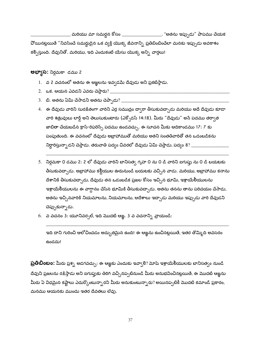మరియు మా సమర్థన కోసం \_\_\_\_\_\_\_\_\_\_\_\_\_\_\_\_\_\_\_. "అతను ఇప్పుడు" పాపము చేయక వోయినట్లయితే "నివసించే సమర్థుడైన ఒక వ్యక్తి యొక్క జీవనాన్ని ప్రతిబింబించేలా మనకు ఇప్పుడు అవకాశం కల్పిస్తుంది. దేవునితో. మరియు, ఇది ఎందుకంటే యేసు యొక్క అన్ని వార్తలు!

**అభ్యాస:** నిర్గమకా డము 2

- 1. వ 2 వచనంలో అతను ఈ ఆజ్ఞలను ఇవ్వడమే దేవుడు అని ప్రకటిస్తాడు.
- $2.$  ఒక. ఆయన ఎవడని ఎవరు చెప్తారు $2\pm$
- $3.$  బి. అతను ఏమి చేసాడని అతను చెప్పాడు? \_\_\_\_\_
- 4. ఈ దేవుడు వారిని సురక్షితంగా వారిని ఎర్ర సముద్రం ద్వారా తీసుకువచ్చాడు మరియు అదే దేవుడు కూడా వారి శత్రువులు లార్డ్ అని తెలుసుకుంటారు (ఎక్పోడస్ 14:18). మీరు "దేవుడు" అనే పదము తర్వాత జాబితా చేయబడిన క్రాస్-రిఫరెన్స్ పదము ఉండవచ్చు. ఈ సూచన మీకు ఆదికాండము 17: 7 కు పంపుతుంది. ఈ వచనంలో దేవుడు అబ్రాహాముతో మరియు అతని సంతతివారితో తన ఒడంబడికను నిర్ధారిస్తున్నాడని చెప్తాడు. తరువాతి పద్యం చివరలో దేవుడు ఏమి చెప్తాడు, పద్యం 8? \_\_\_\_
- 5. నిర్గమకా 0 డము 2: 2 లో దేవుడు వారిని బానిసత్వ గృహ 0 ను 0 డి వారిని ఐగుప్తు ను 0 డి బయటకు తీసుకువచ్చాడు. అబ్రాహాము కల్గీయుల ఊరునుండి బయటకు వచ్చిన వాడు. మరియు, అబ్రాహాము కనాను దేశానికి తీసుకువచ్చాడు, దేవుడు తన ఒడంబడిక ప్రజల కోసం ఇచ్చిన భూమి, ఇశ్రాయేలీయులను ఇశ్రాయేలీయులను ఈ వాగ్దానం చేసిన భూమికి తీసుకువచ్చాడు. అతను తనను తాను పరిచయం చేసాడు, అతను ఇచ్చినవారికి నియమాలను, నియమాలను, ఆదేశాలు ఇచ్చాడు మరియు ఇప్పుడు వారి దేవుడని చెప్పుకున్నాడు.
- 6. వ వచనం 3: యూనివర్సల్, ఇది మొదటి ఆజ్ఞ. 3 వ వచనాన్ని వ్రాయండి:

ఇది దాని గురించి ఆలోచించడం అద్భుతమైన ఉంది! ఈ ఆజ్ఞను ఉంచినట్లయితే, ఇతర తొమ్మిది అవసరం ఉండదు!

**ప్రతిబింబం:** మీరు ప్రశ్న అడగవచ్చు: ఈ ఆఙ్ఞకు ఎందుకు ఇవ్వాలి? మోషే ఇశ్రాయేలీయులకు బానిసత్వం నుండి దేవుని ప్రజలను రక్షిస్తాడు అని ఐగుప్తుకు తిరిగి వచ్చినప్పటినుండి మీరు అనుభవించినట్లయితే, ఈ మొదటి ఆజ్ఞను మీరు ఏ విధమైన కష్టాలు ఎదుర్కొంటున్నారని మీరు అనుకుంటున్నారు? అయినప్పటికీ మొదటి కమాండ్ ప్రకారం, మనము ఆయనకు ముందు ఇతర దేవతలు లేవు.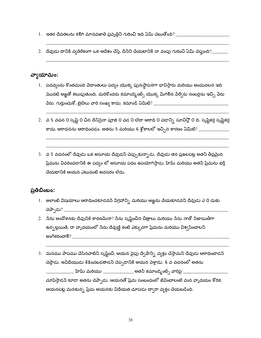- $1.$  ఇతర దేవతలను కలిగి మానవజాతి ప్రవృత్తిని గురించి ఇది ఏమి చెబుతోంది? \_\_\_\_\_\_\_
- 2. దేవుడు దానికి వ్వతిరేకంగా ఒక ఆదేశం చేస్తే, దీనిని చేయటానికి నా వంపు గురించి ఏమి చెప్తుంది?\_\_\_\_\_\_\_

#### వ్యాయామం:

- 1. పదవ్యంను కొంతమంది పేదాంతులు పద్యం యొక్క పునఃస్థాపనగా భావిస్తారు మరియు అందువలన ఇది మొదటి ఆఙ్ఞతో కలుపుతుంది. మరికొందరు కమాండ్మెంట్స్ యొక్క మిగిలిన పేర్వేరు నంబర్లను ఇచ్చి పేరు
- 2. వ 5 వచన 0 సృష్టి 0 చిన దేనిసైనా పూజి 0 చడ 0 లేదా ఆరాధి 0 చడాన్ని సూచిస్తో 0 ది. సృష్టికర్త సృష్టికర్త కాదు, ఆరాధనను ఆరాధించడం. అతను 5 మరియు 6 శ్లోకాలలో ఇచ్చిన కారణం ఏమిటి? \_\_\_\_\_\_\_\_\_\_\_\_\_\_
- 3. వ 5 వచనంలో దేవుడు ఒక అసూయ దేవుడని చెప్పుకున్నాడు. దేవుడు తన ప్రజలపట్ల అతని తీవ్రమైన ప్రేమను వివరించడానికి ఈ పద్యం లో అసూయ పదం ఉపయోగిస్తాడు; హిమ్ మరియు అతని ప్రేమను భర్తీ చేయటానికి ఆయన ఎటువంటి అవసరం లేదు.

#### ప్రతిబింబం:

- 1. అలాంటి విషయాలు ఆరాధించకూడదనే విగ్రహాన్సి మరియు ఆజ్ఞను చేయకూడదని దేవుడు ఎ 0 దుకు చెప్పాడు?  $\_$
- 2. నేను ఆందోళనకు దేవునికి కారణమేనా? నేను సృష్టించిన చిత్రాలు మరియు నేను నాతో నిజాయితీగా ఉన్నట్లయితే, నా హృదయంలో సేను దేవుణ్ణి కంటే ఎక్కువగా ప్రేమను మరియు విశ్వసించాలని అంగీకరించాలి? కార్య కార్య కార్య కార్య కార్య కార్య కార్య కార్య కార్య కార్య కార్య కార్య కార్య కార్య కార్య కార్య
- 3. మనము పాపము చేసినవాటిని సృష్టించి, ఆయన వైపు ద్వేషాన్ని వ్యక్తం చేస్తామని దేవుడు ఆరాధించాడని చెప్తాడు. అవిధేయుడు శిక్షించబడతాడని చెప్పడానికి ఆయన పెళ్తాడు. 6 వ వచనంలో అతను ిహెమ్ మరియు \_\_\_\_\_\_\_\_\_\_\_\_\_\_\_ అతని కమాండ్మెంట్స్ వారిపై \_\_\_\_\_\_ చూపిస్తాడని కూడా అతను చెప్పాడు. ఆయనతో ప్రేమ సంబంధంలో జీవించాలంటే మన హృదయం కోరిక. ఆయనపట్ల మనకున్న ప్రేమ ఆయనకు విధేయత చూపడం ద్వారా వ్యక్తం చేయబడింది.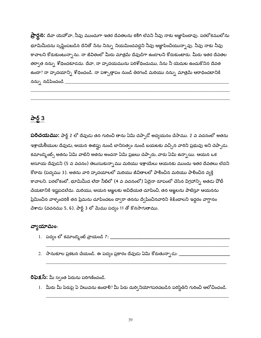**ప్రార్ధన:** దేవా యెహోవా, నీవు ముందుగా ఇతర దేవతలను కలిగి లేవని నీవు నాకు ఆజ్ఞాపించావు. పరలోకములోను భూమిమీదను సృష్టింపబడిన దేనితో సేను నిన్ను నియమించవద్దని నీవు ఆజ్ఞాపించియున్నావు. నీవు నాకు నీవు కావాలని కోరుకుంటున్నాను. నా జీవితంలో మీరు మాత్రమే దేవుడిగా ఉండాలని కోరుకుంటారు. మీరు ఇతర దేవతల తర్వాత నన్ను శోధించకూడదు. దేవా, నా హృదయమును పరిశోధించుము, సేను నీ యెదుట ఉంచుకొనిన దేవత ఉందా? నా హృదయాన్ని శోధించండి. నా పశ్చాత్తాపం నుండి తిరగండి మరియు నన్ను మాత్రమే ఆరాధించటానికి నన్ను నడిపించండి  $\frac{1}{1}$ 

# పార్ట్ 3

**పరిచయము:** పార్ట్ 2 లో దేవుడు తన గురించి తాను ఏమి చెప్పాడో అధ్యయనం చేసాము. 2 వ వచనంలో అతను ఇశ్రాయేలీయుల దేవుడు, ఆయన ఈజిఫ్టు నుండి బానిసత్వం నుండి బయటకు వచ్చిన వారిని ప్రభువు అని చెప్పాడు. కమాండ్మెంట్స్ అతను ఏమి వాటిని అతను అంచనా ఏమి ప్రజలు చెప్పారు, వారు ఏమి ఉన్నాయి. ఆయన ఒక అసూయ దేవుడని (5 వ వచనం) తెలుసుకున్నాము మరియు ఇశ్రాయేలు ఆయనకు ముందు ఇతర దేవతలు లేదని కోరారు (పద్యము 3). అతను వారి హృదయాలలో మరియు జీవితాలలో పాలించిన మరియు పాలించిన వ్యక్తి కావాలని. పరలోకంలో, భూమిమీద లేదా నీటిలో (4 వ వచనంలో) ఏదైనా రూపంలో చేసిన విగ్రహాన్ని అతడు పోటీ చేయటానికి ఇష్టపడలేదు. మరియు, ఆయన ఆజ్ఞలకు అవిధేయత చూపించి, తన ఆజ్ఞలను పాటిస్తూ ఆయనను ప్రేమించిన వాళ్ళందరికీ తన ప్రేమను చూపించటం దా్ారా తనను ద్వేషించినవారిని శిక్షించాలని ఇద్దరం వాగ్దానం చేశాడు (వచనము 5, 6). పార్ట్ 3 లో మేము పద్యం 11 తో కొనసాగుతాము.

#### వ్యాయామం:

- 
- 

**రిఫెక్షస్:** మీ స్వంత పేరును పరిగణించండి.

1. మీరు మీ పేరుపై ఏ విలువను ఉంచాలి? మీ పేరు దుర్వినియోగపరచబడిన పరిస్థితిని గురించి ఆలోచించండి.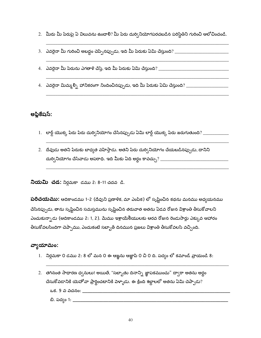- 2. మీరు మీ పేరుపై ఏ విలువను ఉంచాలి? మీ పేరు దుర్వినియోగపరచబడిన పరిస్థితిని గురించి ఆలోచించండి.
- 3. ఎవరైనా మీ గురించి అబద్దం చెప్పినప్పుడు, ఇది మీ పేరుకు ఏమి చేస్తుంది? \_\_\_\_\_\_\_\_\_\_\_\_\_\_\_\_\_\_\_\_\_\_\_\_\_
- 4. ఎవరైనా మీ పేరును ఎగతాళి చేస్తే, ఇది మీ పేరుకు ఏమి చేస్తుంది? \_\_\_\_\_\_\_\_\_\_\_\_\_\_\_\_\_\_\_\_\_\_\_\_\_\_\_\_\_\_\_\_\_\_
- 4. ఎవరైనా మిమ్మల్ని హానికరంగా నిందించినప్పుడు, ఇది మీ పేరుకు ఏమి చేస్తుంది? \_\_\_\_\_\_\_\_\_\_\_\_\_\_\_\_\_\_\_\_\_\_\_\_

#### అప్లికేషస్:

- 1. లార్డ్ యొక్క పేరు పేరు దుర్వినియోగం చేసినప్పుడు ఏమి లార్డ్ యొక్క పేరు జరుగుతుంది? \_\_\_\_\_\_\_\_\_\_\_
- 2. దేవుడు అతని పేరుకు బాధ్యత వహిస్తాడు. అతని పేరు దుర్వినియోగం చేయబడినప్పుడు, దానిని

**నియమి చడ:** నిర్గమకా డము 2: 8-11 చదవ డి.

**పరిచయము:** ఆదికాండము 1-2 (దేవుని ప్రణాళిక, మా ఎంపిక) లో సృష్టించిన కథను మనము అధ్యయనము చేసినప్పుడు, తాను సృష్టించిన సమస్తమును సృష్టించిన తరువాత అతను ఏడవ రోజున విశ్రాంతి తీసుకోవాలని ఎంచుకున్నాడు (ఆదికాండము 2: 1, 2). మేము ఇశ్రాయేలీయులకు ఆరవ రోజున రెండుసార్లు ఎక్కువ ఆహారం తీసుకోవలసిందిగా చెప్పాము, ఎందుకంటే సబ్బాత్ దినమున ప్రజలు విశ్రాంతి తీసుకోవలసి వచ్చింది.

#### వ్యాయామం:

- 1. నిర్గమకా 0 డము 2: 8 లో మన 0 ఈ ఆజ్ఞను ఆజ్ఞాపి 0 చి 0 ది. పద్యం లో కమాండ్ వ్రాయండి 8:
- 2. తగినంత సాధారణ ధ్వనులు! అయితే, "సబ్బాతు దినాన్ని జ్ఞాపకముంచు" ద్వారా అతను అర్థం చేసుకోవడానికి యెహోవా ప్రార్థించటానికి పెళ్ళాడు. ఈ క్రింది శబ్దాలలో అతను ఏమి చెప్పాడు? ఒక. 9 వ వచనం: \_\_\_\_\_\_\_\_\_\_\_\_ బి. పద్యం 1: \_\_\_\_\_\_\_\_\_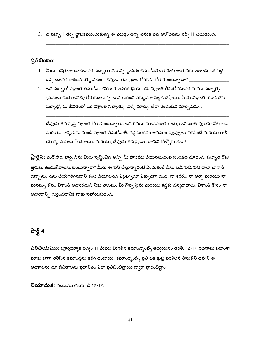3. వ సబ్బా11 త్ను జ్ఞాపకముంచుకున్న ఈ మొత్తం అగ్ని వెనుక తన ఆలోచనను వెర్స్ 11 చెబుతుంది:

#### ప్రతిబింబం:

- 1. మీరు పవిత్రంగా ఉంచడానికి సబ్బాతు దినాన్ని జ్ఞాపకం చేసుకోవడం గురించి ఆయనకు అలాంటి ఒక పెద్ద ఒప్పందానికి కారణమయ్యే విధంగా దేవుడు తన ప్రజల కోరికను కోరుకుంటున్నాడా $?$  \_
- 2. ఇది సబ్బాత్లో విశ్రాంతి తీసుకోవడానికి ఒక ఆసక్తికరమైన పని. విశ్రాంతి తీసుకోవటానికి మేము సబ్బాత్పై (పనులు చేయాలసేది) కోరుకుంటున్న దాని గురించి ఎక్కువగా పెల్లడి చేస్తాయి. మీరు విశ్రాంతి రోజున చేసే సబ్బాత్లో, మీ జీవితంలో ఒక విశ్రాంతి సబ్బాత్కు పెళ్ళే మార్పు లేదా రెండింటిని మార్చవచ్చు?

దేవుడు తన సృష్టి విశ్రాంతి కోరుకుంటున్నారు. ఇది కేవలం మానవజాతి కాదు, కానీ జంతువులను వేటగాడు మరియు కార్మికుడు నుండి విశ్రాంతి తీసుకోవాలి. గడ్డి పెరగడం అవసరం; పువ్వులు వికసించే మరియు గాలి యొక్క పక్షులు పాడతాయి. మరియు, దేవుడు తన ప్రజలు దానిని కోల్పోకూడదు!

**ప్రార్థన:** మరోసారి, లార్డ్, సేను మీరు సృష్టించిన అన్ని మీ పాపము చేయనటువంటి సంరక్షణ చూడండి. సబ్బాత్ రోజు జ్ఞాపకం ఉంచుకోవాలనుకుంటున్నారా? మీరు ఈ పని చేస్తున్నారంటే ఎందుకంటే నేను పని, పని, పని <mark>చాలా బాగానే</mark> ఉన్నాను. సేను చేయగలిగినదాని కంటే చేయాలసేది ఎల్లప్పుడూ ఎక్కువగా ఉంది. నా శరీరం, నా ఆత్మ మరియు నా మనస్సు కోసం విశ్రాంతి అవసరమని నీకు తెలుసు. మీ గొప్ప ప్రేమ మరియు శ్రద్దకు ధన్యవాదాలు. విశ్రాంతి కోసం నా అవసరాన్ని గుర్తించడానికి నాకు సహాయపడండి. \_

# పార్ట్ 4

**పరిచయము:** పూర్తయ్యాక పద్యం 11 మేము మిగిలిన కమాండ్మెంట్స్ అధ్యయనం తరలి. 12-17 వచనాలు బహుశా మాకు బాగా తెలిసిన కమాండ్లను కలిగి ఉంటాయి. కమాండ్మెంట్స్ ప్రతి ఒక క్లుప్త పరిశీలన తీసుకొని దేవుని ఈ ఆదేశాలను మా జీవితాలను ప్రభావితం ఎలా ప్రతిబింబిస్తాయి ద్వారా ప్రారంభిద్ధాం.

**నియామక:** వచనము చదవ డి 12-17.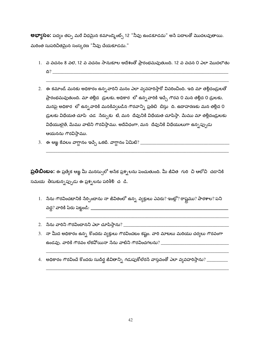**అభ్యాసం:** పద్యం తప్ప మరే విధమైన కమాండ్మెంట్స్ 12 "నీవు ఉండకూడదు" అనే పదాలతో మొదలవుతాయి. మరింత సుపరిచితమైన సంస్కరణ "నీవు చేయకూడదు."

- 1. వ వచనం 8 వలె, 12 వ వచనం సానుకూల ఆదేశంతో ప్రారంభమవుతుంది. 12 వ వచన 0 ఎలా మొదలాతు  $\Delta$ ?
- 2. ఈ కమాండ్ మనకు అధికారం ఉన్న వారిని మనం ఎలా వ్యవహరిస్తారో వివరించింది. ఇది మా తల్లిదండ్రులతో ప్రారంభమవుతుంది. మా తల్లిద డ్రులకు, అధికార లో ఉన్న వారికి ఇచ్చే గౌరవ 0 మన తల్లిద 0 డ్రులకు, మనపై అధికార లో ఉన్న వారికి మనకివ్వబడిన గౌరవాన్ని ప్రతిబి బిస్తు ది. ఉదాహరణకు మన తల్లిద 0 డ్రులకు విధేయత చూపి చడ నేర్చుకు టే, మన దేవునికి విధేయత చూపిస్తా. మేము మా తల్లిదండ్రులకు విధేయులైతే, మేము వాటిని గౌరవిస్తాము. అదేవిధంగా, మన దేవునికి విధేయులుగా ఉన్నప్పుడు ఆయనను గౌరవిస్తాము.
- 

ప్రతిబింబం: ఈ ప్రత్యేక ఆజ్ఞ మీ మనస్సులో అసేక ప్రశ్నలను పెంచుతుంది. మీ జీవిత గురి చి ఆలోచి చడానికి సమయ తీసుకున్నప్పుడు ఈ ప్రశ్నలను పరిశీలి చ డి.

- 1. నేను గౌరవించటానికి సేర్పించాను నా జీవితంలో ఉన్న వ్యక్తులు ఎవరు? ఇంట్లో? రాష్టము? పాఠశాల? పని
- 
- 3. నా మీద అధికారం ఉన్న కొందరు వ్యక్తులు గౌరవించటం కష్టం. వారి మాటలు మరియు చర్యలు గౌరవంగా
- 4. అధికారం గౌరవించే కొందరు సుదీర్ఘ జీవితాన్ని గడుపుకోలేరసే వాస్తవంతో ఎలా వ్యవహరిస్తాను? \_\_\_\_\_\_\_\_\_\_\_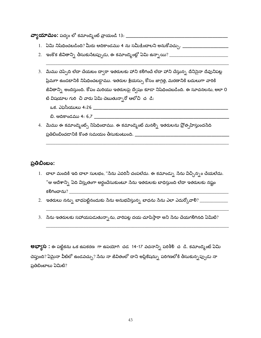- 
- 2. ఇంకొక జీవితాన్ని తీసుకుసేటప్పుడు, ఈ కమాండ్మెంట్లో ఏమి ఉన్నాయి? \_\_\_\_\_\_\_\_\_\_\_\_\_\_\_\_\_\_\_\_\_\_\_\_\_\_\_\_\_\_\_
- 3. మేము చెప్పేది లేదా చేయటం ద్వారా ఇతరులకు హాని కలిగించే లేదా హాని చేస్తున్న దేనిసైనా దేవునిపట్ల ప్రేమగా ఉండటానికి నిషేధించబడ్డాము. ఇతరుల శ్రేయస్సు కోసం జాగ్రత్త, మరణానికి బదులుగా వారికి జీవితాన్ని అందిస్తుంది. కోపం మరియు ఇతరులపై ద్వేషం కూడా నిషేధించబడింది. ఈ సూచనలను, అలా 0 టి విషయాల గురి చి వారు ఏమి చెబుతున్నారో ఆలోచి చ డి:
	-
	-
- 4. మేము ఈ కమాండ్మెంట్స్ నిషేధించాము. ఈ కమాండ్మెంట్ మనల్ని ఇతరులను ప్రోత్సహిస్తుందనేది

#### ప్రతిబింబం:

- 1. చాలా మందికి ఇది చాలా సులభం, "సేను ఎవరినీ చంపలేదు. ఈ కమాండ్సు సేను విచ్చిన్నం చేయలేదు. "ఆ ఆదేశాన్ని ఏది విస్తృతంగా అర్థంచేసుకుంటూ సేను ఇతరులకు బాధిస్తుంది లేదా ఇతరులకు నష్టం
- 2. ఇతరులు నన్ను బాధపెట్టినందుకు సేను అనుభవిస్తున్న బాధను సేను ఎలా ఎదుర్కోవాలి? \_\_\_\_\_\_\_\_\_\_\_\_\_\_\_
- 3. నేను ఇతరులకు సహాయపడుతున్నాను, వారిపట్ల దయ చూపిస్తారా అని నేను చేయగలిగినది ఏమిటి?

**లభ్యాస**: ఈ పట్టికను ఒక ఉపకరణ గా ఉపయోగి చడ 14-17 వచనాన్ని పరిశీలి చ డి. కమాండ్మెంట్ ఏమి చెప్తుంది? ఏమైనా వీటిలో ఉండవచ్చు? సేను నా జీవితంలో దాని అప్లికేషన్ను పరిగణలోకి తీసుకున్నప్పుడు నా ప్రతిబింబాలు ఏమిటి?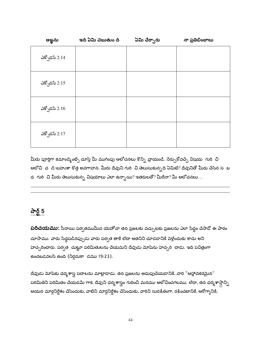| ఆఙ్ఞను          | ఇది ఏమి చెబుతుం ది | ఏమి చేర్చారు | నా ప్రతిబింబాలు |
|-----------------|--------------------|--------------|-----------------|
| ఎక్సోడస్ $2:14$ |                    |              |                 |
| ఎక్సోడస్ $2:15$ |                    |              |                 |
| ఎక్సోడస్ $2:16$ |                    |              |                 |
| ఎక్సోడస్ $2:17$ |                    |              |                 |

మీరు పూర్తిగా కమాండ్మెంట్స్ చూస్తే మీ ముగింపు ఆలోచనలు కొన్ని *వ్రాయం*డి. సేర్చుకోవచ్చే విషయ గురి చి ఆలోచి చ డి-బహుశా కొత్త అవగాహన. మీరు దేవుని గురి చి తెలుసుకున్నది ఏమిటి? దేవునితో మీరు చేసిన స బ ధ  $\,$ గురి -చి మీరు తెలుసుకున్న విషయాలు ఎలా ఉన్నాయి? ఇతరులతో? మీరేనా? మీ ఆలోచనలు...

# పార్ట్ 5

**పరిచయము:** సీనాయి పర్వతముమీద యెహోవా తన ప్రజలకు వచ్చుటకు ప్రజలను ఎలా సిద్దం చేసాడో ఈ పాఠం చూసాము. వారు సిద్ధపడినప్పుడు వారు పర్వత తాకే లేదా అతనిని చూడడానికి పెళ్లేందుకు కాదు అని హెచ్చరించారు. పర్వత చుట్టూ పరిమితులను చేయమని దేవుడు మోషేను హెచ్చరి చాడు. ఇది పవిత్రంగా ఉంచబడవలసి ఉంది (నిర్గమకా డము 19:23).

దేవుడు మోషేకు ధర్మశాస్త్ర పదాలను మాట్లాడాడు. తన ప్రజలను అదుపుచేయడానికి, వారి "ఆహ్లాదకరమైన" పరిమితిని పరిమితం చేయడమే గాక, దేవుని ధర్మశాస్త్రం గురించి మనము ఆలోచించగలము. లేదా, తన ధర్మశాస్త్రాన్ని ఆయన మార్గనిర్దేశం చేసేందుకు, వాటిని మార్గనిర్దేశం చేసేందుకు, వారిని సురక్షితంగా, రక్షించటానికి, ఆరోగ్యానికి,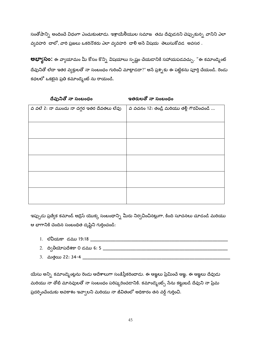సంతోషాన్ని అందించే విధంగా ఎంచుకుంటాడు. ఇశ్రాయేలీయుల సమాజ తమ దేవుడనని చెప్పుకున్న వానిని ఎలా వ్యవహరి చాలో, వారి ప్రజలు ఒకరినొకరు ఎలా వ్యవహరి చాలి అసే విషయ తెలుసుకోవడ అవసర .

**అభ్యాసం:** ఈ వ్యాయామం మీ కోసం కొన్ని విషయాలు స్పష్టం చేయడానికి సహాయపడవచ్చు. "ఈ కమాండ్మెంట్ దేవునితో లేదా ఇతర వ్యక్తులతో నా సంబంధం గురించి మాట్లాడదా?" అసే ప్రశ్నకు ఈ పట్టికను పూర్తి చేయండి. రెండు కధలలో ఒకటైన ప్రతి కమాండ్మెంట్ ను రాయండి.

| వ వలే 2: నా ముందు నా దగ్గర ఇతర దేవతలు లేవు | వ వచనం 12: తండ్రి మరియు తల్లి గౌరవించండి |
|--------------------------------------------|------------------------------------------|
|                                            |                                          |
|                                            |                                          |
|                                            |                                          |
|                                            |                                          |
|                                            |                                          |
|                                            |                                          |

| దేవునితో నా సంబంధం |  |  |
|--------------------|--|--|
|--------------------|--|--|

ఇతరులతో నా సంబంధం

ఇప్పుడు ప్రత్యేక కమాండ్ అడ్రెస్ యొక్క సంబంధాన్ని మీరు నిర్వచించినట్లుగా, కింది సూచనలు చూడండి మరియు ఆ భాగానికి చెందిన సంబంధిత దృష్టిని గుర్తించండి:

- 
- 
- 

యేసు అన్ని కమాండ్మెంట్లను రెండు ఆదేశాలుగా సంక్షిప్తీకరించాడు. ఈ ఆఙ్ఞలు ప్రేమించే ఆఙ్ఞ. ఈ ఆఙ్ఞలు దేవుడు మరియు నా తోటి మానవులతో నా సంబంధం పరిష్కరించడానికి. కమాండ్మెంట్స్ సేను కట్టుబడి దేవుని నా ప్రేమ ప్రదర్భించేందుకు అవకాశం ఇవ్వాలని మరియు నా జీవితంలో అధికారం తన వర్డ్ గుర్తించి.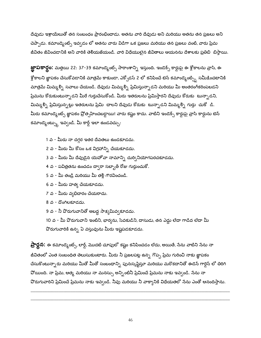దేవుడు ఇశ్రాయేలుతో తన సంబంధం ప్రారంభించాడు. అతను వారి దేవుడు అని మరియు అతను తన ప్రజలు అని చెప్పాడు. కమాండ్మెంట్స్ ఇవ్వడం లో అతను వారు విడిగా ఒక ప్రజలు మరియు తన ప్రజలు వంటి, వారు ప్రేమ జీవితం జీవించడానికి అని వారికి తెలియజేయండి. వారి విధేయులైన జీవితాలు ఆయనను దేశాలకు ప్రతిబి బిస్తాయి.

**జ్ఞాపకార్థం:** మత్తయి 22: 37-39 కమాండ్మెంట్స్ సారాంశాన్ని ఇస్తుంది. ఇండెక్స్ కార్డుపై ఈ శ్లోకాలను వ్రాసి, ఈ <sup>క్లో</sup>కాలని జ్ఞాపకం చేసుకోవడానికి మాత్రమే కాకుండా, ఎక్సోడస్ 2 లో కనిపించే టెన్ కమాండ్మెంట్స్తి సమీ<sub>కీ</sub>ంచటానికి మాత్రమే మిమ్మల్ని సవాలు చేయండి. దేవుడు మిమ్మల్ని ప్రేమిస్తున్నాడని మరియు మీ అంతరంగీకరింపబడని ప్రేమను కోరుకుంటున్నాడని మీరే గుర్తుచేసుకోండి. మీరు ఇతరులను ప్రేమిస్తారని దేవుడు కోరుకు టున్నాడని, మిమ్మల్ని ప్రేమిస్తున్నట్లు ఇతరులను ప్రేమి చాలని దేవుడు కోరుకు టున్నాడని మిమ్మల్ని గుర్తు చుకో డి. మీరు కమాండ్మెంట్స్ జ్ఞాపకం ప్రోత్సహించబడ్డాయి! వారు కష్టం కాదు. వాటిని ఇండెక్స్ కార్డుపై వ్రాసి కార్డును టెన<mark>్</mark> కమాండ్మెంట్స్కు ఇవ్వండి. మీ కార్డ్ ఇలా ఉండవచ్చు:

- 1 వ మీరు నా దగ్గర ఇతర దేవతలు ఉండకూడదు.
- 2 వ మీరు మీ కోసం ఒక విగ్రహాన్ని చేయకూడదు.
- 3 వ మీరు మీ దేవుడైన యెహోవా నామాన్ని దుర్వినియోగపరచకూడదు.
- 4 వ పవిత్రతను ఉంచడం ద్వారా సబ్బాత్ రోజు గుర్తుంచుకో.
- 5 వ మీ తండ్రి మరియు మీ తల్లి గౌరవించండి.
- 6 వ మీరు హత్య చేయకూడదు.
- 7 వ మీరు వ్యభిచారం చేయరాదు.
- 8 వ దొంగిలకూడదు.
- 9 వ నీ పొరుగువానితో అబద్ధ సాక్షమివ్వకూడదు.

10 వ - మీ పొరుగువాని ఇంటిని, భార్యను, సేవకుడిని, దాసుడు, తన ఎద్దు లేదా గాడిద లేదా మీ వొరుగువారికి ఉన్న ఏ వస్తువును మీరు ఇష్టపడకూడదు.

**ప్రార్దన:** ఈ కమాండ్మెంట్స్, లార్డ్, మొదటి చూపులో కష్టం కనిపించడం లేదు, అయితే, సేను వాటిని సేను నా జీవితంలో ఎంత సంబంధిత తెలుసుకుంటారు. మీరు నీ ప్రజలపట్ల ఉన్న గొప్ప ప్రేమ గురించి నాకు జ్ఞాపకం చేసుకొంటున్నారు మరియు మీతో మీతో సంబంధాన్ని పునఃసృష్టిస్తూ మరియు మరొకదానితో ఈడెన్ గార్డెన్ లో తిరిగి వోయింది. నా ప్రేమ, ఆత్మ మరియు నా మనస్సు అన్నింటినీ ప్రేమించే ప్రేమను నాకు ఇవ్వండి. సేను నా వొరుగువారిని ప్రేమించే ప్రేమను నాకు ఇవ్వండి. నీవు మరియు నీ వాక్యానికి విధేయతలో నేను ఎంతో ఆనందిస్తాను.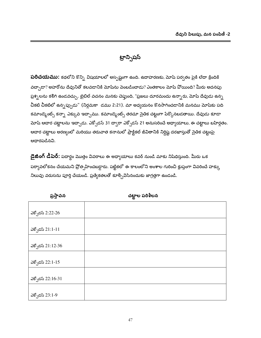ట్రాన్ఫిషస్

**పరిచయము:** కథలోని కొన్ని విషయాలలో అస్పష్టంగా ఉంది. ఉదాహరణకు, మోషే పర్వతం పైకి లేదా క్రిందికి వద్చాడా? అహరోను దేవునితో కలవడానికి మోషేను పెంబడించాడు? ఎంతకాలం మోషే పోయింది? మీరు అదనపు ప్రశ్నలను కలిగి ఉండవచ్చు. బైబిల్ వచనం మనకు చెప్తుంది, "ప్రజలు దూరమందు ఉన్నారు, మోషే దేవుడు ఉన్న చీకటి చీకటిలో ఉన్నప్పుడు" (నిర్గమకా డము 2:21). మా అధ్యయనం కొనసాగించడానికి మనము మోషకు పది కమాండ్మెంట్స్ కన్నా ఎక్కువ ఇచ్చాము. కమాండ్మెంట్స్ తరచూ సైతిక చట్టంగా పేర్కొనటడతాయి. దేవుడు కూడా మోషే ఆచార చట్టాలను ఇచ్చాడు. ఎక్సోడస్ 31 ద్వారా ఎక్సోడస్ 21 అనుసరించే అధ్యాయాలు, ఈ చట్టాలు బహిర్గతం. ఆదార చట్టాలు అరణ్యంలో మరియు తరువాత కనానులో ప్రాక్టికల్ జీవితానికి నిర్దిష్ట దరఖాస్తుతో సైతిక చట్టంపై ఆధారపడినవి.

**డైజింగ్ డీపెర్:** పదార్థం మొత్తం వివరాలు ఈ అధ్యాయాలు కవర్ నుండి మాకు నిషేధిస్తుంది. మీరు ఒక పర్యావలోకనం చేయమని ప్రోత్సహించబడ్డారు. పట్టికలో ఈ కాలంలోని అంశాల గురించి క్లుప్తంగా వివరించే హక్కు నిలువు వరుసను పూర్తి చేయండి. ప్రత్యేకతలతో కూర్చివేసినందుకు జాగ్రత్తగా ఉండండి.

| ନିଦିରର            | ္လာမွ်ဳိးစု ၁၀ ရက္ |
|-------------------|--------------------|
|                   |                    |
| ఎక్సోడస్ 2:22-26  |                    |
|                   |                    |
| ఎక్ఫోడస్ 21:1-11  |                    |
|                   |                    |
| ఎక్సోడస్ 21:12-36 |                    |
|                   |                    |
| ఎక్ఫోడస్ 22:1-15  |                    |
|                   |                    |
| ఎక్ఫోడస్ 22:16-31 |                    |
|                   |                    |
| ఎక్ఫోడస్ 23:1-9   |                    |

 $\overline{a}$ 

 $x_1, x_2, x_3, x_4$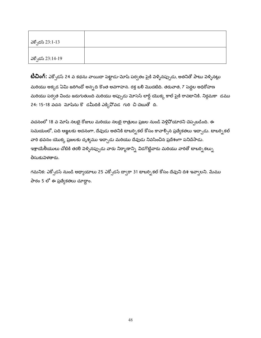| ఎక్ఫోడస్ 23:1-13  |  |
|-------------------|--|
| ఎక్సోడస్ 23:14-19 |  |

**టీచింగ్:** ఎక్సోడస్ 24 వ కథను వాయిదా పెట్టాడు-మోషే పర్వతం పైకి వెళ్ళినప్పుడు, అతనితో పాటు వెళ్ళినట్లు మరియు అక్కడ ఏమి జరిగిందో అన్నది కొంత అవగాహన. రక్త బలి మొదటిది. తరువాత, 7 పెద్దల అధిరోహణ మరియు పర్వత విందు జరుగుతుంది మరియు అప్పుడు మోసెస్ లార్డ్ యొక్క కాల్ పైకి రావటానికి. నిర్గమకా డము 24: 15-18 వచన మోషేను కొ డమీదికి ఎక్కివోవడ గురి చి చెబుతో ది.

వచనంలో 18 వ మోషే నలబై రోజులు మరియు నలబై రాత్రులు ప్రజల నుండి వెళ్లిపోయారని చెప్పబడింది. ఈ సమయంలో, పది ఆజ్ఞలకు అదనంగా, దేవుడు అతనికి టాబర్సి కల్ కోసం కావాల్సిన ప్రత్యేకతలు ఇచ్చాడు. టాబర్సి కల్ వారి భవనం యొక్క ప్రజలకు దృశ్యము ఇచ్చాడు మరియు దేవుడు నివసించిన ప్రదేశంగా పనిచేసాడు. ఇశ్రాయేలీయులు చోటికి తరలి పెళ్ళినప్పుడు వారు నిర్మాణాన్ని విడగొట్టేవారు మరియు వారితో టాబర్నికల్ను తీసుకుపెళతారు.

గమనిక: ఎక్బోడస్ నుండి అధ్యాయాలు 25 ఎక్బోడస్ ద్వారా 31 టాబర్నికల్ కోసం దేవుని దిశ ఇవ్వాలని. మేము పాఠం 5 లో ఈ ప్రత్యేకతలు చూద్దాం.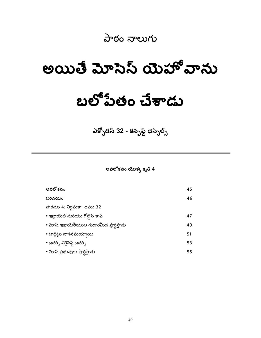# పాఠం నాలుగు

# అయితే మోసెస్ యెహో వాను

# బలోపేతం చేశాడు

ఎక్సోడస్ 32 - కన్ఫస్డ్ థెస్సేల్స్

అవలోకనం యొక్క కృతి 4

| అవలోకనం                                    | 45 |
|--------------------------------------------|----|
| పరిచయం                                     | 46 |
| పాఠము 4: నిర్గమకా డము 32                   |    |
| • ఇజ్రాయెల్ మరియు గోలైన్ కాఫ్              | 47 |
| • మోష ఇశ్రాయేలీయుల గుడారమీద ప్రార్థిస్తాడు | 49 |
| • టాబ్లెట్లు నాశనమయ్యాయి                   | 51 |
| • బ్రదర్స్ ఎగైనెస్ట్ బ్రదర్స్              | 53 |
| • మోషి ప్రభువుకు ప్రార్ధిస్తాడు            | 55 |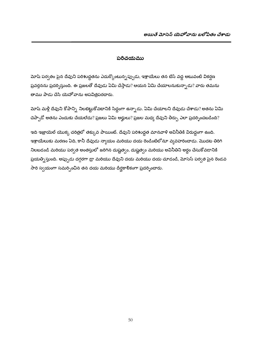#### పరిచయము

మోషే పర్వతం పైన దేవుని పరిశుద్ధతను ఎదుర్కొంటున్నప్పుడు, ఇశ్రాయేలు తన బేస్ వద్ద అటువంటి వికర్షణ ప్రవర్తనను ప్రదర్నిస్తుంది. ఈ ప్రజలతో దేవుడు ఏమి చేస్తాడు? ఆయన ఏమి చేయాలనుకున్నాడు? వారు తమను తాము పాడు చేసి యెహోవాను అపవిత్రపరచారు.

మోష మళ్లీ దేవుని కోపాన్ని నిలబెట్టుకోవటానికి సిద్ధంగా ఉన్నాడు. ఏమి చేయాలని దేవుడు చేశాడు? అతను ఏమి చెప్పాడో అతను ఎందుకు చేయలేదు? ప్రజలు ఏమి అర్హులు? ప్రజల మధ్య దేవుని తీర్పు ఎలా ప్రదర్శించబడింది?

ఇది ఇజ్రాయెల్ యొక్క చరిత్రలో తక్కువ పాయింట్. దేవుని పరిశుద్ధత మానవాళి అవినీతికి విరుద్దంగా ఉంది. ఇశ్రాయేలుకు మరణం ఏది, కానీ దేవుడు న్యాయం మరియు దయ రెండింటిలోనూ వ్యవహరించాడు. మొదట తిరిగి నిలబడండి మరియు పర్వత అంతస్తులో జరిగిన దుష్టత్వం, దుష్టత్వం మరియు అవినీతిని అర్థం చేసుకోవడానికి ప్రయత్నిస్తుంది. అప్పుడు దగ్గరగా డ్రా మరియు దేవుని దయ మరియు దయ చూడండి, మోసెస్ పర్వత పైన రెండవ సారి స్వయంగా సమర్పించిన తన దయ మరియు దీర్ఘకాలికంగా ప్రదర్భించారు.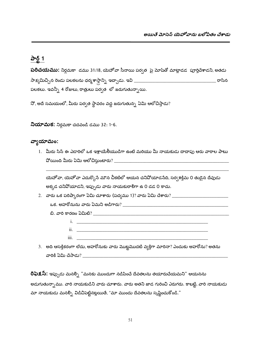# పార్ట్ 1

**పరిచయము:** నిర్గమకా డము 31:18, యెహోవా సీనాయి పర్వత పై మోషేతో మాట్లాడడ పూర్తిచేశాడని, అతడు ్ర కాశాలు అని స్వామి అని స్వామి అని స్వామి అని స్వామి అని స్వామి అని స్వామి అని స్వామి అని స్వామి అన పలకలు. ఇవన్నీ 4 రోజులు, రాత్రులు పర్వత లో జరుగుతున్నాయి.

నో, అదే సమయంలో, మీరు పర్వత స్థావరం వద్ద జరుగుతున్న ఏమి ఆలోచిస్తాడు?

**నియామక:** నిర్గమకా చదవండి డము 32: 1-6.

#### వ్యాయామం:

1. మీరు సిన్ ఈ ఎడారిలో ఒక ఇశ్రాయేలీయుడిగా ఉంటే మరియు మీ నాయకుడు దాదాపు ఆరు వారాల పాటు 

యెహోవా, యెహోవా ఎదుర్కొనే మౌన చీకటిలో ఆయన చనిపోయాడనేది, సర్వశక్తిమ 0 తుడైన దేవుడు అక్కడ చనివోయాడని, ఇప్పుడు వారు నాయకురాలిగా ఉ 0 డడ 0 కాదు.

 $\overline{\text{iii}}$ .

3. అది ఆసక్తికరంగా లేదు, అహరోనుకు వారు మొట్టమొదటి వ్యక్తిగా మారినా? ఎందుకు అహరోను? అతను 

**రిఫెక్షస్:** ఇప్పుడు మనల్ని "మనకు ముందుగా నడిపించే దేవతలను తయారుచేయమని" ఆయనను అడుగుతున్నాము. వారి నాయకుడిని వారు చూశారు. వారు అతని జాడ గురించి ఎరుగరు. కాబట్టి, వారి నాయకుడు మా నాయకుడు మనల్సి విడిచిపెట్టినట్లయితే, "మా ముందు దేవతలను సృష్టించుకోండి."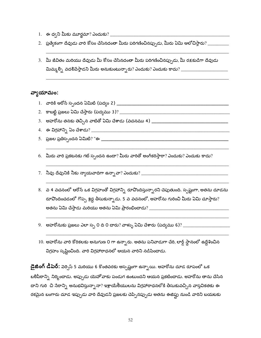- 
- 2. ప్రత్యేకంగా దేవుడు వారి కోసం చేసినదంతా మీరు పరిగణించినప్పుడు, మీరు ఏమి ఆలోచిస్తారు? \_\_\_\_\_\_\_\_\_\_\_
- 3. మీ జీవితం మరియు దేవుడు మీ కోసం చేసినదంతా మీరు పరిగణించినప్పుడు, మీ రక్షకుడిగా దేవుడు మిమ్మల్ని వదలిపేస్తాడని మీరు అనుకుంటున్నారు? ఎందుకు? ఎందుకు కాదు? \_\_\_\_\_\_\_\_\_\_\_\_\_\_\_\_\_\_\_\_\_\_\_\_\_\_\_\_\_\_\_\_\_\_

# వ్యాయామం:

- 
- 
- 
- 
- 
- 6. మీరు వారి ప్రకటనకు గట్ స్పందన ఉందా? మీరు వారితో అంగీకరిస్తారా? ఎందుకు? ఎందుకు కాదు?
- 
- 8. వ 4 వచనంలో ఆరోన్ ఒక విగ్రహంతో విగ్రహాన్ని రూపొందిస్తున్నారని చెపుతుంది. స్పష్టంగా, అతను దూడను రూపొందించడంలో గొప్ప శ్రద్ధ తీసుకున్నాడు. 5 వ వచనంలో, అహరోను గురించి మీరు ఏమి చూస్తారు?
- 
- 10. అహరోను వారి కోరికలకు అనుగుణ 0 గా ఉన్నారు. అతను పనివాడుగా చేరి, లార్డ్ స్థానంలో ఉద్దేశించిన విగ్రహం సృష్టించింది. వారి విగ్రహారాధనలో ఆయన వారిని నడిపించాడు.

**డైజింగ్ డీపెర్:** పెర్సెస్ 5 మరియు 6 కొంతవరకు అస్పష్టంగా ఉన్నాయి. అహరోను దూడ రూపంలో ఒక బలిపీఠాన్ని నిర్మించాడు. అప్పుడు యెహోవాకు పండుగ ఉంటుందని ఆయన ప్రకటించాడు. అహరోను తాను చేసిన దాని గురి చి సేరాన్ని అనుభవిస్తున్నానా? ఇశ్రాయేలీయులను విగ్రహారాధనలోకి తీసుకువచ్చిన వాస్తవికతకు ఈ రకమైన బంగారు దూడ ఇప్పుడు వారి దేవుడని ప్రజలకు చెప్పినప్పుడు అతను ఈజిప్టు నుండి వారిని బయటకు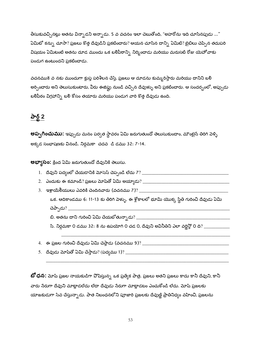.<br>తీసుకువచ్చినట్లు అతను విన్నాడని అన్నాడు. 5 వ వచనం ఇలా చెబుతోంది, "అహరోను ఇది చూసినపుడు ..." ఏమిటో కన్ను చూసా? ప్రజలు కొత్త దేవుడిని ప్రకటించారు? ఆయన చూసిన దాన్ని ఏమిటి? బైబిలు చెప్పిన తదుపరి విషయం ఏమిటంటే అతను దూడ ముందు ఒక బలిపీఠాన్ని నిర్మించాడు మరియు మరుసటి రోజు యెహోవాకు పండుగ ఉంటుందని ప్రకటించాడు.

వచనము8 వ నకు ముందుగా క్లుప్త పరిశీలన చేస్తే, ప్రజలు ఆ దూడను కుమ్మరిస్తారు మరియు దానిని బలి అర్పించారు అని తెలుసుకుంటారు, వీరు ఈజిప్టు నుండి వచ్చిన దేవుళ్ళు అని ప్రకటించారు. ఆ సందర్భంలో, అప్పుడు బలిపీఠం విగ్రహాన్ని బలి కోసం తయారు మరియు పండుగ వారి కొత్త దేవుడు ఉంది.

# పార్ట్ 2

**అప్పగించుము:** ఇప్పుడు మనం పర్వత స్థావరం ఏమి జరుగుతుందో తెలుసుకుందాం, మౌంటైన్ తిరిగి వెళ్ళి అక్కడ సంభాషణకు వినండి. నిర్గమకా చదవ డి డము 32: 7-14.

**అభ్యాసం:** క్రింద ఏమి జరుగుతుందో దేవునికి తెలుసు.

- 
- 
- ఒక. ఆదికాండము 6: 11-13 కు తిరిగి పెళ్ళు. ఈ శ్లోకాలలో భూమి యొక్క స్థితి గురించి దేవుడు ఏమి

సి. నిర్గమకా 0 డము 32: 8 ను ఉపయోగి 0 చడ 0, దేవుని అవినీతిని ఎలా వర్ణిస్తో 0 ది? \_\_\_\_\_\_\_\_\_\_\_\_\_\_\_\_\_\_\_\_

- 
- 

**బో ధన:** మోష ప్రజల నాయకుడిగా వోషిస్తున్న ఒక ప్రత్యేక పాత్ర. ప్రజలు అతని ప్రజలు కాదు కానీ దేవుని, కానీ వారు నేరుగా దేవుని మాట్లాడలేదు లేదా దేవుడు నేరుగా మాట్లాడటం ఎంచుకోండి లేదు. మోషే ప్రజలకు యాజకుడుగా సేవ చేస్తున్నాడు. పాత నిబంధనలోని పూజారి ప్రజలకు దేవుణ్ణి ప్రాతినిధ్యం వహించి, ప్రజలను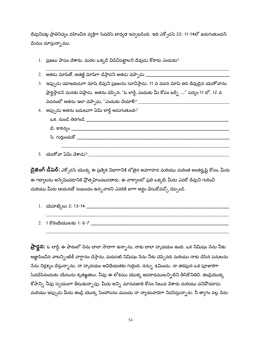దేవునిపట్ల ప్రాతినిధ్యం వహించిన వ్యక్తిగా సేవచేసే బాధ్యత ఇవ్వబడింది. ఇది ఎక్సోడస్ 32: 11-14లో జరుగుతుందని మేము చూస్తున్నాము.

- 1. ప్రజలు పాపం చేశారు. మరల ఒక్కడే విడిచిపెట్టాలని దేవుడు కోరారు ఎందుకు?
- 3. ఇప్పుడు యాజకుడుగా మోషే దేవుని ప్రజలను సూచిస్తాడు. 11 వ వచన మోషే తన దేవుడైన యెహోవాను ప్రార్థిస్తాడని మనకు చెప్తాడు. అతను చెప్పిన, "ఓ లార్డ్, ఎందుకు మీ కోపం బర్స్ట్ ..." పద్యం 11 లో. 12 వ 4. అప్పుడు అతను బదులుగా ఏమి లార్డ్ అడుగుతుంది?
	-
- 

**డైజింగ్ డీపెర్:** ఎక్సోడస్ యొక్క ఈ ప్రత్యేక విభాగానికి లోతైన అవగాహన మరియు మరింత అంతర్శ్రష్టి కోసం, మీరు ఈ గద్యాలను అస్వేషించడానికి ప్రోత్సహించబడతారు. ఈ వాక్యాలలో ప్రతి ఒక్కటి, మీరు ఎవరో దేవుని గురించి మరియు మీరు ఆయనతో సంబంధం ఉన్న*వా*రని ఎవరికి బాగా అర్థం చేసుకోవచ్చో చెప్పండి.

- 
- 

**ప్రార్దన:** ఓ లార్డ్, ఈ పాఠంలో నేను చాలా సాదాగా ఉన్నాను, నాకు చాలా హృదయం ఉంది. ఒక నిమిషం నేను నీకు ఆజ్ఞాపించిన వాటన్నింటికీ వాగ్దానం చేస్తాను, మరుసటి నిమిషం నేను నీకు చెప్పినది మరియు నాకు చేసిన పనులను సేను నిర్లక్ష్యం చేస్తున్నాను. నా హృదయం అవిధేయతకు గురైంది. నన్ను క్షమించు. నా తరఫున ఒక పూజారిగా సేవచేసినందుకు యేసును కృతఙ్ఞతలు. నీవు ఈ లోకము యొక్క అపరాధములన్నిటిని తీసికొనితివి. తండ్రియొక్క కోపాన్ని నీవు స్వయంగా తీసుకున్నావు. మీరు అన్ని మానవజాతి కోసం సిలువ పేశారు మరియు చనిపోయాడు మరియు ఇప్పుడు మీరు తండ్రి యొక్క సింహాసనం ముందు నా న్యాయవాదిగా నివసిస్తున్నారు. నీ త్యాగం వల్ల సేను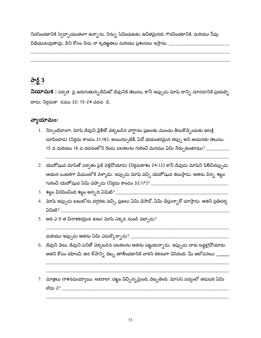నివసించటానికి స్వేచ్ఛాయుతంగా ఉన్నాను, నిన్ను సేవించుటకు, ఉచితమైనది, గౌరవించటానికి, మరియు నీవు 

# పార్ట్  $3$

నియామక : పర్వత పై జరుగుతున్నదేమిటో దేవునికి తెలుసు, కానీ ఇప్పుడు మోషే దాన్ని చూడడానికి ప్రయత్ని చాడు. నిర్గమకా డము 32: 15-24 చదవ డి.

# వ్యాయామం:

- 1. నిస్సందేహంగా, మోషే దేవుని ప్రేలితో చెక్కబడిన వాగ్దానం ప్రజలకు ముందు తీసుకొచ్చేందుకు ఆసక్తి చూపిందాడు (నిర్గమ కాండం 31:18). అయినప్పటికీ, ఏదో భయంకరమైన తప్పు అని ఆయనకు తెలుసు. 15 వ మరియు 16 వ వచనంలోని రెండు పలకలను గురించి మనము ఏమి సేర్చుకుంటాము? \_\_\_\_\_\_\_\_\_\_\_
- 2. యెహోషువ మోషేతో పర్వతం పైకి వెళ్లివోయాడు (నిర్గమకాశం 24:13) కానీ దేవుడు మోషేని పిలిచినప్పుడు ఆయన ఒంటరిగా మేఘంలోకి పెళ్ళాడు. ఇప్పుడు మోషే వచ్చి యెహోషువ కలుస్తాడు. అతను విన్న శబ్దం
- 
- 4. మోష ఇప్పుడు బబులోను దగ్గరకు వచ్చి, ప్రజలు ఏమి చేసాడో, ఏమి చేస్తున్నారో చూస్తాడు. అతని ప్రతిచర్య  $\mathfrak{Q}$ ධාස් $?$
- 5. అది ఎ 0 త వినాశకరమైన క్షణం! మోషే ఎక్కడ నుండి వచ్చాడు?

- 6. దేవుని పేలు, దేవుని పనితో చెక్కబడిన పలకలను అతను పట్టుకున్నాడు. ఇప్పుడు వారు బద్దలైవోయారు. అతని కోపం దహించి, తన కోపాన్ని దెబ్బ తగిలించటానికి వారిని కఠినంగా విసిరింది. మీ ఆలోచనలు: \_\_\_\_\_\_
- 7. మాత్రలు నాశనమయ్యాయి. అక్షరాలా, చట్టం విచ్చిన్నమైంది, దెబ్బతింది. మోసెస్ పద్యంలో తదుపరి ఏమి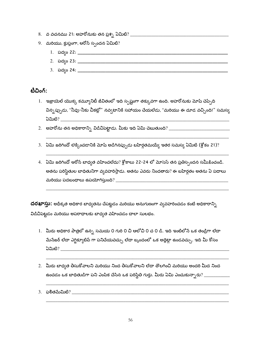- 
- 9.  $\,$  మరియు, క్లుప్తంగా, ఆరోన్ స్పందన ఏమిటి?
	-
	-
	-

టీచింగ్:

- 1. ఇజ్రాయెల్ యొక్క కమ్యూనిటీ జీవితంలో ఇది స్పష్టంగా తక్కువగా ఉంది. అహరోనుకు మోషే చెప్పేది విన్నప్పుడు, "నీవు-నీకు చీకట్లో" నవ్వటానికి సహాయం చేయలేడు, "మరియు ఈ దూడ వచ్చింది!" సమస్య
- 
- 3. ఏమి జరిగిందో లెక్కించడానికి మోషే అడిగినప్పుడు బహిర్గతమయ్యే ఇతర సమస్య ఏమిటి (శ్లోకం 21)?
- 4. ఏమి జరిగిందో ఆరోన్ బాధ్వత వహించలేదు? శ్లోకాలు 22-24 లో మోసెస్ తన ప్రతిస్పందన సమీక్షించండి. అతను పరిస్థితుల బాధితునిగా వ్వవహరిస్తాడు. అతను ఎవరు నిందతారు? ఈ బహిర్గతం అతను ఏ పదాలు

దరఖాస్తు: అధీకృత అధికార బాధ్యతను చేపట్టడం మరియు అనుగుణంగా వ్యవహరించడం కంటే అధికారాన్ని విడిచిపెట్టడం మరియు అపరాధాలకు బాధ్యత వహించడం చాలా సులభం.

- 1. మీరు అధికార పాత్రలో ఉన్న సమయ 0 గురి 0 చి ఆలోచి 0 చ 0 డి. ఇది ఇంటిలోనే ఒక తండ్రిగా లేదా మేనేజర్ లేదా ఎగ్జిక్యూటివ్ గా పనిచేయవచ్చు లేదా బృందంలో ఒక అథ్లెట్గా ఉండవచ్చు. ఇది మీ కోసం
- 2. మీరు బాధ్యత తీసుకోవాలని మరియు నింద తీసుకోవాలని లేదా తొలగించి మరియు అందరి మీద నింద ఉంచడం ఒక బాధితుడిగా పని ఎంపిక చేసిన ఒక పరిస్థితి గుర్తు. మీరు ఏమి ఎంచుకున్నారు? \_\_\_\_\_\_\_\_\_\_\_\_\_\_\_\_\_\_\_\_\_\_\_\_\_\_\_\_\_\_
-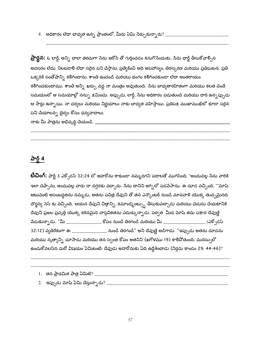4. అధికారం లేదా బాధ్యత ఉన్న ప్రాంతంలో, మీరు ఏమి సేర్చుకున్నారు? \_\_\_\_\_\_\_\_\_\_\_\_\_\_\_\_\_\_\_\_

**ప్రార్దన:** ఓ లార్డ్, అన్ని చాలా తరచుగా సేను ఆరోన్ తో గుర్తించడం కనుగొసేందుకు. సేను ఛార్జ్ తీసుకోవాల్సిన అవసరం లేదు, నిలబడాలి లేదా సరైన పని చేస్తాను, ప్రత్యేకించి అది అపహాస్యం, తిరస్కరణ మరియు ప్రతిఘటన. ప్రతి ఒక్కరికి సంతోషాన్ని కలిగించాను, శాంతి ఉంచండి మరియు భంగం కలిగించకుండా లేదా అంతరాయం కలిగించకుందాము. శాంతి అన్ని ఖర్చు వద్ద నా మంత్రం అవుతుంది. సేను బాధ్యతారహితంగా మరియు కలత చెందే సమయంలో ఆ సమయాల్లో నన్ను క్షమించు. అప్పుడు, లార్డ్, సేను అధికారం పడుతుంది మరియు దారి ఉన్నప్పుడు ఆ సార్లు ఉన్నాయి. నా చర్యలు మరియు నిర్ణయాలు నాకు బాధ్యత వహిస్తాయి. ప్రతిపక్ష ముఖాముఖిలో కూడా సరైన పని చేయాలన్న ధైర్యం కోసం ధన్యవాదాలు.

నాకు మీ పాత్రను అభివృద్ధి చేయండి. \_\_\_\_\_\_\_

#### $\frac{\partial^2 \delta}{\partial \lambda^2}$

**టీచింగ్:** పార్ట్ 3 ఎక్సోడస్ 32:24 లో అహరోను కాకుండా నమ్మదగని పదాలతో ముగిసింది, "అందువల్ల సేను వారికి ఇలా చెప్పాను, అందువల్ల వారు నా దగ్గరకు వచ్చారు. సేను దానిని అగ్నిలో పడపేసాను. ఈ దూడ వచ్చింది. "'మోషే అటువంటి అసంబద్ధతను నమ్మడు. అతను పవిత్ర దేవుని తో తన ఎన్కౌంటర్ నుండి మానవాళి యొక్క తుచ్చమైనది దౌర్జన్య సెస్ కు వచ్చింది. ఆయన దేవుని చిత్తాన్ని, కమాండ్మెంట్స్ను తీసుకువచ్చాడు మరియు చెడును చేయటానికి దేవుని ప్రజల ప్రవృత్తి యొక్క కఠినమైన వాస్తవికతను ఎదుర్కున్నాడు. పర్వత మీద మోష్ తమ పక్షాన దేవుణ్ణి పేడుకున్నాడు. "మీ \_\_\_\_\_\_\_\_\_\_\_\_\_\_\_\_\_ కోపం నుండి తిరగండి మరియు మీ \_\_\_\_\_\_\_\_\_\_\_\_\_\_\_\_\_\_\_\_\_\_ (ఎక్సోడస్ .<br>32:12) వ్యతిరేకంగా ఈ \_\_\_\_\_\_\_\_\_\_\_\_\_\_\_\_\_ నుండి తిరగండి" అని దేవుణ్ణి అడిగాడు. "ఇప్పుడు అతను దూడను మరియు నృత్యాన్ని చూసాడు మరియు తన స్వంత కోపం అతనిని (ఖగోళము 19) కాలిపోతుంది. మనస్సులో ఉంచుకోవలసిన మరో విషయం ఏమిటంటే: దేవుడు అహరోనుకు ఏది ఉద్దేశించాడు (నిర్ధమ కాండం 29: 44-46)?

- 
-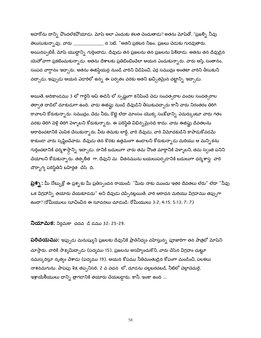అహరోను దాన్ని పొందలేకపోయాడు. మోష్ అలా ఎందుకు కలత చెందుతాడు? అతను మోషేతో, "ప్రజల్ని నీవు తెలుసుకున్నావు. వారు \_\_\_\_\_\_\_\_\_\_\_\_\_\_ న సెట్. "అతని ప్రకటన నిజం. ప్రజలు చెడుకు గురవుతారు. అయినప్పటికీ, మోషే యుద్ధాన్ని గుర్తించాడు. దేవుడు తన ప్రజలను తన ప్రజలను పిలిచాడు. అతను తన దేవుడైన యెహోవాగా ప్రకటించుకున్నాడు. అతను దేశాలకు ప్రతిబింబించేలా ఆయన ఎంచుకున్నారు. వారు ఆస్తి, సంతానం, సంపద వాగ్దానం ఇచ్చారు. అతను ఈజిప్షియన్ల నుండి వారిని విడిపించి, ఎర్ర సముద్రం అంతటా వారిని తీసుకుని వద్చాడు, ఇప్పుడు ఆయన ఎడారిలో ఉన్న ఈ పర్వతం వరకు అతని ఖచ్చితమైన చట్టాన్ని ఇచ్చాడు.

అయితే, ఆదికాండము 3 లో గార్డెన్ ఆఫ్ ఈడెన్ లో స్పష్టంగా కనిపించే చెడు సంవత్సరాల వందల సంవత్సరాల తర్వాత దాడిలో దూకుడుగా ఉంది. వారు ఈజిప్టు నుండి దేవుడిని తీసుకువచ్చారు కానీ వారు నిరంతరం తిరిగి రావాలని కోరుకున్నారు. సముద్రం, చేదు నీరు, రొట్టె లేదా మాంసం యొక్క సంక్షోభాన్ని ఎదుర్కుంటూ వారు గతం వరకు తిరిగి పెళ్లి తిరిగి పెళ్ళాలని కోరుకున్నారు. ఈ పరిస్థితి విభిన్నమైనది కాదు. వారు ఈజిప్టు దేవతలను ఆరాధించటానికి ఎంపిక చేసుకున్నారు, వీరు తమకు లార్డ్, వారి దేవుడు, వారి విమోచకుడిని కాపాడుకోవడమే కాకుండా వారు సృష్టించేవారు. దేవుడు తన కొరకు ఉత్తమంగా ఉండాలని కోరుకున్నాడు మరియు ఆ మన్నికను గుర్తించటానికి ధర్మశాస్త్రాన్ని ఇచ్చాడు. దానికి బదులుగా వారు తమ నొంత మార్గానికి పెళ్ళాలని, తమ స్వంత పనిని చేయాలని కోరుకున్నారు. తత్పలిత ్గా, దేవుని మ చితనమును బయలుపర్చడానికి బదులుగా ధర్మశాస్త్ర వారి దౌర్భాగ్య పరిస్థితిని బహిర్గత చేసి ది.

**ప్రశ్న :** మీ నోట్బుక్లో ఈ ప్రశ్నకు మీ ప్రతిస్పందన రాయండి: "మీరు నాకు ముందు ఇతర దేవతలు లేరు" లేదా "నీవు ఒక విగ్రహాన్ని తయారు చేయకూడదు" అని దేవుడు చెప్పినట్లయితే, వారి ఆరాధన మరియు విగ్రహము తప్పుగా ఉందా? (రోమీయులు సూచించిన ఈ సూచనలు చూడండి: రోమీయులు 3:2; 4:15; 5:13; 7: 7)

**నియామక:** నిర్గమకా చదవ డి డము 32: 25-29.

**పరిచయము:** ఇప్పుడు మనుష్యుని ప్రజలకు దేవునికి ప్రాతినిధ్యం వహిస్తున్న పూజారిగా తన పాత్రలో మోషని చూస్తారు. వారికి సాక్షమిద్చాడు (పద్యము 15). ప్రజలను అసహ్యించుకొని, వారు చేసిన విగ్రహం చుట్టూ నమస్కరిస్తూ నృత్యం చేశాడు (పద్యము 19). ఆయన కోపము నీతిమంతుడైన కోపంగా మండించి, పలకలు నాశనమగును. పాపపు శిక్ష తప్పనిసరి. 2 వ వచన లో, దూడను చల్లబరచబడి, నీటిలో చెల్లాచెదురై, ఇశ్రాయేలీయులు దాన్ని త్రాగడానికి తయారు చేయబడ్డారు. కానీ, ఇంకా ఉంది ...

58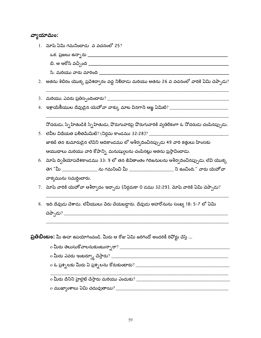#### వ్యాయామం:

- 1. మోషే ఏమి గమనించాడు వ వచనంలో 25?
	-
	-
	-
- 2. అతను శిబిరం యొక్క ప్రవేశద్వారం వద్ద నిలిచాడు మరియు అతను 26 వ వచనంలో వారికి ఏమి చెప్పాడు?
- 
- 

నోదరుడు, స్నేహితుడికి స్నేహితుడు, పొరుగువారిపై పొరుగువారికి వ్వతిరేకంగా ఓ నోదరుడు చంపినప్పుడు.

- జాకట్ తన కుమారుడైన లేవిని ఆదికాండము లో ఆశీర్వదించినప్పుడు 49 వారి కత్తులు హింసకు ఆయుధాలు మరియు వారి కోపాన్ని మనుష్యులను చంపినట్లు అతను ప్రస్తావించాడు.
- 6. మోషే ద్వితీయోపదేశకాండము 33: 9 లో తన జీవితాంతం గిరిజనులను ఆశీర్వదించినప్పుడు, లేవి యొక్క తెగ "మీ \_\_\_\_\_\_\_\_\_\_\_\_\_\_\_\_\_ ను గమనించి మీ \_\_\_\_\_\_\_\_\_\_\_\_\_\_\_\_\_\_\_\_\_\_\_ ని ఉంచింది." వారు యెహోవా వాక్వమును సమర్ధించారు.
- 7. మోష వారికి యెహోవా ఆశీరా్ధదం ఇచ్చాడు (నిర్గమకా 0 డము 32:29). మోష వారికి ఏమి చెప్పాడు?
- 8. ఇది దేవుడు చేశాడు. లేవీయులు పేరు చేయబడ్డారు. దేవుడు అహరోనును సంఖ్య 18: 5-7 లో ఏమి

ప్రతిబింబం: మీ ఊహ ఉపయోగించండి. మీరు ఆ రోజు ఏమి జరిగిందో అందరికీ రివోర్టు చేస్తే ...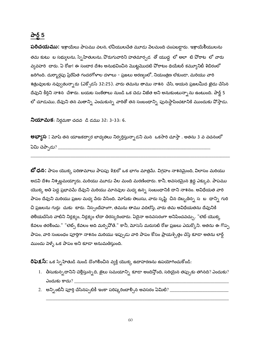# పార్ట్ 5

**పరిచయము:** ఇశ్రాయేలు పాపము వలన, లేవీయులచేత మూడు వేలమంది చంపబడ్డారు. ఇశ్రాయేలీయులను తమ కుటు బ సభ్యులను, స్నేహితులను, వొరుగువారిని హతమార్చడ తో యుద్ద లో అలా టి వోరాట లో వారు వ్యవహరి - చారు. ఏ రోజు! ఈ సంచార దేశం అనుభవించిన మొట్టమొదటి పోరాటం థియేటర్ కమ్యూనిటీ శిబిరంలో జరిగింది. దుర్మార్గపు ప్రేరేపిత గందరగోళాల దళాలు - ప్రజలు అరణ్యంలో, నియంత్రణ లేకుండా, మరియు వారి శత్రువులకు నవ్వుతున్నారు (ఎక్పోడస్ 32:25). వారు తమను తాము నాశన చేసి, ఆయన ప్రజలమీద ఖైదు చేసిన దేవుని కీర్తిని నాశన చేశారు. బయట సంకేతాలు నుండి ఒక చెడు విజేత అని అనుకుంటున్నాను ఉంటుంది. పార్ట్ 5 లో చూడుము, దేవుని తన మతాన్ని ఎంచుకున్న వారితో తన సంబంధాన్ని పునఃస్థాపించటానికి ముందుకు వోస్తాడు.

**నియామక**: నిర్గమకా చదవ ్డి డము 32: 3-33: 6.

**అభ్యాస :** మోష తన యాజకద్వార బాధ్యతలు నిర్వర్తిస్తున్నాడని మన ఒకసారి చూస్తా . అతను 3 వ వచనంలో 

**బో ధన:** పాపం యొక్క పరిణామాలు పాపపు శిక్షలో ఒక భాగం మాత్రమే. విగ్రహం నాశనమైంది, విలాసం మరియు అడవి దేశం నిశ్నబ్దమయ్యారు, మరియు మూడు పేల మంది మరణించారు. కానీ, అవసరమైన శ్రద్ధ ఎక్కువ. పాపము యొక్క అతి పెద్ద ప్రభావమే దేవుని మరియు మానవుల మధ్య ఉన్న సంబంధానికి దాని నాశనం. అవిధేయత వారి పాపం దేవుని మరియు ప్రజల మధ్య వేరు వేసింది. మోషేకు తెలుసు, వారు సృష్టి చిన దెబ్బతిన్న సౌటా ధాన్ని గురి చి ప్రజలను గుర్తు చుకు టారు. నిస్సందేహంగా, తమను తాము వదిలేస్తే, వారు తమ అవిధేయతను దేవునికి తెలియచేసిన వాటిని నిర్లక్ష్యం, నిర్లక్ష్యం లేదా తిరస్కరించారు. ఏదైనా అనవసరంగా అనిపించవచ్చు. "లెట్ యొక్క కేవలం తరలించు." "లెట్స్ కేవలం అది మర్సివోతే." కానీ, మోసెస్ మరుసటి రోజు ప్రజలు ఎదుర్కొని. అతను ఈ గొప్ప పాపం, వారి సంబంధం పూర్తిగా నాశనం మరియు ఇప్పుడు వారి పాపం కోసం ప్రాయశ్చిత్తం చేస్తే కూడా అతను లార్డ్ ముందు పెళ్ళే ఒక పాపం అని కూడా అనుమతిస్తుంది.

రిఫెక్షస్: ఒక స్నేహితుడి నుండి దొంగిరించిన వ్యక్తి యొక్క ఉదాహరణను ఉపయోగించుకోండి:

- $1.$  లీసుకున్నదానిని చెల్లిస్తున్నది, జైలు సమయాన్ని కూడా అందిస్తోంది, సరియైన తప్పుకు తగినది? ఎందుకు? ఎందుకు కాదు?
- 2. అన్నింటినీ పూర్తి చేసినప్పటికీ ఇంకా పరిష్కరించాల్సిన అవసరం ఏమిటి? \_\_\_\_\_\_\_\_\_\_\_\_\_\_\_\_\_\_\_\_\_\_\_\_\_\_\_\_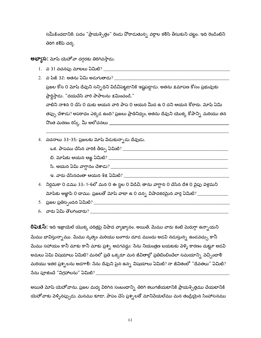సమీకించడానికి: పదం "ప్రాయశ్చిత్తం" రెండు పోరాడుతున్న వర్గాల కలిసి తీసుకుని చట్టం. ఇది రెండింటిని తిరిగి కలిపే చర్వ.

**అభ్యాస:** మోష యెహోవా దగ్గరకు తిరిగివస్తాడు.

- 
- 2. వ పేజీ 32: అతను ఏమి అడుగుతాడు? ప్రజల కోస 0 మోష్ దేవుని సన్ని ధిని విడిచిపెట్టడానికి ఇష్టపడ్డాడు. అతను క్షమాపణ కోసం ప్రభువుకు ప్రార్థిస్తాడు. "దయచేసి వారి పాపాలను క్షమించండి." వాటిని నాశన 0 చేసే 0 దుకు ఆయన వారి పాప 0 ఆయన మీద ఉ 0 దని ఆయన కోరారు. మోష్ ఏమి తప్పు చేశాడు? అపరాధం ఎక్కడ ఉంది? ప్రజలు ప్రాతినిధ్యం, అతను దేవుని యొక్క కోపాన్ని మరియు తన
- 4. వచనాలు 33-35: ప్రజలకు మోషే వేడుకున్నాడు దేవుడు.
	-
	-
	-
	- ్ల. వారు చేసినదంతా ఆయన శిక్ష ఏమిటి? \_\_\_\_\_\_\_\_\_\_\_\_\_
- 4. నిర్గమకా 0 డము 33: 1-6లో మన 0 ఈ స్థల 0 విడిచి, తాను వాగ్దాన 0 చేసిన దేశ 0 వైపు పెళ్లమని మోషేకు ఆజ్ఞాపి 0 చాము. ప్రజలతో మోషే వాటా ఉ 0 దన్న విషాదకరమైన వార్త ఏమిటి? \_\_\_\_\_\_\_\_\_\_\_\_\_\_
- 
- 

**రిఫెక్షస్:** ఇది ఇజ్రాయెల్ యొక్క చరిత్రపై విషాద వ్యాఖ్యానం. అయితే, మేము వారు కంటే మెరుగ్గా ఉన్నాయని మేము భావిస్తున్నాము. మేము నృత్యం మరియు బంగారు దూడ ముందు అడవి నడుస్తున్న ఉండవచ్చు కానీ మేము సహాయం కానీ మాకు కానీ మాకు ప్రశ్న అడగవద్దు: సేను నియంత్రణ బయటకు పెళ్ళి కారణం చుట్టూ అడవి అమలు ఏమి విషయాలు ఏమిటి? మనలో ప్రతి ఒక్కరూ మన జీవితాల్లో ప్రతిబింబించేలా సమయాన్ని వెచ్చిందా<mark>ల</mark>ి మరియు ఇతర ప్రశ్నలను అడగాలి: సేను దేవుని పైన ఉన్న విషయాలు ఏమిటి? నా జీవితంలో "దేవతలు" ఏమిటి? 

అయితే మోషే యెహోవాను, ప్రజల మధ్య విరిగిన సంబంధాన్ని తిరిగి కలుగజేయటానికి ప్రాయశ్చిత్తము చేయటానికి యెహోవాకు పెళ్ళినప్పుడు, మనము కూడా, పాపం చేసే ప్రశ్నలతో మానివేయలేము మన తండ్రియైన సింహాసనము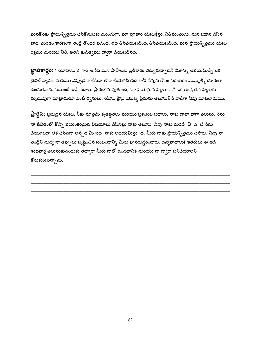మనకొరకు ప్రాయశ్చిత్తము చేసికొనుటకు ముందుగా. మా పూజారి యేసుక్రీస్తు, నీతిమంతుడు. మన పక్షాన చేసిన బాధ, మరణం కారణంగా తండ్రి తొందర పడింది. ఇది తీసిపేయబడింది, తీసిపేయబడింది. మన ప్రాయశ్చిత్తము యేసు రక్తము మరియు నీతి, అతని కుడిత్వము ద్వారా చేయబడినది.

**జ్ఞాపకార్థం:** 1 యోహాను 2: 1-2 అసేది మన పాపాలకు ప్రతీకారం తీర్చుకున్నాడనే నిజాన్ని అభయమిచ్చే ఒక టైబిల్ వ్యాసం, మనము ఎప్పుడైనా చేసినా లేదా చేయగలిగినది గానీ దేవుని కోపం నిరంతరం మమ్మల్ని దూరంగా ఉంచుతుంది. సెయింట్ జాన్ పదాలు ప్రారంభమవుతుంది, "నా ప్రియమైన పిల్లలు ..." ఒక తండ్రి తన పిల్లలకు మృదువుగా మాట్లాడుతూ వంటి ధ్వనులు. యేసు క్రీస్తు యొక్క ప్రేమను తెలుసుకొనే వాడిగా నీవు మాటలాడుము.

**ప్రార్థన:** ప్రభుపైన యేసు, నీకు మాత్రమే కృతజ్ఞతలు మరియు ప్రశంసల పదాలు. నాకు చాలా బాగా తెలుసు. నేను నా జీవితంలో కొన్ని భయంకరమైన విషయాలు చేసినట్లు నాకు తెలుసు. నీవు నాకు మరణి చి ద టే సేను చేయగలదా లేక చేసినదా అన్నది మీ పద నాకు అభయమిస్తు ది. మీరు నాకు ప్రాయశ్చిత్తము చేసారు. నీవు నా తండ్రిని మధ్య నా తప్పులు సృష్టించిన సంబంధాన్ని మీరు పునరుద్ధరించారు. ధన్యవాదాలు! ఇతరులు ఈ అదే శుభవార్త తెలుసుకుసేందుకు తద్వారా మీరు నాలో ఉండటానికి మరియు నా ద్వారా పనిచేయాలని కోరుకుంటున్నాను.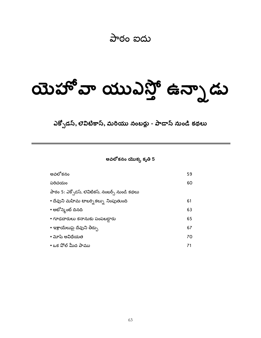# పాఠం ఐదు

# aust a awdit ఉన్నాడు

ఎక్సోడస్, లెవిటికాస్, మరియు నంబర్లు - పాడాస్ నుండి కథలు

అవలోకనం యొక్క కృతి 5

| అవలోకనం                                         | 59 |
|-------------------------------------------------|----|
| పరిచయం                                          | 60 |
| పాఠం 5: ఎక్సోడస్, లెవిటికస్, నంబర్స్ నుండి కథలు |    |
| • దేవుని మహిమ టాబర్పి కల్పు నింపుతుంది          | 61 |
| • అటోన్మెంట్ దినది                              | 63 |
| • గూఢచారులు కనానుకు పంపబడ్డారు                  | 65 |
| • ఇశ్రాయేలుపై దేవుని తీర్పు                     | 67 |
| • మోష అవిదేయత                                   | 70 |
| • ఒక పోల్ మీద పాము                              | 71 |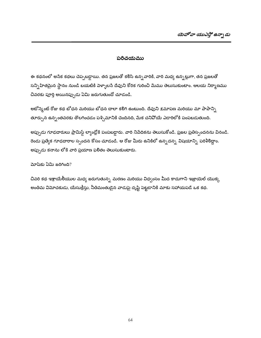#### పరిచయము

ఈ కథనంలో అసేక కథలు చెప్పబడ్డాయి. తన ప్రజలతో కలిసి ఉన్నవారికి, వారి మధ్య ఉన్నట్లుగా, తన ప్రజలతో సన్నిహితమైన స్థానం నుండి బయటికి వెళ్ళాలసే దేవుని కోరిక గురించి మేము తెలుసుకుంటాం. ఆలయ నిర్మాణము చివరకు పూర్తి అయినప్పుడు ఏమి జరుగుతుందో చూడండి.

అటోన్మెంట్ రోజు కథ టోధన మరియు టోధన చాలా కలిగి ఉంటుంది. దేవుని క్షమాపణ మరియు మా పాపాన్సి తూర్పున ఉన్నంతవరకు తొలగించడం పశ్చిమానికి చెందినది, మేక చనివోయే ఎడారిలోకి పంపబడుతుంది.

అప్పుడు గూఢదారులు ప్రామిస్డ్ ల్యాండ్లోకి పంపబడ్డారు. వారి నిపేదికను తెలుసుకోండి. ప్రజల ప్రతిస్పందనను వినండి. రెండు ప్రత్యేక గూఢదారాల స్పందన కోసం చూడండి. ఆ రోజు మీరు ఉనికిలో ఉన్నదన్న విషయాన్ని పరిశీలిద్దాం. అప్పుడు కనాను లోకి వారి ప్రయాణ ఫలితం తెలుసుకుంటారు.

మోషకు ఏమి జరిగింది?

చివరి కథ ఇశ్రాయేలీయుల మధ్య జరుగుతున్న మరణం మరియు విధ్వంసం మీద కాదుగాని ఇజ్రాయెల్ యొక్క అంతిమ విమోచకుడు, యేసుక్రీస్తు, నీతిమంతుడైన వాడుపై దృష్టి పెట్టడానికి మాకు సహాయపడే ఒక కథ.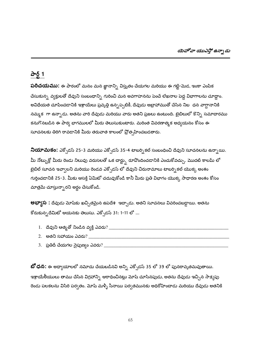#### పార్ట్ 1

**పరిచయము:** ఈ పాఠంలో మనం మన జ్ఞానాన్ని విస్తృతం చేయగల మరియు ఈ గట్టి-మెడ, ఇంకా ఎంపిక చేసుకున్న వ్యక్తులతో దేవుని సంబంధాన్ని గురించి మన అవగాహనను పెంచే లేఖనాల పెద్ద విభాగాలను చూద్దాం. అవిధేయత చూపించడానికి ఇశ్రాయేలు ప్రవృత్తి ఉన్నప్పటికీ, దేవుడు అబ్రాహాముతో చేసిన నిట ధన వాగ్గానానికి నమ్మక గా ఉన్నాడు. అతను వారి దేవుడు మరియు వారు అతని ప్రజలు ఉంటుంది. బైబిలులో కొన్ని సమాచారము కనుగొనబడిన ఈ పాఠ్య భాగములలో మీరు తెలుసుకుంటారు. మరింత వివరణాత్మక అధ్యయనం కోసం ఈ సూచనలకు తిరిగి రావడానికి మీరు తరువాత కాలంలో ప్రోత్సహించబడతారు.

**నియామకం:** ఎక్సోడస్ 25-3 మరియు ఎక్సోడస్ 35-4 టాబర్ని కల్ సంబంధించి దేవుని సూచనలను ఉన్నాయి. మీ నోట్బుక్లో మీరు రెండు నిలువు వరుసలతో ఒక చార్ట్ను రూ<mark>వొందించడానికి ఎంచుకోవచ్చు. మొదటి కాలమ్</mark> లో బైబిల్ సూచన ఇవ్వాలని మరియు రెండవ ఎక్ఫోడస్ లో దేవుని చిరునామాలు టాబర్నికల్ యొక్క అంశం గుర్తించడానికి 25-3. మీకు ఆసక్తి ఏమిటో చదువుకోండి కానీ మీరు ప్రతి విభాగం యొక్క సాధారణ అంశం కోసం మాత్రమే చూస్తున్నా రని అర్థం చేసుకోండి.

**అభ్యాస :** దేవుడు మోషకు ఖచ్చితమైన ఉపదేశ ్యద్చాడు. అతని సూచనలు వివరించబడ్డాయి. అతను కోరుకున్నదేమిటో ఆయనకు తెలుసు. ఎక్సోడస్ 31: 1-11 లో ...

- 
- 
- 

**బో ధన:** ఈ అధ్యాయాలలో నమోదు చేయబడినవి అన్ని ఎక్సోడస్ 35 లో 39 లో పునరావృతమవుతాయి. ఇశ్రాయేలీయులు తాము చేసిన విగ్రహాన్ని ఆరాధించినట్లు మోషే చూసినపుడు, అతను దేవుడు ఇచ్చిన సాక్షప్తు రెండు పలకలను విసిరి పర్వతం. మోషే మళ్ళీ సీనాయి పర్వతమునకు అధిరోహించాడు మరియు దేవుడు అతనికి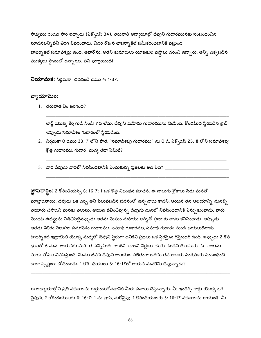సాక్షము రెండవ సారి ఇచ్చాడు (ఎక్పోడస్ 34). తరువాతి అధ్యాయాల్లో దేవుని గుడారమునకు సంబంధించిన సూచనలన్నిటినీ తిరిగి వివరించాడు. చివరి రోజున టాబెర్పాకిల్ సమీకరించటానికి వస్తుంది. టాబర్నికల్ సమాపేశమై ఉంది. అహరోను, అతని కుమారులు యాజకుల వస్తాలు ధరించి ఉన్నారు. అన్ని చెక్కబడిన ముక్కలు స్థానంలో ఉన్నాయి. పని పూర్తయింది!

**నియామక:** నిర్గమకా చదవండి డము 4: 1-37.

#### వ్యాయామం:

 $1.$  తరువాత ఏం జరిగింది?  $\_\_\_\_\_\$ 

లార్డ్ యొక్క కీర్తి గుడి నిండి! గది లేదు. దేవుని మహిమ గుడారమును నింపింది. కొండమీద స్థిరపడిన క్లౌడ్ ఇప్పుడు సమాపేశం గుడారంలో స్థిరపడింది.

- 2. నిర్ధమకా 0 డము 33: 7 లోని పాత, "సమాపేశపు గుడారము" ను 0 డి, ఎక్సోడస్ 25: 8 లోని సమాపేశపు  $\mathbb{S}$ త్త గుడారము, గుడార $\Delta$ వుద్య తేడా ఏమిటి? \_\_\_\_
- 3.  $\,$ వారి దేవుడు వారిలో నివసించటానికి ఎంచుకున్న ప్రజలకు అది ఏది?  $\,\underline{\hspace{2cm}}$

**జ్ఞాపకార్లం:** 2 కోరింతియన్స్ 6: 16-7: 1 ఒక కొత్త నిబంధన సూచన. ఈ నాలుగు శ్లోకాలు నేడు మనతో మాట్లాడతాయి. దేవుడు ఒక చర్చి అని పిలువబడిన భవనంలో ఉన్న*వా*డు కాదని, ఆయన తన ఆలయాన్ని మనల్ని తయారు చేసాడని మనకు తెలుసు. ఆయన జీవించివున్న దేవుడు మనలో నివసించడానికి ఎన్నుకుంటాడు. వారు మొదట ఈజిఫ్టును విడిచిపెట్టినప్పుడు అతను మేఘం మరియు అగ్నితో ప్రజలకు తాను కనిపించాడు. అప్పుడు అతడు శిబిరం వెలుపల సమాపేశం గుడారము, సమాధి గుడారము, సమాధి గుడారం నుండి బయలుదేరాడు. టాబర్సికల్ ఇజ్రాయెల్ యొక్క మధ్యలో దేవుని స్థిరంగా ఉనికిని ప్రజలు ఒక స్థిరమైన రిమైండర్ ఉంది. ఇప్పుడు 2 కొరి థులలో 6 మన ఆయనకు మరి త సన్నిహిత గా జీవి చాలని నిర్ణయి చుకు టాడని తెలుసుకు టా . అతను మాకు లోపల నివసిస్తుంది. మేము జీవన దేవుని ఆలయం. ఫలితంగా అతను తన ఆలయ సంరక్షణకు సంబంధించి చాలా స్పష్టంగా బోధించాడు. 1 కొరి  $\phi$ యులు 3: 16-17లో ఆయన మనకేమి చెప్తున్నాడు?

ఈ అధ్యాయాల్లోని ప్రతి వచనాలను గుర్తుంచుకోవడానికి మీరు సవాలు చేస్తున్నారు. మీ ఇండెక్స్ కార్డు యొక్క ఒక పైపున, 2 కోరిందీయులకు 6: 16-7: 1 ను వ్రాసి, మరోవైపు, 1 కొరింథీయులకు 3: 16-17 వచనాలను రాయండి. మీ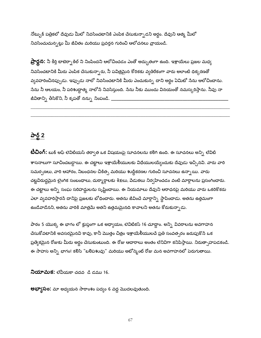నోట్బుక్ పత్రికలో దేవుడు మీలో నివసించటానికి ఎంపిక చేసుకున్నాడని అర్థం. దేవుని ఆత్మ మీలో నివసించుచున్నట్లు మీ జీవితం మరియు ప్రవర్తన గురించి ఆలోచనలు వ్రాయండి.

**ప్రార్థన:** నీ కీర్తి టాబెర్నాకిల్ ని నింపిందని ఆలోచించడం ఎంతో అద్భుతంగా ఉంది. ఇశ్రాయేలు ప్రజల మధ్య నివసించటానికి మీరు ఎంపిక చేసుకున్నారు, నీ పవిత్రమైన కోరికకు వ్యతిరేకంగా వారు అలాంటి ధిక్కరణతో వ్యవహరించినప్పుడు. ఇప్పుడు నాలో నివసించటానికి మీరు ఎంచుకున్న దాని అర్థం ఏమిటో సేను ఆలోచించాను. సేను నీ ఆలయం, నీ పరిశుద్ధాత్మ నాలోనే నివసిస్తుంది. నేను నీకు ముందు వినయంతో నమస్కరిస్తాను. నీవు నా జీవితాన్ని తీసికొని, నీ కృపతో నన్ను నింపండి. \_

# పార్ట్ 2

**టీచింగ్:** బుక్ ఆఫ్ లెవిటియస్ తర్వాత ఒక విషయంపై సూచనలను కలిగి ఉంది. ఈ సూచనలు అన్ని లేవిటి శాసనాలుగా సూచించబడ్డాయి. ఈ చట్టాలు ఇశ్రాయేలీయులకు విధేయులయ్యేందుకు దేవుడు ఇచ్చినవి. వారు వారి సమర్పణలు, వారి ఆహారం, నిబంధనల చికిత్స మరియు శుద్ధీకరణల గురించి సూచనలు ఉన్నాయి. వారు చట్టవిరుద్ధమైన లైంగిక సంబంధాలు, దుర్మార్గాలకు శిక్షలు, పేడుకలు నిర్వహించడం వంటి మార్గాలను ప్రసంగించారు. ఈ చట్టాలు అన్ని సంఘ సరిహద్దులను సృష్టించాయి. ఈ నియమాలు దేవుని ఆరాధనపై మరియు వారు ఒకరికొకరు ఎలా వ్యవహరిస్తారసే దానిపై ప్రజలకు బోధించారు. అతను జీవించే మార్గాన్ని స్థాపించాడు. అతను ఉత్తమంగా ఉండేవాడేనని, అతను వారికి మాత్రమే అతని ఉత్తమమైనది కావాలని అతను కోరుకున్నాడు.

పాఠం 5 యొక్క ఈ భాగం లో క్లుప్తంగా ఒక అధ్యాయం, లెవిటికస్ 16 చూద్దాం. అన్ని వివరాలను అవగాహన చేసుకోవటానికి అవసరమైనవి కావు, కానీ మొత్తం చిత్రం ఇశ్రాయేలీయులచే ప్రతి సంవత్సరం జరుపుకొనే ఒక ప్రత్వేకమైన రోజుకు మీరు అర్ధం చేసుకుంటుంది. ఈ రోజు ఆచారాలు అంతం లేనివిగా కనిపిస్తాయి. నిరుత్సాహపడకండి. ఈ సాహస అన్ని భాగం! కలిసి "బలిపశువు" మరియు అటోన్మెంట్ రోజు మన అవగాహనలో పెరుగుతాయి.

**నియామక:** లేవీయకా చదవ ్డి డము 16.

**అభ్యాసం:** మా అధ్యయన సారాంశం పద్యం 6 వద్ద మొదలవుతుంది.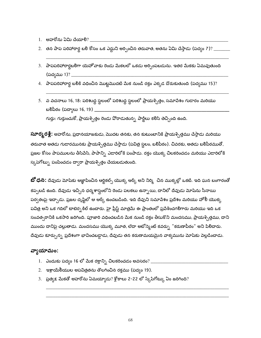- 1. అహరోను ఏమి చేయాలి? \_
- 2. తన పాప పరిహారార్థ బలి కోసం ఒక ఎద్దుని అర్పించిన తరువాత, అతను ఏమి చేస్తాడు (పద్యం 7)? \_\_\_\_\_\_\_\_\_
- 3. పాపపరిహారార్థబలిగా యెహోవాకు రెండు మేకలలో ఒకడు అర్పింపబడును. ఇతర మేకకు ఏమవుతుంది (పద్యము 1)? \_\_\_\_\_\_\_\_\_\_\_\_\_\_
- 4. పాపపరిహారార్థ బలికి వధించిన మొట్టమొదటి మేక నుండి రక్తం ఎక్కడ దొరుకుతుంది (పద్యము 15)?
- 5. వ వచనాలు 16, 18: పరిశుద్ధ స్థలంలో పరిశుద్ధ స్థలంలో ప్రాయశ్చిత్తం, సమావేశం గుడారం మరియు బలిపీఠం (పద్యాలు 16, 19) \_\_\_\_\_\_\_\_\_\_\_\_\_\_\_\_\_\_\_\_\_\_

గుర్తు: గుర్తుంచుకో, ప్రాయశ్చిత్తం రెండు పోరాడుతున్న పార్టీలు కలిసి తెచ్చింది ఉంది.

**స్టూర్మరశ్లే:** అహరోను, ప్రధానయాజకుడు, మొదట తనకు, తన కుటుంబానికి ప్రాయశ్చిత్తము చేస్తాడు మరియు తరువాత అతడు గుడారమునకు ప్రాయశ్చిత్తము చేస్తాడు (పవిత్ర స్థలం, బలిపీఠం). చివరకు, అతడు బలిపీఠముతో, ప్రజల కోసం పాపములను తీసివేసి, పాపాన్ని ఎడారిలోకి పంపాడు. రక్తం యొక్క చిలకరించడం మరియు ఎడారిలోకి స్కపెగోట్ను పంపించడం ద్వారా ప్రాయశ్చిత్తం చేయబడుతుంది.

**బో ధన:** దేవుడు మోషకు ఆజ్ఞాపించిన ఆర్టికల్స్ యొక్క ఆర్క్ అని నిర్మి చిన ముక్కల్లో ఒకటి. ఇది ఘన బంగారంతో కప్పటడి ఉంది. దేవుడు ఇచ్చిన ధర్మశాస్త్రంలోని రెండు పలకలు ఉన్నాయి, దానిలో దేవుడు మోషేను సీనాయి పర్వతంపై ఇచ్చాడు. ప్రజల దృష్టిలో ఆ ఆర్క్ ఉంచబడింది. ఇది దేవుని సమాపేశం ప్రదేశం మరియు హోలీ యొక్క పవిత్ర అని ఒక గదిలో టాబెర్నకిల్ ఉందారు. హై ప్రీస్ట్ మాత్రమే ఈ ప్రాంతంలో ప్రవేశించగలిగారు మరియు ఇది ఒక సంవత్సరానికి ఒకసారి జరిగింది. పూజారి వధించబడిన మేక నుండి రక్తం తీసుకొని మందసము, ప్రాయశ్సిత్తము, దాని ముందు దానిపై చల్లుతాడు. మందసము యొక్క మూత, లేదా అటోన్మెంట్ కవర్ను "కరుణాపీఠం" అని పి<mark>లి</mark>చారు. దేవుడు కూర్చున్న ప్రదేశంగా భావించబడ్డాడు, దేవుడు తన కరుణామయమైన వాక్యమును మోషకు పెల్లడించాడు.

# వ్యాయామం:

- 1. ఎందుకు పద్యం 16 లో మేక రక్తాన్ని చిలకరించడం అవసరం? \_\_\_\_
- 2. ఇశ్రాయేలీయుల అపవిత్రతను తొలగించిన రక్తము (పద్యం 19).
- 3. ప్రత్యక్ష మేకతో అహరోను ఏమయ్యాడు? శ్లోకాలు 2-22 లో స్కేపేగోట్కు ఏం జరిగింది?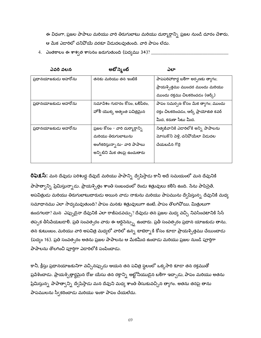ఈ విధంగా, ప్రజల పాపాలు మరియు వారి తిరుగుబాటు మరియు దుర్మార్గాన్ని ప్రజల నుండి దూరం చేశారు, ఆ మేక ఎడారిలో చనిపోయే వరకూ విడుదలవుతుంది. వారి పాపం లేదు.

4. ఎంతకాలం ఈ శాశ్వత శాసనం జరుగుతుంది (పద్యము 34)? \_\_\_

| ఎవరి వలన             | అటోస్మెంట్                       | ఎలా                                    |
|----------------------|----------------------------------|----------------------------------------|
| ప్రధానయాజకుడు అహరోను | తనకు మరియు తన ఇంటికి             | పాపపరిహారార్థ బలిగా అర్భణకు త్యాగం;    |
|                      |                                  | ప్రాయశ్చిత్తము ముందర ముందు మరియు       |
|                      |                                  | ముందు రక్తము చిలకరించడం (ఆర్క్)        |
| ప్రధానయాజకుడు అహరోను | సమాపేశం గుడారం కోసం, బలిపీఠం,    | పాపం సమర్పణ కోసం మేక త్యాగం; ముందు     |
|                      | హోలీ యొక్క అత్యంత పవిత్రమైన      | రక్తం చిలకరించడం, ఆర్క్ ప్రాయోజిత కవర్ |
|                      |                                  | మీద, కరుణా సీటు మీద.                   |
| ప్రధానయాజకుడు అహరోను | ప్రజల కోసం - వారి దుర్మార్గాన్ని | నిత్వజీవానికి ఎడారిలోకి అన్ని పాపాలను  |
|                      | మరియు తిరుగుబాటును               | మోసుకొని పెళ్లి, చనిపోయేలా విడుదల      |
|                      | అంగీకరిస్తున్నాను- వారి పాపాలు   | చేయబడిన గొర్రె                         |
|                      | అన్నిటిని మేక తలపై ఉంచుతారు      |                                        |
|                      |                                  |                                        |

**రిఫెక్షస్:** మన దేవుడు పరిశుద్ధ దేవుడే మరియు పాపాన్ని ద్వేషిస్తాడు కానీ అదే సమయంలో మన దేవునికి పాపాత్వాన్ని ప్రేమిస్తున్నాడు. ప్రాయశ్చిత్తం శాంతి సంబంధంలో రెండు శత్రువులు కలిసి ఉంది. సేను పాపిసైతే, అపవిత్రుడు మరియు తిరుగుబాటుదారుడు అయిన వాడు నాకును మరియు పాపమును ద్వేషిస్తున్న దేవునికి మధ్య సమాధానము ఎలా సాధ్యమవుతుంది? పాపం మనకు శత్రువులుగా ఉంటే, పాపం తొలగిపోయి, మిత్రులుగా ఉండగలదా? మన $\;$ ఎప్పుడైనా దేవునికి ఎలా రాజీపడవచ్చు? దేవుడు తన ప్రజల మధ్య వచ్చి నివసించటానికి సిన్ తప్పక తీసివేయబడాలి. ప్రతి సంవత్సరం వారు ఈ ఆర్డినెన్స్ను ఉందారు. ప్రతీ సంవత్సరం ప్రధాన యాజకుడు తాను, తన కుటుంబం, మరియు వారి అపవిత్ర మధ్యలో వారిలో ఉన్న టాబెర్నాకి కోసం కూడా ప్రాయశ్చిత్తము చేయించాడు (పద్యం 16). ప్రతి సంవత్సరం అతను ప్రజల పాపాలను ఆ మేకమీద ఉందాడు మరియు ప్రజల నుండి పూర్తిగా పాపాలను తొలగించి పూర్తిగా ఎడారిలోకి పంపించాడు.

కానీ, క్రీస్తు ప్రధానయాజకునిగా వచ్చినప్పుడు ఆయన తన పవిత్ర స్థలంలో ఒక్కసారి కూడా తన రక్తముతో ప్రవేశించాడు. ప్రాయశ్చిత్తార్థమైన రోజు యేసు తన రక్తాన్ని అట్టోనీయుడైన బలిగా ఇచ్చాడు, పాపం మరియు అతను ప్రేమిస్తున్న పాపాత్వాన్ని ద్వేషిస్తాడు మన దేవుని మధ్య శాంతి తీసుకువచ్చిన త్యాగం. అతను తనపై తాను పాపములను స్వీకరించాడు మరియు ఇంకా పాపం చేయలేదు.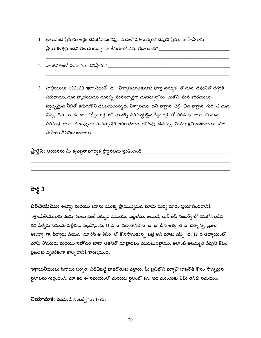- 1. అటువంటి ప్రేమను అర్థం చేసుకోవడం కష్టం, మనలో ప్రతి ఒక్కరికి దేవుని ప్రేమ. నా పాపాలకు ప్రాయశ్చిత్తమైందని తెలుసుకున్న నా జీవితంలో ఏమి తేడా ఉంది? \_\_\_\_\_\_\_\_\_\_\_\_\_\_\_\_\_\_\_\_\_\_\_\_\_\_\_\_
- 
- 3. హెబ్రీయులు 1:22, 23 ఇలా చెబుతో ది: "విశ్వాసఘాతకులకు పూర్తి నమ్మక తో మన దేవునితో దగ్గరికి చేరుదాము, మన హృదయము మనల్ని మనస్ఫూర్తిగా మనస్సులోను చుకొని, మన <del>శ</del>రీరములు స్వచ్చమైన నీటితో కడుగుకొని చల్లబడుచున్నది. విశ్వాసము దని వాగ్దాన చెల్లీ చిన వాగ్దాన గురి చి మన నిస్స<sup>్</sup> దేహ గా ఉ $\;$  దా . "క్రీస్తు రక్త లో, మనల్ని పరిశుద్ధుడైన క్రీస్తు రక్త లో పరిశుద్ధ గా ఉ $\;$  చి మన పరిశుభ్ర గా ఉ డి ఇప్పుడు మనస్సాక్షికి అపరాధభావ కలిగివు డవచ్చు. మేము క్షమించబడ్డాము. మా పాపాలు తీసిపేయబడ్డాయి.

## పార్ట్  $3$

**పరిచయము:** ఈజిప్టు మరియు కనాను యొక్క ప్రాముఖ్యమైన భూమి మధ్య దూరం ప్రయాణించడానికి ఇశ్రాయేలీయులకు రెండు సెలలు కంటే ఎక్కువ సమయం పట్టలేదు. అయితే, బుక్ ఆఫ్ నంబర్స్ లో కనుగొనబడిన కథ పేర్వేరు సమయ పట్టికను పెల్లడిస్తుంది. 11 వ స వత్సరానికి స బ ధి చిన అత్య త స దర్భాన్ని ప్రజల అసహ్య గా, ఫిర్యాదు చేయడ మాసేసి ఆ శిబిర లో కొనసాగుతున్న బజ్లే అని మాకు చెప్పి ది. 12 వ అధ్యాయంలో మోషే నోదరుడు మరియు సహోదరి కూడా అతనితో మాట్లాడటం మొదలుపెట్టాము. అలాంటి అసమ్మతి దేవుని కోపం ప్రజలకు వ్యతిరేకంగా కాల్చడానికి కారణమైంది.

ఇశ్రాయేలీయులు సీనాయి పర్వత విడిచిపెట్టి హజరోతుకు పెళ్లారు. మీ బైబిల్లోని మ్యాప్లో హజరొత్ కోసం సాధ్యమైన స్థలాలను గుర్తించండి. మా కథ ఈ సమయంలో మరియు స్థలంలో కధ. ఇది ముందుకు ఏమి తనిఖీ సమయం.

నియామక: చదవండి నంబర్స్ 13: 1-25.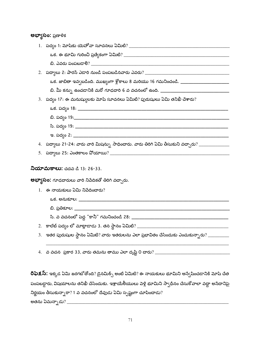#### **అభ్యాసం:** ప్రణాళిక

| 2. పద్యాలు 2: పారన్ ఎడారి నుండి పంపబడినవారు ఎవరు? _______________________________               |
|-------------------------------------------------------------------------------------------------|
| ఒక. జాబితా ఇవ్వబడింది. ముఖ్యంగా శ్లోకాలు 8 మరియు 16 గమనించండి. ________________________         |
| బి. మీ కన్ను ఉంచడానికి మరో గూఢదారి 6 వ వచనంలో ఉంది. ____________________________                |
| 3.   పద్యం 17: ఈ మనుష్యులకు మోషే సూచనలు ఏమిటి? పురుషులు ఏమి తనిఖీ చేశారు?                       |
|                                                                                                 |
|                                                                                                 |
|                                                                                                 |
|                                                                                                 |
| 4.   పద్యాలు 21-24: వారు వారి మిషన్సు  సాధించారు. వారు తిరిగి ఏమి తీసుకుని వచ్చారు? ___________ |
|                                                                                                 |
| <b>నియామకాలు:</b> చదవ డి 13: 26-33.<br><b>అభ్యాసం:</b> గూఢదారులు వారి నిపేదికతో తిరిగి వచ్చారు. |
| $1.$ ఈ నాయకులు ఏమి నిపేదించారు?                                                                 |
|                                                                                                 |
|                                                                                                 |
|                                                                                                 |
|                                                                                                 |
|                                                                                                 |
| $4.$ వ వచన `ప్రకార 33, వారు తమను తాము ఎలా దృష్టి 0 చారు? ___________                            |

**రిఫెక్షస్:** ఇక్కడ ఏమి జరగబోతోంది? డైనమిక్స్ అంటే ఏమిటి? ఈ నాయకులు భూమిని అస్వేషించడానికి మోషే చేత పంపబడ్డారు, విషయాలను తనిఖీ చేసేందుకు. ఇశ్రాయేలీయులు పెళ్లి భూమిని స్వాధీనం చేసుకో*వాలా* వద్దా అనేదానిపై నిర్ణయం తీసుకున్నారా? 1 వ వచనంలో దేవుడు ఏమి స్పష్టంగా చూపించాడు? అతను ఏమన్నాడు $?$   $\_$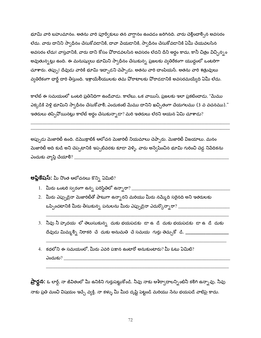భూమి వారి బహుమానం. అతను వారి పూర్వీకులు తన వాగ్దానం ఉంచడం జరిగినది. వారు చెల్లించాల్సిన అవసరం లేదు. వారు దానిని స్వాధీనం చేసుకోవడానికి, దావా పేయడానికి, స్వాధీనం చేసుకోవడానికి ఏమీ చేయవలసిన అవసరం లేదు! వాస్తవానికి, వారు దాని కోసం పోరాడవలసిన అవసరం లేదని దీని అర్థం కాదు, కానీ చిత్రం విచ్చిన్నం అవుతున్నట్లు ఉంది. ఈ మనుష్యులు భూమిని స్వాధీనం చేసుకున్న ప్రజలకు వ్యతిరేకంగా యుద్ధంలో ఒంటరిగా చూశారు. తప్పు! దేవుడు వారికి భూమి ఇచ్చాడని చెప్పాడు. అతను వారి చాంపియన్. అతను వారి శత్రువులు వ్యతిరేకంగా ఛార్జ్ దారి తీస్తుంది. ఇశ్రాయేలీయులకు తమ పోరాటాలకు పోరాడడానికి అవసరమయ్యేది ఏమీ లేదు.

కాలేట్ ఈ సమయంలో ఒంటరి ప్రతినిధిగా ఉండేవాడు. కాలేబు, ఒక వాయిస్, ప్రజలకు ఇలా ప్రకటించాడు, "మేము ఎక్కడికి పెళ్లి భూమిని స్వాధీనం చేసుకోవాలి, ఎందుకంటే మేము దానిని ఖచ్చితంగా చేయగలము (3 వ వచనము)." ఇతరులు తప్పివోయినట్లు కాలేబ్ అర్థం చేసుకున్నాడా? మరి ఇతరులు లేరని ఆయన ఏమి చూశాడు?

అప్పుడు మెజారిటీ ఉంది. డెమొక్రాటిక్ ఆలోచన మెజారిటీ నియమాలు చెప్పారు. మెజారిటీ విజయాలు. మనం మెజారిటీ అది కుడి అని చెప్పటానికి ఇప్పటివరకు కూడా వెళ్ళి. వారు అన్వేషించిన భూమి గురించి చెడ్డ నిపేదికను ఎందుకు వ్యాప్తి చేయాలి?  $\rule{1em}{0.15mm}$ 

లప్తికేషస్: మీ నొంత ఆలోచనలు కొన్ని ఏమిటి?

- 1. మీరు ఒంటరి స్వరంగా ఉన్న పరిస్థితిలో ఉన్నారా? \_\_\_\_\_\_\_\_\_
- 2. మీరు ఎప్పుడైనా మెజారిటీతో పాటుగా ఉన్నారని మరియు మీరు నమ్మేది సరైనది అని ఇతరులకు  $\omega$ ప్పించటానికి మీరు తీసుకున్న పనులను మీరు ఎప్పుడైనా ఎదుర్కొన్నారా? \_\_\_\_\_\_\_\_\_\_\_\_\_\_\_\_
- 3. నీవు నీ హృదయ లో తెలుసుకున్న దుకు భయపడకు డా ఉ $\vec{a}$  దుకు భయపడకు డా ఉ $\vec{a}$  దుకు దేవుడు మిమ్మల్ని నిరాకరి చే దుకు అనుమతి చే సమయ గుర్తు తెచ్చుకో డి. \_\_\_\_\_\_\_\_\_\_\_\_\_\_\_\_\_
- 4. కథలోని ఈ సమయంలో, మీరు ఎవరి పక్షాన ఉంటారో అనుకుంటారు? మీ ఓటు ఏమిటి?

**ప్రార్థన:** ఓ లార్డ్, నా జీవితంలో మీ ఉనికిని గుర్తుపెట్టుకోండి. నీవు నాకు ఆశీర్వాదాలన్నింటినీ కలిగి ఉన్నావు. నీవు నాకు ప్రతి మంచి విషయం ఇచ్చే వ్యక్తి. నా కళ్ళు మీ మీద దృష్టి పెట్టండి మరియు సేను భయపడే వాటిపై కాదు.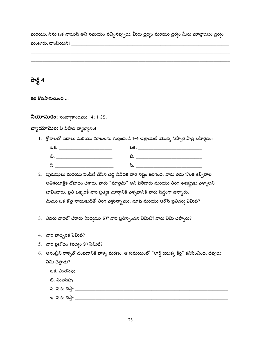మరియు, సేను ఒక వాయిస్ అని సమయం వచ్చినప్పుడు, మీరు దైర్యం మరియు దైర్యం మీరు మాట్లాడటం దైర్యం 

# పార్ 4

కథ కొనసాగుతుంది ...

నియామకం: సంఖ్యాకాండము 14: 1-25.

వ్యాయామం: ఏ విషాద వ్యాఖ్యానం!

1. ్శేకాలలో పదాలు మరియు మాటలను గుర్తించండి 1-4 ఇజ్రాయెల్ యొక్క నిస్సార పాత్ర బహిర్గతం:

| ఒక          | ఒక |
|-------------|----|
| ݻ           | ີ  |
| ೨<br>$\sim$ |    |

- 2. పురుషులు మరియు పంపిణీ చేసిన చెడ్డ నిపేదిక వారి నష్టం జరిగింది. వారు తమ నొంత కల్పితాల అతిశయోక్తికి దోహదం చేశారు. వారు "మాత్రమే" అని పిలిచారు మరియు తిరిగి ఈజిప్షుకు పెళ్ళాలని భావించారు. ప్రతి ఒక్కరికీ వారి ప్రత్యేక మార్గానికి వెళ్ళటానికి వారు సిద్ధంగా ఉన్నారు. మేము ఒక కొత్త నాయకుడితో తిరిగి పెళ్తున్నాము. మోషే మరియు ఆరోన్ ప్రతిచర్య ఏమిటి? \_\_\_\_\_\_\_\_\_\_\_\_\_\_\_\_\_\_\_\_\_
- 

| 4.   వారి హెచ్చరిక ఏమిటి? ____                                                                 |
|------------------------------------------------------------------------------------------------|
| 5. వారి ప్రబోధం (పద్యం 9) ఏమిటి? $\_$                                                          |
| 6. అసెంబ్లీని రాళ్ళతో చంపడానికి వాళ్ళ మరణం. ఆ సమయంలో "లార్డ్ యొక్క కీర్తి" కనిపించింది. దేవుడు |
| ఏమి చెప్తాడు?                                                                                  |
| ఒక. ఎంతసేపు _                                                                                  |
| బి. ఎంతసేపు _                                                                                  |
| సి. నేను చేస్తా                                                                                |
| ఇ. నేను చేస్తా                                                                                 |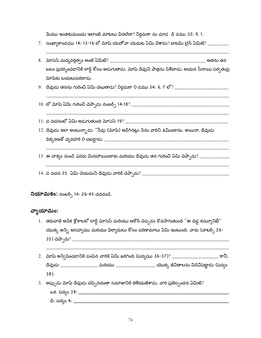మేము ఇంతకుముందు ఇలాంటి మాటలు వినలేదా? నిర్ధమకా ను చూడ డి డము 32: 9, 1.

- 7. సంఖ్వాకాండము 14: 13-16 లో మోష్ యెహోవా యెదుట ఏమి పేశాడు? బాటమ్ లైన్ ఏమిటి? \_\_\_\_\_\_\_\_
- బలం ప్రదర్నించడానికి లార్డ్ కోసం అడుగుతాడు. మోషే దేవుని పాత్రను పిలిచాడు, ఆయన సీనాయి పర్వతంపై మోషకు బయలుపరచాడు.
- 
- 
- 
- 12. దేవుడు ఇలా అంటున్నాడు: "నీవు (మోష్) అడిగినట్లు సేను వారిని క్షమించాను. అయినా, దేవుడు
- 13. ఈ వాక్యం నుండి ఎవరు మినహాయించారు మరియు దేవుడు తన గురించి ఏమి చెప్పాడు? \_\_\_\_\_\_\_\_\_\_\_\_\_\_\_\_\_\_\_\_\_\_\_\_\_\_\_\_\_\_\_\_\_\_\_
- 

**నియామకం:** నంబర్స్ 14: 26-45 చదవండి.

#### వ్యాయామం:

- 1. తరువాతి అసేక శ్లోకాలలో లార్డ్ మోసెస్ మరియు ఆరోన్ చెప్పడం కొనసాగుతుంది "ఈ చెడ్డ కమ్యూనిటీ" యొక్క అన్ని అసహ్యము మరియు ఫిర్యాదులు కోసం పరిణామాలు ఏమి ఉంటుంది. వారు (వాటర్స్ 26-
- 2. మోషే అన్వేషించడానికి పంపిన వారికి ఏమి జరిగింది (పద్యము 36-37)? \_\_\_\_\_\_\_\_\_\_\_\_\_\_\_\_\_\_\_\_\_\_\_ కానీ, దేవుడు \_\_\_\_\_\_\_\_\_\_\_\_\_\_\_\_\_ మరియు \_\_\_\_\_\_\_\_\_\_\_\_\_\_\_\_\_\_\_\_ యొక్క జీవితాలను విడిచిపెట్టాడు (పద్యం 38).
- 3. అప్పుడు మోషే దేవుడు చెప్పినదంతా సమాజానికి తెలియజేశాడు. వారి ప్రతిస్పందన ఏమిటి?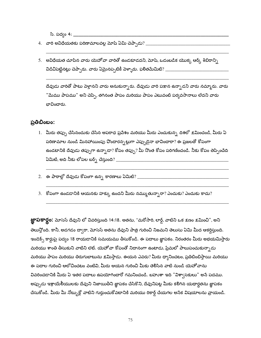సి. పద్భం 4: \_\_\_\_\_\_

- 
- 5. అవిధేయత చూపిన వారు యెహోవా వారితో ఉండకూడదని, మోషే, ఒడంబడిక యొక్క ఆర్క్ శిబిరాన్సి విడిచిపెట్టినట్లు చెప్పారు. వారు ఏమైనప్పటికీ వెళ్ళారు. ఫలితమేమిటి? \_\_\_\_\_\_\_\_\_\_\_\_\_\_\_\_\_\_\_\_\_\_\_\_\_\_\_\_\_\_\_\_\_

దేవుడు వారితో పాటు పెళ్తానని వారు అనుకున్నారు. దేవుడు వారి పక్షాన ఉన్నాడని వారు నమ్మారు. వారు "మేము పాపము" అని చెప్పి, తగినంత పాపం మరియు పాపం ఎటువంటి పర్వవసానాలు లేదని వారు బావించారు.

#### ప్రతిబింబం:

- 1. మీరు తప్పు చేసినందుకు చేసిన అపరాధ ప్రవేశం మరియు మీరు ఎంచుకున్న దిశలో క్షమించండి, మీరు ఏ పరిణామాల నుండి మినహాయింపు వొందారన్నట్లుగా ఎప్పుడైనా భావించారా? ఈ ప్రజలతో కోపంగా ఉండటానికి దేవుడు తప్పుగా ఉన్నాడా? కోపం తప్పు? మీ నొంత కోపం పరిగణించండి. నీకు కోపం తెప్పించేది
- 2. ఈ పాఠాల్లో దేవుడు కోపంగా ఉన్న కారణాలు ఏమిటి? \_\_\_\_\_\_\_\_\_\_\_\_\_\_\_\_\_\_\_\_\_\_\_\_\_\_\_\_\_\_\_\_\_
- 3. కోపంగా ఉండడానికి ఆయనకు హక్కు ఉందని మీరు నమ్ముతున్నారా? ఎందుకు? ఎందుకు కాదు?

**జ్ఞాపకార్థం:** మోసెస్ దేవుని లో వివరిస్తుంది 14:18. అతను, "మరోసారి, లార్డ్, వాటిని ఒక క్షణం క్షమించి", అని తెలుస్తోంది. కానీ, అడగడం ద్వారా, మోసెస్ అతను దేవుని పాత్ర గురించి నిజమని తెలుసు ఏమి మీద ఆకర్షిస్తుంది. ఇండెక్స్ కార్డుపై పద్యం 18 రాయడానికి సమయము తీసుకోండి. ఈ పదాలు జ్ఞాపకం. నిరంతరం మీరు అభయమిస్తారు మరియు శాంతి తీసుకుని వాటిని లెట్. యెహోవా కోపంతో నిదానంగా ఉంటాడు, ప్రేమలో పాలుపంచుకున్నాడు మరియు పాపం మరియు తిరుగుబాటును క్షమిస్తాడు. ఈయన ఎవరు? మీరు ధ్వానించటం, ప్రతిబింబిస్తాయి మరియు ఈ పదాల గురించి ఆలోచించటం వంటివి, మీరు ఆయన గురించి మీకు తెలిసిన వాటి నుండి యెహోవాను వివరించడానికి మీరు ఏ ఇతర పదాలు ఉపయోగించారో గమనించండి. బహుశా ఇది "విశా్సకులు" అనే పదము. అప్పుడు ఇశ్రాయేలీయులకు దేవుని నిజాయితీని జ్ఞాపకం చేసికొని, దేవునిపట్ల మీకు కలిగిన యథార్థతను జ్ఞాపకం చేసుకోండి. మీరు మీ నోట్బుక్లో వాటిని గుర్తుంచుకోవటానికి మరియు రికార్డ్ చేయగల అసేక విషయాలను వ్రాయండి.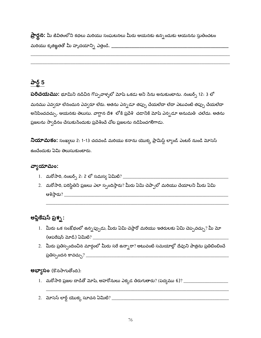**ప్రార్థన:** మీ జీవితంలోని కథలు మరియు సంఘటనలు మీరు ఆయనకు ఉన్నందుకు ఆయనను స్తుతించటం 

# పార్ట్ 5

**పరిచయము:** భూమిని నడిచిన గొప్పవాళ్ళలో మోషే ఒకడు అని సేను అనుకుంటాను. నంబర్స్ 12: 3 లో మనము ఎవ్వరూ లేనందున ఎవ్వరూ లేరు. అతను ఎన్నడూ తప్పు చేయలేదా లేదా ఎటువంటి తప్పు చేయలేదా అనిపించవచ్చు. ఆయనకు తెలుసు. వాగ్దాన దేశ లోకి ప్రవేశి చడానికి మోషే ఎన్నడూ అనుమతి చలేదు. అతను ప్రజలను స్వాధీనం చేసుకుసేందుకు ప్రవేశించే చోట ప్రజలను నడిపించగలిగాడు.

నియామకం: సంఖ్యలు 2: 1-13 చదవండి మరియు కనాను యొక్క ప్రామిస్డ్ ల్యాండ్ ఎంటర్ నుండి మోసెస్ ఉంచేందుకు ఏమి తెలుసుకుంటారు.

#### వ్వాయామం:

- 
- 2. మరోసారి, పరిస్థితిని ప్రజలు ఎలా స్పందిస్తారు? మీరు ఏమి చెప్పాలో మరియు చేయాలని మీరు ఏమి

# అప్లికేషస్ ప్రశ్న :

- 1. మీరు ఒక సంక్షోభంలో ఉన్నప్పుడు, మీరు ఏమి చెప్తారో మరియు ఇతరులకు ఏమి చెప్పవచ్చు? మీ మో
- 2. మీరు ప్రతిస్పందించిన మార్గంలో మీరు సరే ఉన్నారా? అటువంటి సమయాల్లో దేవుని పాత్రను ప్రతిబింబించే

#### అభ్యాసం (కొనసాగుతోంది):

- 1. మరోసారి ప్రజల దాడితో మోషే, అహరోనులు ఎక్కడ తిరుగుతారు? (పద్యము 6)? \_\_\_\_\_\_\_\_\_\_\_\_\_\_\_\_\_\_\_\_\_\_\_\_\_\_\_\_
-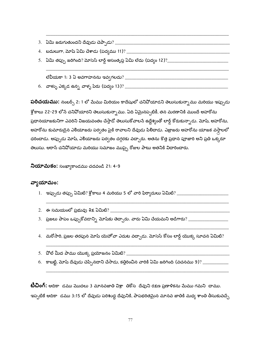- 
- 
- 

**పరిచయము:** నంబర్స్ 2: 1 లో మేము మిరియం కాదేషులో చనిపోయాడని తెలుసుకున్నాము మరియు ఇప్పుడు శ్లోకాలు 22-29 లోనే చనిపోయారని తెలుసుకున్నాము. ఏది ఏమైనప్పటికీ, తన మరణానికి ముందే అహరోను ప్రధానయాజకునిగా ఎవరిని విజయవంతం చేస్తాడో తెలుసుకోవాలసే ఉద్దేశ్యంతో లార్డ్ కోరుకున్నాడు. మోషీ, అహరోను, అహరోను కుమారుడైన ఎలియాజరు పర్వతం పైకి రావాలని దేవుడు పిలిచాడు. ఎజ్రాజరు అహరోను యాజక వస్తాలలో ధరించాడు. అప్పుడు మోషే, ఎలియాజరు పర్వతం దగ్గరకు వచ్చారు. అతను కొత్త ప్రధాన పూజారి అని ప్రతి ఒక్కరూ తెలుసు. ఆరాన్ చనివోయాడు మరియు సమాజం ముప్పై రోజుల పాటు అతనికి విదారించారు.

**నియామకం:** సంఖ్యాకాండము చదవండి 21: 4-9

#### వ్వాయామం:

- 
- 
- 3. ప్రజలు పాపం ఒప్పుకోవడాన్ని మోషకు తెచ్చారు. వారు ఏమి చేయమని అడిగారు? \_\_\_\_\_\_\_\_\_\_\_\_\_\_\_\_\_\_\_\_\_\_\_\_\_\_\_
- 4. మరోసారి, ప్రజల తరపున మోష యెహోవా ఎదుట వచ్చాడు. మోసెస్ కోసం లార్డ్ యొక్క సూచన ఏమిటి?
- 
- 6. కాబట్టి, మోష్ దేవుడు చెప్పినదాని చేసాడు, కత్తిరించిన వారికి ఏమి జరిగింది (వచనము 9)? \_\_\_\_\_\_\_\_\_\_\_\_\_

**టీచింగ్:** ఆదికా డము మొదలు 3 మానవజాతి విశ్రా తికోస దేవుని రక్షణ ప్రణాళికను మేము గమని చాము. ఇప్పటికే ఆదికా డము 3:15 లో దేవుడు పరిశుద్ధ దేవునికి, పాపభరితమైన మానవ జాతికి మధ్య శాంతి తీసుకువచ్చే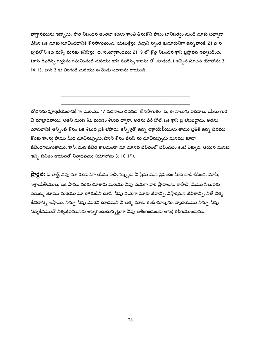వాగ్ధానమును ఇచ్చాడు. పాత నిబంధన అంతటా కథలు శాంతి తీసుకొని పాపం బానిసత్వం నుండి మాకు బట్వాడా చేసిన ఒక మాకు సూచించడానికి కొనసాగుతుంది. యేసుక్రీస్తు, దేవుని స్వంత కుమారునిగా ఉన్న వారికి, 21 వ స పుటిలోని కథ మళ్ళీ మనకు కనిపిస్తు ది. సంఖ్యాకాండము 21: 9 లో క్రొత్త నిబంధన క్రాస్ ప్రస్తావన ఇవ్వబడింది. (క్రాస్-రిఫరెన్స్ గుర్తును గమనించండి మరియు క్రాస్-రిఫరెన్స్ కాలమ్ లో చూడండి.) ఇచ్చిన సూచన యోహాను 3: 14-15. జాన్ 3 కు తిరగండి మరియు ఈ రెండు పదాలను రాయండి:

బోధనను పూర్తిచేయటానికి 16 మరియు 17 వచనాలు చదవడ కొనసాగుతు ది. ఈ నాలుగు వచనాలు యేసు గురి చి మాట్లాడతాయి. అతని మరణ శిక్ష మరణం శిలువ ద్వారా. అతను పేరే పోల్, ఒక క్రాస్ పై లేపబడ్డాడు. అతను చూడటానికి అన్నింటి కోసం ఒక శిలువ పైకి లేపాడు. కన్నీళ్లతో ఉన్న ఇశ్రాయేలీయులు తాము బ్రతికి ఉన్న జీవము కొరకు కాంస్య పాము మీద చూచినప్పుడు, జీసస్ కోసం జీసస్ ను చూచినప్పుడు మనము కూడా జీవించగలుగుతాము. కానీ, మన జీవిత కాలమంతా మా మానవ జీవితంలో జీవించటం కంటే ఎక్కువ. ఆయన మనకు ఇచ్చే జీవితం ఆయనతో నిత్యజీవము (యోహాను 3: 16-17).

**ప్రార్థన:** ఓ లార్డ్, నీవు మా రక్షకుడిగా యేసు ఇచ్చినప్పుడు నీ ప్రేమ మన ప్రపంచం మీద దాడి చేసింది. మోష్, ఇశ్రాయేలీయులు ఒక పాము వరకు చూశారు మరియు నీవు దయగా వారి ప్రాణాలను కాపాడి. మేము సిలువకు వెతుక్కుంటాము మరియు మా రక్షకుడిని చూసి, నీవు దయగా మాకు జీవాన్ని, విస్తారమైన జీవితాన్ని, నీతో నిత్య జీవితాన్ని ఇస్తాయి. నిన్ను నీవు ఎవరిని చూడమని నీ ఆత్మ మాకు కంటి చూపును, హృదయము నిన్ను నీవు నిత్యజీవముతో నిత్యజీవమునకు అప్పగించుచున్నట్టుగా నీవు ఆలింగించుటకు ఆసక్తి కలిగియుండుము.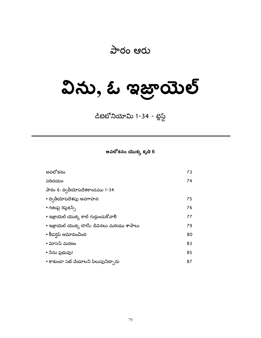# పాఠం ఆరు

# విను, ఓ ఇజ్రాయెల్

డిటెటోనియోమి 1-34 - బ్లెస్డ్

అవలోకనం యొక్క కృతి 6

| అవలోకనం                                       | 73 |
|-----------------------------------------------|----|
| పరిచయం                                        | 74 |
| పాఠం 6: ద్వితీయోపదేశకాండము 1-34               |    |
| • ద్వితీయోపదేశపు అవగాహన                       | 75 |
| • గతంపై రిప్లెక్షన్స్                         | 76 |
| • ఇజ్రాయెల్ యొక్క కాల్ గుర్తుంచుకోవాలి        | 77 |
| • ಇಜ್ರಾಯಿಲ್ ಯುక్క ಲెగసీ: దీవెనలు మరియు శాపాలు | 79 |
| • లీడర్షిప్ ఆమోదించింది                       | 80 |
| • మోసెస్ మరణం                                 | 83 |
| • నేను ప్రభువు!                               | 85 |
| • కాకుండా సెట్ చేయాలని పిలుపునిచ్చారు         | 87 |
|                                               |    |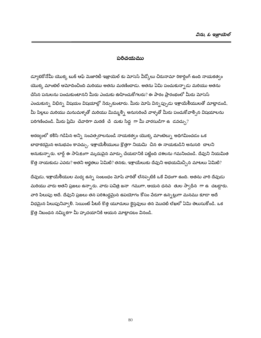#### పరిచయము

డ్యూటెరోనోమీ యొక్క టుక్ ఆఫ్ మెజారిటీ ఇజ్రాయెల్ కు మోసెస్ వీడ్కోలు చిరునామా రికార్డింగ్ ఉంది నాయకత్వం యొక్క మాంటెల్ ఆమోదించింది మరియు అతను మరణించాడు. అతను ఏమి పంచుకున్నాడు మరియు అతను చేసిన పనులను పంచుకుంటానని మీరు ఎందుకు ఊహించుకోగలరు? ఈ పాఠం ప్రారంభంలో మీరు మోసెస్ ఎంచుకున్న విభిన్న విషయం విషయాల్లో సేర్చుకుంటారు. మీరు మోషే విన్నప్పుడు ఇశ్రాయేలీయులతో మాట్లాడండి, మీ పిల్లలు మరియు మనుమళ్ళతో మరియు మిమ్మల్ని అనుసరించే వాళ్ళతో మీరు పంచుకోవాల్సిన విషయాలను పరిగణించండి. మీరు ప్రేమి చేవారిగా మరణి చే దుకు సిద్ద గా మీ వారసుడిగా ఉ $\,$  డవచ్చు $?$ 

అరణ్యంలో కలిసి గడిపిన అన్ని సంవత్సరాలనుండి నాయకత్వం యొక్క మాంటెల్ను అధిగమించడం ఒక బాధాకరమైన అనుభవం కావచ్చు. ఇశ్రాయేలీయులు క్రొత్తగా నియమి చిన ఈ నాయకుడిని అనుసరి చాలని అనుకున్నారు. లార్డ్ ఈ సాపేక్షంగా మృదుపైన మార్పు చేయడానికి పట్టింది దశలను గమనించండి. దేవుని నియమిత కొత్త నాయకుడు ఎవరు? అతని అర్హతలు ఏమిటి? తనకు, ఇశ్రాయేలుకు దేవుని అభయమిచ్చిన మాటలు ఏమిటి?

దేవుడు, ఇశ్రాయేలీయుల మధ్య ఉన్న సంబంధం మోషే వారితో లేనప్పటికి ఒకే విధంగా ఉంది. అతను వారి దేవుడు మరియు వారు అతని ప్రజలు ఉన్నారు. వారు పవిత్ర జనా గముగా, ఆయన ధనవ తుల స్వాధీన గా ఉ చబడ్డారు. వారి పిలుపు అదే. దేవుని ప్రజలు తన పరిశుద్ధమైన ఉపయోగం కోసం వేరుగా ఉన్నట్లుగా మనము కూడా అదే విధమైన పిలుపునివ్వాలి. సెయింట్ పీటర్ కొత్త యూదులు కైస్తవులు తన మొదటి లేఖలో ఏమి తెలుసుకోండి. ఒక క్రొత్త నిబంధన నమ్మికగా మీ హృదయానికి ఆయన మాట్లాడటం వినండి.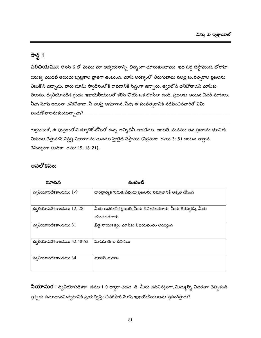# <u>పార్ట్ 1</u>

**పరిచయము:** లెసన్ 6 లో మేము మా అధ్యయనాన్ని భిన్నంగా చూసుకుంటాము. ఇది ఓల్డ్ టెస్టామెంట్, టోరాహ్ యొక్క మొదటి అయిదు పుస్తకాల వ్రాతగా ఉంటుంది. మోషే అరణ్యంలో తిరుగుటాటు నలబై సంవత్సరాల ప్రజలను తీసుకొని వచ్చాడు. వారు భూమి స్వాధీనంలోకి రావడానికి సిద్ధంగా ఉన్నారు. త్వరలోనే చనిపోతాడని మోష<mark>కు</mark> తెలుసు. ద్వితీయోపదేశ గ్రంథం ఇశ్రాయేలీయులతో కలిసి వోయే ఒక లెగసీలా ఉంది. ప్రజలకు ఆయన చివరి మాటలు. నీవు మోష అయినా చనివోతానా, నీ తలపై అగ్రభాగాన, నీవు ఈ సంవత్సరానికి నడిపించినవారితో ఏమి పంచుకోవాలనుకుంటున్నావు $?$  \_

గుర్తుంచుకో, ఈ పుస్తకంలోని డ్యూటెరోనోమీలో ఉన్న అన్నిటినీ తాకలేము. అయితే, మనము తన ప్రజలను భూమికి విడుదల చేస్తామనే నిర్దిష్ట విభాగాలను మనము హైలైట్ చేస్తాము (నిర్గమకా డము 3: 8) ఆయన వాగ్దాన చేసినట్లుగా (ఆదికా డము 15: 18-21).

#### అవలోకనం:

| సూచన                          | కంటెంట్                                                                         |
|-------------------------------|---------------------------------------------------------------------------------|
| $\alpha$ ్రతీయోపదేశకాండము 1-9 | చారిత్రాత్మక సమీక్ష దేవుడు ప్రజలను సమాజానికి ఆకృతి చేసింది                      |
| ద్వితీయోపదేశకాండము $12, 28$   | మీరు ఆచరించినట్లయితే, మీరు దీవించబడతారు. మీరు తిరస్కరిస్తే, మీరు<br>శపించబడతారు |
| ద్వితీయోపదేశకాండము $31$       | క్రొత్త నాయకత్వం మోషేకు విజయవంతం అయ్యింది                                       |
| ద్వితీయోపదేశకాండము $32:48-52$ | మోసెస్ తెగల దీపెనలు                                                             |
| ద్వితీయోపదేశకాండము 34         | మోసెస్ మరణం                                                                     |

నియామక : ద్వితీయోపదేశకా డము 1-9 ద్వారా చదవ డి. మీరు చదివినట్లుగా, మిమ్మల్ని వివరంగా చెప్పకండి. ప్రశ్నకు సమాధానమివ్వటానికి ప్రయత్నిస్తే: చివరిసారి మోషే ఇశ్రాయేలీయులను ప్రసంగిస్తాడు?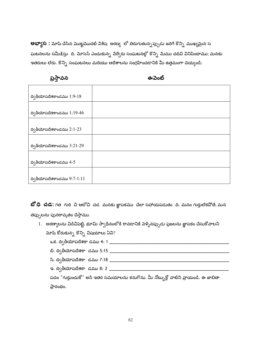**అభ్యాస :** మోష చేసిన మొట్టమొదటి విశేష అరణ్య లో తిరుగుతున్నప్పుడు జరిగే కొన్ని ముఖ్యమైన స ఘటనలను సమీ<u>కి</u>స్తు ది. మోసెస్ ఎంచుకున్న పేర్వేరు సంఘటనల్లో కొన్ని మేము చదివి వినిపించాము; మనకు ఇతరులు లేరు. కొన్ని సంఘటనలు మరియు ఆదేశాలను సంగ్రహించడానికి మీ ఉత్తమంగా చెయ్యండి:

ప్రస్తావన

ఈవెంట్

| ద్వితీయోపదేశకాండము $1:9-18$   |  |
|-------------------------------|--|
|                               |  |
| ద్వితీయోపదేశకాండము $1:19-46$  |  |
|                               |  |
| ద్వితీయోపదేశకాండము $2:1-23$   |  |
|                               |  |
| ద్వితీయోపదేశకాండము $3:21-29$  |  |
|                               |  |
| ద్వితీయోపదేశకాండము $4-5$      |  |
|                               |  |
| ద్వితీయోపదేశకాండము $9:7-1:11$ |  |

**బో ధి ∙చడ:** గత ౕగురి చి ఆలోచి చడ మనకు జ్ఞాపకము చేలా సహాయపడుతు ది. మనం గుర్తులేకపోతే, మన తప్పులను పునరావృతం చేస్తాము.

| 1. | అరణ్యాలను విడిచిపెట్టి, భూమి స్వాధీనంలోకి రావడానికి వెళ్ళినప్పుడు ప్రజలను జ్ఞాపకం చేసుకోవాలని |
|----|-----------------------------------------------------------------------------------------------|
|    | మోష కోరుకున్న కొన్ని విషయాలు ఏవి?                                                             |
|    | ఒక. ద్వితీయోపదేశకా డము 4: 1                                                                   |
|    | బి. ద్వితీయోపదేశకా డము 5:15                                                                   |
|    | సి. ద్వితీయోపదేశకా డము 7:18 క                                                                 |
|    | ఇ. ద్వితీయోపదేశకా డము 8: 2                                                                    |
|    | పదం "గుర్తుంచుకో" అసే ఇతర సమయాలను కనుగొను. మీ నోట్బుక్లో వాటిని వ్రాయండి. ఈ జాబితా            |
|    | ప్రారంభం.                                                                                     |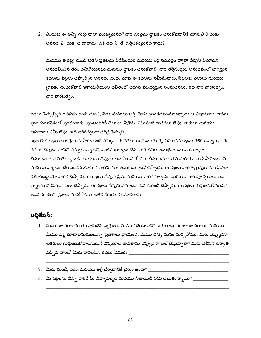2. ఎందుకు ఈ అన్ని గుర్తు చాలా ముఖ్యమైనది? వారి చరిత్రను జ్ఞాపకం చేసుకోవడానికి మోషే ఎ 0 దుకు అవసర, ఎ $\,$  దుక $\,$  టే చాలామ $\,$  దికి అది ఎ $\,$  తో ఉత్తేజకరమైనది కాదు $? \_\_$ 

మనము ఈజిప్టు నుండి అతని ప్రజలను విడిపించుట మరియు ఎర్ర సముద్రం ద్వారా దేవుని విమోచన అనుభవించిన తరం చనిపోయినట్లు మనము జ్ఞాపకం చేసుకోవాలి. వారి తల్లిదండ్రుల అనుభవంలో భాగమైన కథలను పిల్లలు చెప్పాల్సిన అవసరం ఉంది. మోషే ఈ కధలను సమీక్షించారు, పిల్లలకు తెలుసు మరియు జ్ఞాపకం ఉంచుకోవాలి ఇశ్రాయేలీయుల జీవితంలో జరిగిన ముఖ్యమైన సంఘటనలు. ఇది వారి వారసత్వం, వారి వారసత్వం.

కథలు చెప్పాల్సిన అవసరం ఉంది-మంచి, చెడు, మరియు అగ్లీ. మోషే జ్ఞాపకముంచుకున్నాడు ఆ విషయాలు, అతను ప్రజా సమావేశంలో ప్రకటించారు. ప్రజలందరికీ తెలుసు. సీక్రెట్స్, ఎటువంటి దాచనలు లేవు, సాకులు మరియు అసత్వాలు ఏమీ లేవు. ఇది జరిగినట్లుగా చరిత్ర చెప్పాలి.

ఇజ్రాయెల్ కథలు కాలక్రమానుసారం కంటే ఎక్కువ. ఈ కథలు ఈ దేశం యొక్క విమోచన కథను కలిగి ఉన్నాయి. ఈ కథలు, దేవుడు వాటిని ఎన్నుకున్నాడని, వాటిని బట్వాడా చేసి, వారి జీవిత అనుభవాలను వారి ద్వారా తీసుకువచ్చాడని తెలుస్తుంది. ఈ కథలు దేవుడు తన పాలనలో ఎలా తీసుకువచ్చాడని మరియు మళ్లీ పాలించాడని మరియు వాగ్దానం చేయబడిన భూమికి వారిని ఎలా తీసుకువచ్చాడో చెప్పాడు. ఈ కథలు వారి శత్రువుల నుండి ఎలా రక్షించబడ్డాయో వారికి చెప్పారు. ఈ కథలు దేవుని ప్రేమ మరియు వారికి విశా్సం మరియు వారి పూర్వీకులు తన వాగ్దానం సెరపేర్చిన ఎలా చెప్పారు. ఈ కథలు దేవుని విమోచన పని గురించి చెప్పారు. ఈ కథలు గుర్తుంచుకోవలసిన అవసరం ఉంది, ప్రజలు మరచివోయి, ఇతర దేవతలకు మారతారు.

#### అప్లికేషస్:

- 1. మేము జాబితాలను తయారుచేసే వ్వక్తులు. మేము "చేయాలని" జాబితాలు, కిరాణా జాబితాలు, మరియు మేము పెళ్లి చూడాలనుకుంటున్న ప్రదేశాలు వ్రాయండి. మేము దీన్ని మనం మర్చివోము. మీరు ఎప్పుడైనా ఇతరులు గుర్తుంచుకోవాలనుకునే విషయాల జాబితాను ఎప్పుడైనా ఆలోచిస్తున్నారా? మీకు తెలిసిన తర్వాత <u>వచ్చిన వారిలో మీకు కావలసిన కథలు ఏమిటి? \_\_\_\_\_\_\_\_\_\_\_\_\_\_\_\_\_\_\_\_\_\_\_\_\_\_\_\_\_\_</u>
- 
- 3. మీ కథలను విన్న వారికి మీ నిష్కాపట్యత మరియు నిజాయితీ ఏమి చెబుతున్నాయి? \_\_\_\_\_\_\_\_\_\_\_\_\_\_\_\_\_\_\_\_\_\_\_\_\_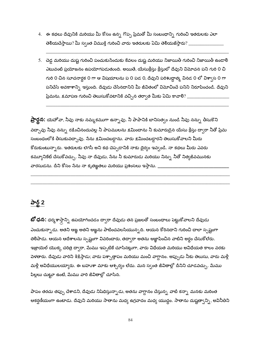- 4. ఈ కథలు దేవునికి మరియు మీ కోసం ఉన్న గొప్ప ప్రేమతో మీ సంబంధాన్ని గురించి ఇతరులకు ఎలా తెలియచేస్తాయి? మీ స్వంత విముక్తి గురించి వారు ఇతరులకు ఏమి తెలియజేస్తారు?  $\_$
- 5. చెడ్డ మరియు దుష్ట గురించి పంచుకునేందుకు కేవలం దుష్ట మరియు నిజాయితీ గురించి నిజాయితీ ఉండాలి ఎటువంటి ప్రయోజనం ఉపయోగపడుతుంది. అయితే, యేసుక్రీస్తు క్రీస్తులో దేవుని విమోచన పని గురి 0 చి గురి 0 చిన సూచనార్థక 0 గా ఆ విషయాలను ప 0 పడ 0, దేవుని పరిశుద్దాత్మ వినడ 0 లో విశ్వాస 0 గా పనిచేసే అవకాశాన్ని ఇస్తుంది. దేవుడు చేసినదానిని మీ జీవితంలో విమోచించే పనిని నిరూపించండి. దేవుని ప్రేమను, క్షమాపణ గురించి తెలుసుకోవటానికి వచ్చిన తర్వాత మీకు ఏమి కావాలి $?$ \_\_\_

**ప్రార్థన:** యెహోవా, నీవు నాకు నమ్మకముగా ఉన్నావు. నీ పాపానికి బానిసత్వం నుండి నీవు నన్ను తీసుకొని వద్చావు నీవు నన్ను రక్షించినందువల్ల నీ పాపములను క్షమించాను నీ కుమారుడైన యేసు క్రీస్తు ద్వారా నీతో ప్రేమ సంబంధంలోకి తీసుకువచ్చావు. సేను క్షమించబడ్డాను. వారు క్షమించబడ్డారని తెలుసుకోవాలని మీరు కోరుకుంటున్నారు. ఇతరులకు లెగసీ అని కథ చెప్పడానికి నాకు దైర్యం ఇవ్వండి. నా కథలు మీరు ఎవరు కమ్యూనికేట్ చేసుకోవచ్చు. నీవు నా దేవుడు, సేను నీ కుమారుడు మరియు నిన్ను నీతో నిత్యజీవమునకు వారసుడను. దీని కోసం సేను నా కృతఙ్ఞతలు మరియు ప్రశంసలు ఇస్తాను. \_\_

### పార్ట్ 2

**బో ధన:** ధర్మశాస్త్రాన్ని ఉపయోగించడం ద్వారా దేవుడు తన ప్రజలతో సంబంధాలు పెట్టుకోవాలని దేవుడు ఎంచుకున్నాడు. అతని ఆఙ్ఞ అతని ఆఙ్ఞను పాటించవలసియున్నది. ఆయన కోరినదాని గురించి చాలా స్పష్టంగా తెలిపాడు. ఆయన ఆదేశాలను స్పష్టంగా వివరించారు, తద్వారా అతను ఆజ్ఞాపించిన వాటిని అర్థం చేసుకోలేరు. ఇజ్రాయెల్ యొక్క చరిత్ర ద్వారా, మేము ఇప్పటికే చూసినట్లుగా, వారు విధేయత మరియు అవిధేయత కాలం వరకు పెళతారు. దేవుడు వారిని శిక్షిస్తాడు; వారు పశ్చాత్తాపం మరియు మంచి వాగ్దానం. అప్పుడు నీకు తెలుసు, వారు మళ్లీ మళ్లీ అవిధేయులయ్యారు. ఈ బహుశా మాకు ఆశ్చర్యం లేదు. మన స్వంత జీవితాల్లో దీనిని చూడవచ్చు. మేము పిల్లలు చుట్టూ ఉంటే, మేము వారి జీవితాల్లో చూసిన.

పాపం తరచు తప్పు చేశాడని, దేవుడు నిషేధిస్తున్నాడు, అతను వాగ్దానం చేస్తున్న వాటి కన్నా మనకు మరింత ఆకర్షణీయంగా ఉంటాడు. దేవుని మరియు సాతాను మధ్య ఉగ్రవాదం మధ్య యుద్ధం. సాతాను దుష్టత్వాన్ని, అవినీతిని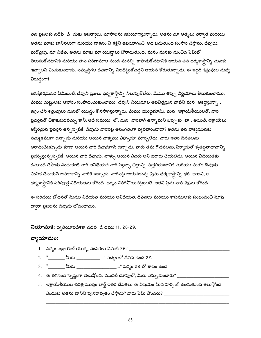తన ప్రజలకు నడిపి చే దుకు అసత్యాలు, మోసాలను ఉపయోగిస్తున్నాడు. అతను మా ఆత్మలు తర్వాత మరియు అతను మాకు బానిసలుగా మరియు నాశనం ఏ శక్తిని ఉపయోగించి, అది పడుతుంది సంసార చేస్తాను. దేవుడు, మరోవైపు, మా విజేత. అతను మాకు మా యుద్ధాలు వోరాడుతుంది. మనం మనకు మంచిది ఏమిటో తెలుసుకోవటానికి మరియు పాప పరిణామాల నుండి మనల్ని కాపాడుకోవటానికి ఆయన తన ధర్మశాస్త్రాన్ని మనకు ఇవ్వాలని ఎంచుకుంటాడు. సమృద్ధిగల జీవనాన్ని నిలబెట్టుకోవద్దని ఆయన కోరుతున్నాడు. ఈ ఇద్దరి శత్రువుల మధ్య విరుద్ధంగా!

ఆసక్తికరమైనది ఏమిటంటే, దేవుని ప్రజలు ధర్మశాస్త్రాన్ని నిలుపుకోలేరు. మేము తప్పు నిర్ణయాలు తీసుకుంటాము. మేము దుష్టులకు ఆహారం సంపాదించుకుంటాము. దేవుని నియమాల అపవిత్రమైన వాటిని మన $\;$  ఆకర్షిస్తున్నా . ఉగ్రం చేసే శత్రువులు మనలో యుద్దం కొనసాగిస్తున్నారు. మేము యుద్దభూమి. మన ఇశ్రాయేలీయులతో, వారి ప్రవర్తనతో చికాకుపడవచ్చు కానీ, అదే సమయ లో, మన వారిలాగే ఉన్నామని ఒప్పుకు టా . అయితే, ఇశ్రాయేలు అస్థిరమైన ప్రవర్తన ఉన్నప్పటికీ, దేవుడు వారిపట్ల అసంగతంగా వ్యవహరించాడా? అతను తన వాక్యమునకు నమ్మకముగా ఉన్నాడు మరియు ఆయన వాక్యము ఎప్పుడూ మార్చలేదు. వారు ఇతర దేవతలను ఆరాధించేటప్పుడు కూడా ఆయన వారి దేవుడిగాసే ఉన్నాడు. వారు తమ గొడవలను, ఫిర్యాదుతో కృతఙ్ఞతాభావాన్ని ప్రదర్శిస్తున్నప్పటికీ, ఆయన వారి దేవుడు. వాళ్ళు ఆయన ఎవరు అని ఖరారు చేయలేదు. ఆయన విధేయతకు డిమాండ్ చేసాడు ఎందుకంటే వారి అవిధేయత వారి స్వేచ్ఛా చిత్తాన్ని వ్యక్తపరచటానికి మరియు మరొక దేవుడు ఎంపిక చేసుకుసే అవకాశాన్ని వారికి ఇచ్చాడు. వారిపట్ల ఆయనకున్న ప్రేమ ధర్మశాస్త్రాన్ని ధరి చాలని, ఆ ధర్మశాస్త్రానికి పరిపూర్ణ విధేయతను కోరింది. ధర్మం విరిగిపోయినట్లయితే, అతని ప్రేమ వారి శిక్షను కోరింది.

ఈ పరిచయ బోధనతో మేము విధేయత మరియు అవిధేయత, దీవెనలు మరియు శాపములకు సంబంధించి మోష్ ద్వారా ప్రజలను దేవుడు బోధించాము.

**నియామక:** ద్వితీయోపదేశకా చదవ ్డి డము 11: 26-29.

# వ్యాయామం:

- 1. పద్యం ఇజ్రాయెల్ యొక్క ఎంపికలు ఏమిటి 26? \_
- 2. "\_\_\_\_\_\_\_\_ మీరు \_\_\_\_\_\_\_\_\_\_\_\_..." పద్యం లో దీవెన ఉంది 27.
- 3. "\_\_\_\_\_\_\_\_\_ మీరు \_\_\_\_\_\_\_\_\_\_\_\_\_\_\_\_\_\_\_\_..." పద్యం 28 లో శాపం ఉంది.
- 4. ఈ తగినంత స్పష్టంగా తెలుస్తోంది. మొదటి చూపులో, మీరు ఎన్నుకుంటారు?  $\_$
- 5. ఇశ్రాయేలీయుల చరిత్ర మొత్తం లార్డ్ ఇతర దేవతలు ఈ విషయం మీద హర్చింగ్ ఉంచుతుంది తెలుస్తోంది. ఎందుకు అతను దానిని పునరావృతం చేస్తాడు? వారు ఏమి పొందరు?  $\_$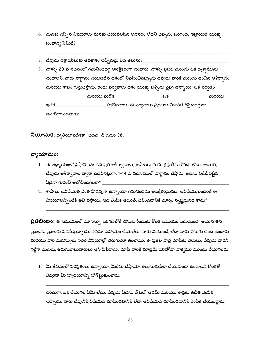- 6. మనకు చెప్పిన విషయాలు మనకు చేయవలసిన అవసరం లేదని చెప్పడం జరిగింది. ఇజ్రాయెల్ యొక్క సంభావ్య ఏమిటి?  $\_\_$
- 7. దేవుడు ఇశ్రాయేలుకు అవకాశం ఇచ్చినట్లు ఏది తెలుసు? \_\_\_\_\_\_\_\_\_\_\_\_\_\_
- 8. వాళ్ళు 29 వ వచనంలో గమనించదగ్గ ఆసక్తికరంగా ఉంటారు. వాళ్ళు ప్రజల ముందు ఒక దృశ్యమును ఉందాలని, వారు వాగ్దానం చేయబడిన దేశంలో నివసించినప్పుడు దేవుడు వారికి ముందు ఉంచిన ఆశీర్వాదం మరియు శాపం గుర్తుచేస్తాడు. రెండు పర్వతాలు దేశం యొక్క పశ్చిమ వైపు ఉన్నాయి. ఒక పర్వతం ఇతర \_\_\_\_\_\_\_\_\_\_\_\_\_\_\_\_\_\_\_\_\_\_\_\_ ప్రకటించారు. ఈ పర్వతాలు ప్రజలకు విజువల్ రిమైండర్లుగా ఉపయోగపడతాయి.

**నియామక:** ద్వితీయోపదేశకా చదవ డి డము 28.

#### వ్యాయామం:

- 1. ఈ అధ్యాయంలో ప్రస్తావి చబడిన ప్రతి ఆశీర్వాదాలు, శాపాలకు మన శ్రద్ధ తీసుకోవడ లేదు. అయితే, దేవుడు ఆశీరా్ధదాల దా్ధా చదివినట్లుగా, 1-14 వ వచనములో వాగ్దానం చేస్తాడు, అతను విడిచిపెట్టిన
- 2. శాపాలు అవిధేయత ఎంత వొడవుగా ఉన్నాయో గమనించడం ఆసక్తికరమైనది. అవిధేయులందరికి ఈ విషయాలన్ని ంటికీ అవి వస్తాయి. ఇది ఎంపిక అయితే, జీవించడానికి మార్గం స్పష్టమైనది కాదు? \_\_\_\_\_\_\_\_\_\_\_\_\_

**ప్రతిబింబం:** ఈ సమయంలో మోసెస్ను పరిగణలోకి తీసుకుసేందుకు కొంత సమయం పడుతుంది. ఆయన తన ప్రజలను ప్రజలకు పడపేస్తున్నాడు. ఎవరూ సహాయం చేయలేరు, వారు వింటుంటే, లేదా వారు విసుగు చెంది ఉంటారు మరియు వారి మనస్సులు ఇతర విషయాల్లో తిరుగుతూ ఉంటాయి. ఈ ప్రజల పాత్ర మోషేకు తెలుసు. దేవుడు వారిని గట్టిగా మెడలు, తిరుగుబాటుదారులు అని పిలిచాడు. మోషే వారికి మాత్రమే యెహోవా వాక్వము ముందు పేయగలడు.

1. మీ జీవితంలో పరిస్థితులు ఉన్నాయా, మీరేమి చేస్తాయో తెలుసుకుసేలా చేయకుండా ఉండాలసే కోరికతో ఎవరైనా మీ హృదయాన్ని పోగొట్టుకుంటారు.

తరచుగా, ఒక చేయగల ఏమీ లేదు. దేవుడు ఏదెను తోటలో ఆడమ్ మరియు ఈవ్లకు ఉచిత ఎంపిక ఇచ్చాడు. వారు దేవునికి విధేయత చూపించటానికి లేదా అవిధేయత చూపించడానికి ఎంపిక చేయబడ్డారు.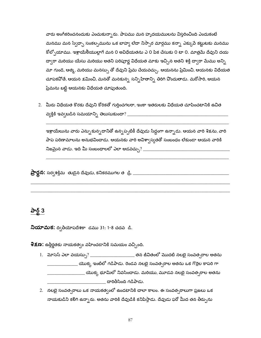వారు అంగీకరించనందుకు ఎంచుకున్నారు. పాపము మన హృదయములను విస్తరించింది ఎందుకంటే మనము మన స్వేద్చా సంకల్పమును ఒక బాహ్య లేదా నిస్పార మార్గము కన్నా ఎక్కుపే కట్టుటకు మనము కోల్పోయాము. ఇశ్రాయేలీయుల్లాగే మన 0 అవిధేయతను ఎ 0 పిక చేసుకు 0 టా 0. మాత్రమే దేవుని దయ ద్వారా మరియు యేసు మరియు అతని పరిపూర్ణ విధేయత మాకు ఇచ్చిన అతని శక్తి ద్వారా మేము అన్ని మా గుండె, ఆత్మ, మరియు మనస్సు తో దేవుని ప్రేమ చేయవచ్చు. ఆయనను ప్రేమించి, ఆయనకు విధేయత చూపకపోతే, ఆయన క్షమించి, మనతో మనకున్న సన్నిహితాన్ని తిరిగి పొందుతాడు. మరోసారి, ఆయన ప్రేమను బట్టి ఆయనకు విధేయత చూపుతుంది.

2. మీరు విధేయత కొరకు దేవుని కోరికతో గుర్తించగలరా, ఇంకా ఇతరులకు విధేయత చూపించటానికి ఉచిత 

ఇశ్రాయేలును వారు ఎన్నుకున్నదానితో ఉన్నప్పటికీ దేవుడు సిద్ధంగా ఉన్నాడు. ఆయన వారి శిక్షను, వారి పాప పరిణామాలను అనుభవించాడు. ఆయనకు వారి అవిశ్వాస్యతతో సంబంధం లేకుండా ఆయన వారికి 

### పార్ట్  $3$

**నియామక:** ద్వితీయోపదేశకా డము 31: 1-8 చదవ డి.

8క్ష**ణ:** ఉత్తీర్ణతకు నాయకత్వం వహించడానికి సమయం వచ్చింది.

- \_\_\_\_\_ యొక్క ఇంటిలో గడిపాడు. రెండవ నలబై సంవత<sub>్</sub>రాల అతను ఒక గొర్రెల కాపరి గా \_\_\_\_\_\_\_\_ యొక్క భూమిలో నివసించాడు. మరియు, మూడవ నలభై సంవత్సరాల అతను దారితీసింది గడిపాడు.
- 2. నలభై సంవత్సరాలు ఒక నాయకత్వంలో ఉండటానికి చాలా కాలం. ఈ సంవత్సరాలుగా ప్రజలు ఒక నాయకుడిని కలిగి ఉన్నారు. అతను వారికి దేవుడికి కనిపిస్తాడు. దేవుడు ఫరో మీద తన తీర్పును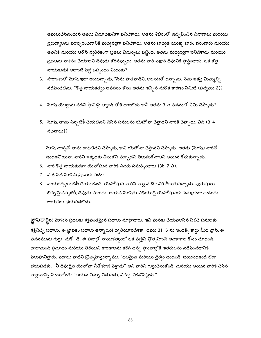అమలుచేసినందున అతడు విమోచకునిగా పనిచేశాడు. అతను శిబిరంలో ఉద్బవించిన వివాదాలు మరియు పైరుధ్యాలను పరిష్కరించడానికి మధ్యవర్తిగా పనిచేశాడు. అతను బాధ్యత యొక్క భారం భరించారు మరియు అతనికి మరియు ఆరోన్ వ్యతిరేకంగా ప్రజలు విమర్నలు పట్టింది. అతను మధ్యవర్తిగా పనిచేశాడు మరియు ప్రజలను నాశనం చేయాలని దేవుడు కోరినప్పుడు, అతను వారి పక్షాన దేవునికి ప్రార్థించాడు. ఒక కొత్త నాయకుడు! అలాంటి పెద్ద ఒప్పందం ఎందుకు?  $\_\_$ 

- 3.  $\sigma$ సారాంశంలో మోషే ఇలా అంటున్నాడు, "సేను పాతవాడిని, అలసటతో ఉన్నాను. సేను ఇకపై మిమ్మల్ని నడిపించలేను. "కొత్త నాయకత్వం అవసరం కోసం అతను ఇచ్చిన మరొక కారణం ఏమిటి (పద్యము 2)?
- 4. మోష్ యొర్దాను నదిని ప్రామిస్డ్ ల్యాండ్ లోకి దాటలేడు కానీ అతను 3 వ వచనంలో ఏమి చెప్పాడు?
- 5. మోషీ, తాను ఎన్నటికీ చేయలేనని చేసిన పనులను యెహోవా చేస్తాడని వారికి చెప్పాడు. ఏది (3-4 వచనాలు)? $\rule{1em}{0.15mm}$

మోష వాళ్ళతో తాను దాటలేదని చెప్పాడు, కాని యెహోవా చేస్తానని చెప్పాడు. అతడు (మోష) వారితో ఉండకవోయినా, వారిని ఇక్కడకు తీసుకొని వచ్చాడని తెలుసుకోవాలని ఆయన కోరుకున్నాడు.

- 6. వారి కొత్త నాయకుడిగా యెహోషువ వారికి ఎవరు సమర్పించారు (3b, 7 ఎ). \_\_
- 7. వ 6 పేజీ మోసెస్ ప్రజలకు పదం:
- 8. నాయకత్వం బదిలీ చేయబడింది. యెహోషువ వారిని వాగ్దాన దేశానికి తీసుకువచ్చాడు. పురుషులు భిన్నమైనప్పటికీ, దేవుడు మారడు. ఆయన మోషేకు విధేయుడై యెహోషువకు నమ్మకంగా ఉంటాడు. ఆయనకు భయపడలేదు.

**జ్ఞాపకార్థం:** మోసెస్ ప్రజలకు శక్తివంతమైన పదాలు మాట్లాడారు. ఇవి మనకు చేయవలసిన పిలిచే పనులకు శక్తినిచ్చే పదాలు. ఈ జ్ఞాపకం పదాలు ఉన్నాయి! ద్వితీయోపదేశకా డము 31: 6 ను ఇండెక్స్ కార్డు మీద వ్రాసి, ఈ వచనమును గుర్తు చుకో డి. ఈ పదాల్లో నాయకత్వంలో ఒక వ్యక్తిని ప్రోత్సహించే అవకాశాల కోసం చూడండి. చాలామంది ప్రమాదం మరియు తెలియని కారణాలను కలిగి ఉన్న ప్రాంతాల్లోకి ఇతరులను నడిపించడానికి పిలుపునిస్తారు. పదాలు వాటిని ప్రోత్సహిస్తున్నాము, "బలమైన మరియు దైర్యం ఉండండి. భయపడకండి లేదా భయపడకు. "నీ దేవుడైన యెహోవా నీతోకూడ పెళ్తాడు" అని వారిని గుర్తుచేసుకోండి. మరియు ఆయన వారికి చేసిన వాగ్దానాన్ని పెంచుకోండి: "ఆయన నిన్ను విడువడు, నిన్ను విడిచిపెట్టడు."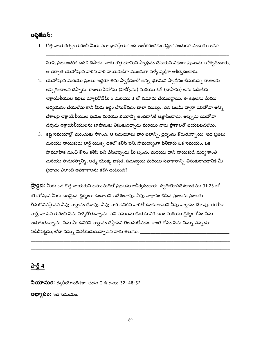అప్లికేషస్:

 $1.$  కొత్త నాయకత్వం గురించి మీరు ఎలా భావిస్తారు? ఇది అంగీకరించడం కష్టం? ఎందుకు? ఎందుకు కాదు?

మోషే ప్రజలందరికి బదిలీ చేసాడు. వారు కొత్త భూమిని స్వాధీనం చేసుకునే విధంగా ప్రజలను ఆశీర్వదించారు, ఆ తర్వాత యెహోషువ వారిని వారి నాయకుడిగా ముందుగా పెళ్ళే వ్యక్తిగా ఆశీర్వదించారు.

- 2. యెహోషువ మరియు ప్రజలు ఇద్దరూ తమ స్వాధీనంలో ఉన్న భూమిని స్వాధీనం చేసుకున్న రాజులకు అప్పగించాలని చెప్పారు. రాజులు సీహోను (హెష్బోను) మరియు ఓగ్ (బాషాను) లను ఓడించిన ఇశ్రాయేలీయుల కథలు డ్యూటెరోనోమీ 2 మరియు 3 లో నమోదు చేయబడ్డాయి. ఈ కథలను మేము అధ్యయనం చేయలేదు కాని మీరు అర్థం చేసుకోవడం చాలా ముఖ్యం, తన ఓటమి ద్వారా యెహో*వా* అన్ని దేశాలపై ఇశ్రాయేలీయుల భయం మరియు భయాన్ని ఉంచడానికి ఆజ్ఞాపించాడు. అప్పుడు యెహోవా దేవుడు ఇశ్రాయేలీయులను బాషానుకు తీసుకువచ్చాడు మరియు వారు ప్రాణాలతో బయటపడలేదు.
- 3. కష్ట సమయాల్లో ముందుకు సాగింది. ఆ సమయాలు వారి బలాన్ని, దైర్యంను కోరుతున్నాయి. ఇది ప్రజలు మరియు నాయకుడు లార్డ్ యొక్క దిశలో కలిసి పని, సామరస్యంగా పిలిచారు ఒక సమయం. ఒక సామూహిక మంచి కోసం కలిసి పని చేసేటప్పుడు మీ బృందం మరియు దాని నాయకుడి మధ్య శాంతి మరియు సామరస్యాన్ని, ఆత్మ యొక్క ఐక్యత, సమన్వయ మరియు సహకారాన్ని తీసుకురావడానికి మీ ప్రభావం ఎలాంటి అవకాశాలను కలిగి ఉంటుంది? \_\_\_\_

**ప్రార్థన:** మీరు ఒక కొత్త నాయకుని బహుమతితో ప్రజలను ఆశీర్వదించారు. ద్వితియోపదేశకాండము 31:23 లో యెహోషువ మీకు బలమైన, దైర్యంగా ఉండాలని ఆదేశించావు. నీవు వాగ్దానం చేసిన ప్రజలను ప్రజలకు తీసుకొనివస్తానని నీవు వాగ్దానం చేశావు. నీవు వారి ఉనికిని వారితో ఉంచుతామని నీవు వాగ్దానం చేశావు. ఈ రోజు, లార్డ్, నా పని గురించి సేను పెళ్ళిపోతున్నాను, పని పనులను చేయటానికి బలం మరియు దైర్యం కోసం సేను అడుగుతున్నాను, సేను మీ ఉనికిని వాగ్దానం చేస్తానని తెలుసుకోవడం. శాంతి కోసం సేను నిన్ను ఎన్నడూ విడిచిపెట్టను, లేదా నన్ను విడిచిపెడుతున్నానని నాకు తెలుసు. \_\_\_\_\_\_

# <u> केई 4</u>

**నియామక:** ద్వితీయోపదేశకా చదవ 0 డి డము 32: 48-52. అభ్యాసం: ఇది సమయం.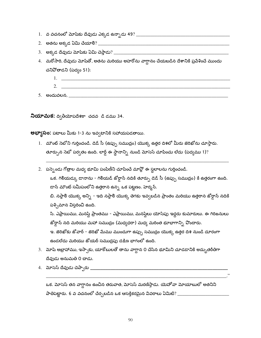- 
- 
- 
- 4. మరోసారి, దేవుడు మోషేతో, అతను మరియు అహరోను వాగ్దానం చేయబడిన దేశానికి ప్రవేశించే ముందు చనిపోతాడని (పద్యం 51):
- 2.  $\qquad$ <u> 1989 - Johann Barn, fransk politik (f. 1989)</u>

నియామక: ద్వితీయోపదేశకా చదవ డి డము 34.

**అభ్యాసం:** పటాలు మీకు 1-3 ను ఇవ్వటానికి సహాయపడతాయి.

- 1. మౌంట్ సెటోని గుర్తించండి. డెడ్ సీ (ఉప్పు సముద్రం) యొక్క ఉత్తర దిశలో మీరు జెరిఖోను చూస్తారు. తూర్పున సెబో పర్వతం ఉంది. లార్డ్ ఈ స్థానాన్ని నుండి మోసెస్ చూపించు లేదు (పద్యము 1)?
- 2. పస్పెండు గోత్రాల మధ్య భూమి పంపిణీని చూపించే మావ్లో ఈ స్థలాలను గుర్తించండి. ఒక. గిలియద్కు డానాను - గిలియడ్ జోర్గాన్ నదికి తూర్పు డెడ్ సీ (ఉప్పు సముద్రం) కి ఉత్తరంగా ఉంది. డాన్ మౌంట్ సమీపంలోని ఉత్తరాన ఉన్న ఒక పట్టణం. హెర్మన్. బి. నఫ్తాలి యొక్క అన్ని - ఇది నఫ్తాలి యొక్క తెగకు ఇవ్వబడిన ప్రాంతం మరియు ఉత్తరాన జోర్డాన్ నదికి పశ్చిమాన విస్తరించి ఉంది. సి. ఎఫ్రాయిము, మనషే ప్రాంతము - ఎఫ్రాయిము, మనషేలు యోసేపు ఇద్దరు కుమారులు. ఈ గిరిజనులు జోర్గాన్ నది మరియు మహా సముద్రం (మధ్యధరా) మధ్య మరింత భూభాగాన్ని వొందారు. ఇ. జెరిఖోకు జోవార్ - జెరిఖో మేము ముందుగా ఉప్పు సముద్రం యొక్క ఉత్తర దిశ నుండి దూరంగా ఉండలేదు మరియు జోయర్ సముద్రపు దక్షిణ భాగంలో ఉంది.
- 3. మోష అబ్రాహాము, ఇస్సాకు, యాకోటులతో తాను వాగ్దాన 0 చేసిన భూమిని చూడడానికి అద్భుతరీతిగా దేవుడు అనుమతి 0 చాడు.
- 

ఒక. మోసెస్ తన వాగ్దానం ఉంచిన తరువాత, మోసెస్ మరణిస్తాడు. యెహోవా మోయాబులో అతనిని పాతిపెట్టారు. 6 వ వచనంలో చేర్చబడిన ఒక ఆసక్తికరమైన వివరాలు ఏమిటి? \_\_\_\_\_\_\_\_\_\_\_\_\_\_\_\_\_\_\_\_\_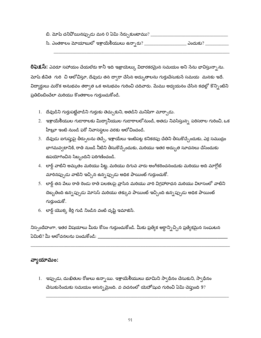- బి. మోషే చనిపోయినప్పుడు మన 0 ఏమి సేర్చుకుంటాము? \_\_\_\_\_\_\_\_\_\_\_\_\_\_\_\_\_\_\_\_\_\_\_\_\_\_\_\_\_\_\_\_\_
- 

<mark>రిఫెక్షస్:</mark> ఎవరూ సహాయం చేయలేరు కానీ ఇది ఇజ్రాయెల్కు విదారకరమైన సమయం అని సేను భావిస్తున్నాను. మోషే జీవిత గురి చి ఆలోచిస్తూ, దేవుడు తన ద్వారా చేసిన అద్భుతాలను గుర్తుచేసుకునే సమయ మనకు ఇదే. విద్యార్థులు మరొక అనుభవం తర్వాత ఒక అనుభవం గురించి చదివారు. మేము అధ్యయనం చేసిన కథల్లో కొన్నింటిని ప్రతిబింబించేలా మరియు కొంతకాలం గుర్తుంచుకోండి.

- 1. దేవుడిని గుర్తుపట్టేవాడిని గుర్తుకు తెచ్చుకుని, అతడిని మనిషిగా మార్చాడు.
- 2. ఇశ్రాయేలీయుల గుడారాలకు మిద్యానీయుల గుడారాలలోనుండి, అతడు నివసిస్తున్న పరిసరాల గురించి, ఒక హీబ్రూ ఇంటి నుండి ఫరో నివాసస్థలం వరకు ఆలోచిం<mark>చండి</mark>.
- 3. దేవుడు ఐగుప్తుపై తీర్పులను తెచ్చే, ఇశ్రాయేలు ఇంటిపట్ల కనికరపు చేతిని తీసుకొచ్చేందుకు, ఎర్ర సముద్రం భాగమవ్వటానికి, రాతి నుండి నీటిని తీసుకొచ్చేందుకు, మరియు ఇతర అద్భుత సూచనలు చేసేందుకు ఉపయోగించిన సిబ్బందిని పరిగణించండి.
- 4. లార్డ్ వాటిని అమృతం మరియు పిట్ట, మరియు దిగువ వారు అంగీకరించనందుకు మరియు అది మాగ్గోట్ మారినప్పుడు వాటిని ఇచ్చిన ఉన్నప్పుడు అధిక పాయింట్ గుర్తుంచుకో.
- 5. లార్డ్ తన పేలు రాతి రెండు రాతి పలకలపై వ్రాసిన మరియు వారి విగ్రహారాధన మరియు విలాసంలో వాటిని దెబ్బతింది ఉన్నప్పుడు మోసెస్ మరియు తక్కువ పాయింట్ ఇచ్చింది ఉన్నప్పుడు అధిక పాయింట్ గుర్తుంచుకో.
- 6. లార్డ్ యొక్క కీర్తి గుడి నిండిన వంటి దృష్టి ఇమాజిన్.

నిస్సందేహంగా, ఇతర విషయాలు మీరు కోసం గుర్తుంచుకోండి. మీకు ప్రత్యేక అర్దాన్నిచ్చిన ప్రత్యేకమైన సంఘటన ఏమిటి? మీ ఆలోచనలను పంచుకోండి: \_\_\_\_\_\_\_

#### వ్యాయామం:

1. ఇప్పుడు, దుఃఖితుల రోజులు ఉన్నాయి. ఇశ్రాయేలీయులు భూమిని స్వాధీనం చేసుకుని, స్వాధీనం చేసుకుసేందుకు సమయం ఆసన్నమైంది. వ వచనంలో యెహోషువ గురించి ఏమి చెప్తుంది 9?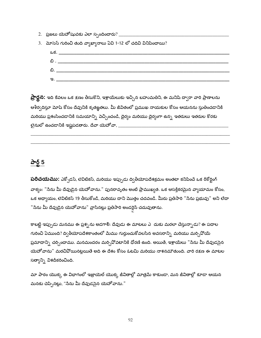- 
- 3. మోసెస్ గురించి తుది వ్యాఖ్యానాలు ఏవి 1-12 లో చదివి వినిపించాయి?



**ప్రార్థన:** ఇది కేవలం ఒక క్షణం తీసుకొని, ఇశ్రాయేలుకు ఇచ్చిన బహుమతిని, ఈ మనిషి ద్వారా వారి ప్రాణాలను ఆశీర్వదిస్తూ మోషే కోసం దేవునికి కృతజ్ఞతలు. మీ జీవితంలో ప్రముఖ నాయకుల కోసం ఆయనను స్తుతించడానికి మరియు ప్రశంసించడానికి సమయాన్ని వెచ్చించండి, దైర్యం మరియు దైర్యంగా ఉన్న ఇతరులు ఇతరుల కొరకు 

## <u>పార్ట్ 5</u>

**పరిచయము:** ఎక్సోడస్, లెవిటికస్, మరియు ఇప్పుడు ద్వితీయోపదేశక్రమం అంతటా కనిపించే ఒక రీకోర్టింగ్ వాక్యం: "సేను మీ దేవుడైన యెహోవాను." పునరావృతం అంటే ప్రాముఖ్యత. ఒక ఆసక్తికరమైన వ్యాయామం కోసం, ఒక అధ్యాయం, లెవిటికస్ 19 తీసుకోండి, మరియు దాని మొత్తం చదవండి. మీరు ప్రతిసారి "సేను ప్రభువు" అని లేదా "సేను మీ దేవుడైన యెహోవాను" వ్రాసినట్లు ప్రతిసారి అండర్లెన్ చదువుతాను.

కాబట్టి ఇప్పుడు మనము ఈ ప్రశ్నను అడగాలి: దేవుడు ఈ మాటలు ఎ దుకు మరలా చేస్తున్నాడు? ఈ పదాల గురించి ఏముంది? ద్వితీయోపదేశకాంతంలో మేము గుర్తుంచుకోవలసిన అవసరాన్ని మరియు మర్చి<sup>ప్రో</sup>యే ప్రమాదాన్ని చర్చించాము. మనమందరం మర్చివోవటానికి ధోరణి ఉంది. అయితే, ఇశ్రాయేలు "సేను మీ దేవుడసైన యెహోవాను" మరచిఏోయినట్లయితే అది ఈ దేశం కోసం ఓటమి మరియు నాశనమౌతుంది. వారి రక్షణ ఈ మాటల సత్యాన్ని విశదీకరించింది.

మా పాఠం యొక్క ఈ విభాగంలో ఇజ్రాయెల్ యొక్క జీవితాల్లో మాత్రమే కాకుండా, మన జీవితాల్లో కూడా ఆయన మనకు చెప్పినట్లు, "సేను మీ దేవుడసైన యెహోవాను."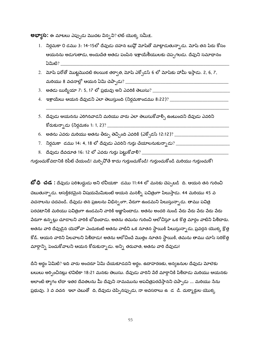**అభ్యాస:** ఈ మాటలు ఎప్పుడు మొదట విన్నవి? లెట్ యొక్క సమీక.

- 1. నిర్గమకా 0 డము 3: 14-15లో దేవుడు దహన బుఏ్లో మోషేతో మాట్లాడుతున్నాడు. మోషే తన పేరు కోసం ఆయనను అడుగుతాడు, అందుచేత అతడు పంపిన ఇశ్రాయేలీయులకు చెప్పగలడు. దేవుని సమాధానం ఏమిటి?
- 2. మోష ఫరోతో మొట్టమొదటి కలయిక తర్వాత, మోషే ఎక్ఫోడస్ 6 లో మోషేకు హామీ ఇస్తాడు. 2, 6, 7,
- 
- 
- 5. దేవుడు ఆయనను ఎరిగినవాడని మరియు వారు ఎలా తెలుసుకోవాల్సి ఉంటుందని దేవుడు ఎవరిని
- 6. అతను ఎవరు మరియు అతను తీర్పు తెచ్చింది ఎవరికి (ఎక్సోడస్ 12:12)? \_\_\_\_\_\_\_\_\_\_\_\_\_\_\_\_\_\_\_\_\_\_\_\_\_\_\_\_\_\_\_
- 
- 

గుర్తుంచుకోవడానికి రిపీట్ చేయండి! మర్చిపోతే కాదు గుర్తుంచుకోండి! గుర్తుంచుకోండి మరియు గుర్తుంచుకో!

**బో ధి ∙చడ :** దేవుడు పరిశుద్ధుడు అని లేవీయకా డము 11:44 లో మనకు చెప్పటడి ది. ఆయన తన గురించి చెబుతున్నాడు. ఆసక్తికరమైన విషయమేమిటంటే ఆయన మనల్ని పవిత్రంగా పిలుస్తాడు. 44 మరియు 45 వ వచనాలను చదవండి. దేవుడు తన ప్రజలను విభిన్నంగా, పేరుగా ఉండమని పిలుస్తున్నాడు. తాము పవిత్ర పరచటానికి మరియు పవిత్రంగా ఉండమని వారికి ఆజ్ఞాపించాడు. అతను అందరి నుండి వేరు వేరు వేరు వేరు వేరు పేరుగా ఉన్నట్లు చూడాలని వారికి బోధించాడు. అతను తమను గురించి ఆలోచిస్తూ ఒక కొత్త మార్గం వాటిని పిలిచారు. అతను వారి దేవుడైన యెహోవా ఎందుకంటే అతను వాటిని ఒక నూతన స్థాయికి పిలుస్తున్నాడు, ప్రవర్తన యొక్క క్ర<mark>ో</mark>త్త కోడ్. ఆయన వారిని పిలవాలని పిలిచాడు! అతను ఆలోచించే మొత్తం నూతన స్థాయికి, తమను తాము చూసే సరికొత్త మార్గాన్ని పెంచుకోవాలని ఆయన కోరుకున్నాడు. అన్ని తరువాత, అతను వారి దేవుడు!

దీని అర్ధం ఏమిటి? ఇది వారు అందరూ ఏమి చేయకూడదని అర్ధం. ఉదాహరణకు, అన్యజనుల దేవుడు మోలెకు బలులు అర్ఫించినట్లు లెవిటికా 18:21 మనకు తెలుసు. దేవుడు వారిని పేరే మార్గానికి పిలిచాడు మరియు ఆయనకు అలాంటి త్వాగం లేదా ఇతర దేవతలను మీ దేవుని నామమును అపవిత్రపరచేస్తానని చెప్పాడు ... మరియు సేను ప్రభువు. 3 వ వచన ఇలా చెబుతో ది, దేవుడు చెప్పినప్పుడు, నా అవసరాలు ఉ డ డి. దుర్మార్ధుల యొక్క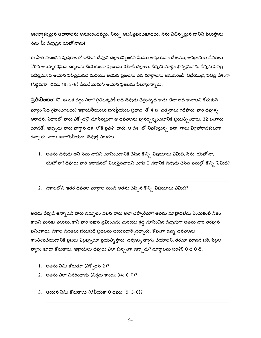అసహ్యకరమైన ఆచారాలను అనుసరించవద్దు. నిన్ను అపవిత్రపరచకూడదు. సేను విభిన్నమైన దానిని పిలుస్తాను! సేను మీ దేవుడైన యెహోవాను!

ఈ పాత నిబంధన పుస్తకాలలో ఇచ్చిన దేవుని చట్టాలన్నింటినీ మేము అధ్యయనం చేశాము, అన్యజనుల దేవతలు కోరిన అసహ్యకరమైన చర్యలను చేయకుండా ప్రజలను రక్షించే చట్టాలు. దేవుని మార్గం భిన్నమైనది. దేవుని పవిత్ర పవిత్రమైనది ఆయన పవిత్రమైనది మరియు ఆయన ప్రజలను తన మార్గాలను అనుసరించి, విధేయుడై, పవిత్ర దేశంగా (నిర్గమకా డము 19: 5-6) వేరుచేయమని ఆయన ప్రజలను పిలుస్తున్నాడు.

**ప్రతిబింబం:** నో, ఈ ఒక జీర్ణం ఎలా? ప్రతిఒక్కరికీ అది దేవుడు చేస్తున్నది కాదు లేదా అది కావాలని కోరుకునే మార్గం ఏది గ్రహించగలదు? ఇశ్రాయేలీయులు ఐగుప్తీయుల ప్రభావ ్తో 4 సౌవత్సరాలు గడిపారు, వారి దేవుళ్ళ ఆరాధన. ఎడారిలో వారు ఎక్పోడన్లో చూసినట్లుగా ఆ దేవతలను పునర్పిర్మించటానికి ప్రయత్నించారు. 32 బంగారు దూడతో. ఇప్పుడు వారు వాగ్దాన దేశ లోకి ప్రవేశి చారు, ఆ దేశ లో నివసిస్తున్న జనా గాలు విగ్రహారాధకులుగా ఉన్నారు. వారు ఇశ్రాయేలీయుల దేవుణ్ణి ఎరుగరు.

- 1. అతను దేవుడు అని సేను వాటిని చూపించడానికి చేసిన కొన్ని విషయాలు ఏమిటి, సేను, యెహోవా, యెహోవా? దేవుడు వారి ఆరాధనలో విలువైనవాడని చూపి 0 చడానికి దేవుడు చేసిన పనుల్లో కొన్ని ఏమిటి?
- $2.$  దేశాలలోని ఇతర దేవతల మార్గాల నుండి అతను చెప్పిన కొన్ని విషయాలు ఏమిటి? \_\_\_\_\_\_\_\_\_\_\_\_

అతడు దేవుడే ఉన్నాడని వారు నమ్మటం వలన వారు అలా చెప్పారేమో? అతను మాట్లాడలేదు ఎందుకంటే నిజం కాదని మనకు తెలుసు, కానీ వారి పక్షాన ప్రేమించడం మరియు శ్రద్ధ చూపించిన దేవుడుగా అతను వారి తరఫున పనిచేశాడు. దేశాల దేవతలు భయపడి ప్రజలను భయపడాల్సివచ్చారు. కోపంగా ఉన్న దేవతలను శాంతింపచేయడానికి ప్రజలు ఎల్లప్పుడూ ప్రయత్నిస్తారు. దేవుళ్ళు త్యాగం చేయాలని, తరచూ మానవ బలి, పిల్లల త్యాగం కూడా కోరుతారు. ఇశ్రాయేలు దేవుడు ఎలా భిన్నంగా ఉన్నాడు? మార్గాలను పరిశీలి 0 చ 0 డి.

- 
- 
-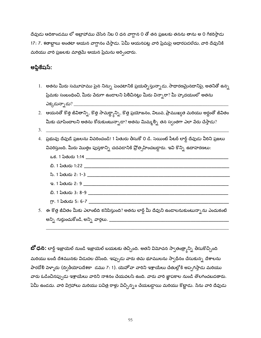దేవుడు ఆదికాండము లో అబ్రాహాము చేసిన నిబ 0 ధన వాగ్దాన 0 తో తన ప్రజలకు తనను తాను అ 0 గీకరిస్తాడు 17: 7. శతాబ్దాలు అంతటా ఆయన వాగ్దానం చేస్తాడు. ఏమీ ఆయనపట్ల వారి ప్రేమపై ఆధారపడలేదు, వారి దేవునికి మరియు వారి ప్రజలకు మాత్రమే ఆయన ప్రేమను అర్పించారు.

#### అప్లికేషస్:

- $1.$  అతను మీరు సమూహము పైన నిన్ను పెంచటానికి ప్రయత్నిస్తున్నాడు, సాధారణమైనదానిపై, అతనితో ఉన్న ప్రేమకు సంబంధించి, మీరు వేరుగా ఉండాలని పిలిచినట్లు మీరు విన్సారా? మీ హృదయంలో అతను ఎక్కడున్నాడు? \_\_\_\_\_
- 2. ఆయనతో కొత్త జీవితాన్ని, కొత్త సామర్థ్యాన్ని, కొత్త ప్రయోజనం, విలువ, ప్రాముఖ్యత మరియు అర్ధంతో జీవితం మీకు చూపించాలని అతను కోరుకుంటున్నాడా? అతను మిమ్మల్ని తన స్వంతగా ఎలా వేరు చేస్తాడు?
- 
- 4. ప్రభువు దేవుడే ప్రజలను వివరించండి! 1 పేతురు తీసుకో 0 డి. సెయింట్ పీటర్ లార్డ్ దేవుడు వీరిని ప్రజలు వివరిస్తుంది. మీరు మొత్తం పుస్తకాన్ని చదవడానికి ప్రోత్సహించబడ్డారు. ఇవి కొన్ని ఉదాహరణలు: <u>చి. 1 పేతురు 1:22 సంగతి</u> జగన్ కార్డులు ఉంది. సంగతి సంగతి సంగతి సంగతి సంగతి సంగతి సంగతి సంగతి సంగతి సంగతి సంగతి స సి. 1 పేతురు 2: 1-3 కార్లు కార్లు కార్లు కార్లు కార్లు కార్లు కార్లు కార్లు కార్లు కార్లు కార్లు కార్లు కార్లు  $\infty$ . 1 పేతురు 2: 9  $\infty$  . All  $\infty$  and  $\infty$  and  $\infty$  and  $\infty$  . The  $\infty$ 5. ఈ కొత్త జీవితం మీకు ఎలాంటిది కనిపిస్తుంది? అతను లార్డ్ మీ దేవుని ఉండాలనుకుంటున్నాను ఎందుకంటే

**బో ధన:** లార్డ్ ఇజ్రాయెల్ నుండి ఇజ్రాయెల్ బయటకు తెచ్చింది. అతని విమోచన స్వాతంత్ర్యాన్ని తీసుకొచ్చింది మరియు టందీ దేశమునకు విడుదల చేసింది. ఇప్పుడు వారు తమ భూములను స్వాధీనం చేసుకున్న<sub>.</sub> దేశాలను పారదోలి పెళ్ళారు (ద్వితీయోపదేశకా డము 7: 1). యెహోవా వారిని ఇశ్రాయేలు చేతుల్లోకి అప్పగిస్తాడు మరియు వారు ఓడించినప్పుడు ఇశ్రాయేలు వారిని నాశనం చేయవలసి ఉంది. వారు వారి జ్ఞాపకాల నుండి తొలగించబడతారు. ఏమీ ఉండదు. వారి విగ్రహాలు మరియు పవిత్ర రాళ్లు విచ్చిన్నం చేయబడ్డాయి మరియు కొట్టాడు. సేను వారి దేవుడు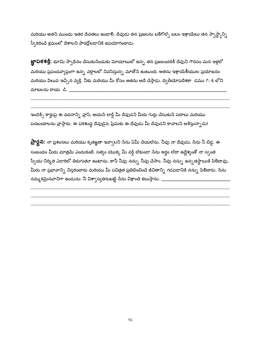మరియు అతని ముందు ఇతర దేవతలు ఉండాలి. దేవుడు తన ప్రజలను బలిగొల్సే బలం ఇశ్రాయేలు తన స్వాస్థ్వాన్ని స్వీకరించే క్రమంలో దేశాలని పారద్రోలడానికి ఉపయోగించాడు.

**జ్ఞాపకశక్తి:** భూమి స్వాధీనం చేసుకుసేందుకు మోయాబులో ఉన్న తన ప్రజలందరికీ దేవుని గౌరవం మన ఇళ్లలో మరియు ప్రపంచవ్యాప్తంగా ఉన్న వర్గాలలో నివసిస్తున్న మాతోనే ఉంటుంది. అతను ఇశ్రాయేలీయుల ప్రయోజనం మరియు విలువ ఇచ్చిన వ్యక్తి. నీకు మరియు మీ కోసం అతను అదే చేస్తాడు. ద్వితీయోపదేశకా డము 7: 6 లోని మాటలను రాయ డి. \_\_\_

ఇండెక్స్ కార్డుపై ఈ వచనాన్ని *వ్రాసి*, ఆయనే లార్డ్ మీ దేవుడని మీరు గుర్తు చేసుకునే పదాలు మరియు పదబంధాలను వ్రాస్తారు. ఈ పరిశుద్ధ దేవుడైన, ప్రేమకు ఈ దేవుడు మీ దేవుడని కావాలని ఆశిస్తున్నాడు!

**ప్రార్థన:** నా ప్రశంసలు మరియు కృతఙ్ఞతా ఇవ్వాలని సేను ఏమీ చేయలేను. నీవు నా దేవుడు, సేను నీ బిడ్డ. ఈ సంబంధం మీరు మాత్రమే ఎందుకంటే. సత్యం యొక్క మీ వర్డ్ లేకుండా సేను అర్థం లేదా ఉద్దేశ్యంతో నా స్వంత స్వీయ-నిర్మిత ఎడారిలో తిరుగుతూ ఉంటాను. కానీ నీవు నన్ను నీవు చేసాం. నీవు నన్ను ఉన్నతస్థాయికి పి<mark>లి</mark>దావు. మీరు నా ప్రభావాన్ని విస్తరించారు మరియు మీ పవిత్రత ప్రతిబింబించే జీవితాన్ని గడపడానికి నన్ను పి<mark>లి</mark>దారు. సేను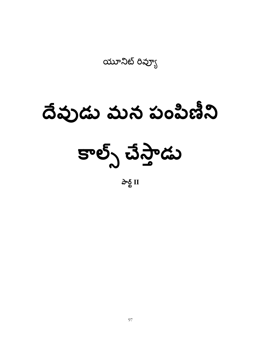యూనిట్ రివ్యూ

# దేవుడు మన పంపిణీని

కాల్స్ చేస్తాడు

పార్ట్  $II$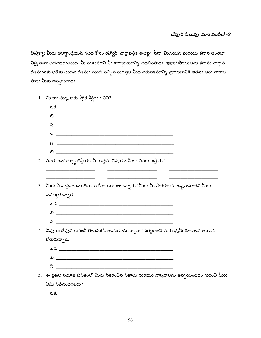**రివ్యూ:** మీరు అలెగ్జాండ్రియన్ గజెట్ కోసం రివోర్టర్. వార్తాపత్రిక ఈజిప్టు, సీనా, మిడియన్ మరియు కనాన్ అంతటా విస్తృతంగా చదవబడుతుంది. మీ యజమాని మీ కార్యాలయాన్ని వదిలిపేసాడు. ఇశ్రాయేలీయులను కనాను వాగ్దాన దేశమునకు ఫరోకు చెందిన దేశము నుండి వచ్చిన యాత్రల మీద వరుసక్రమాన్ని *వ్రాయ*టానికి అతను ఆరు వారాల పాటు మీకు అప్పగించాడు.

| 1. మీ కాలమ్కు ఆరు శీర్షిక శీర్షికలు ఏవి?                                                  |  |
|-------------------------------------------------------------------------------------------|--|
|                                                                                           |  |
|                                                                                           |  |
|                                                                                           |  |
|                                                                                           |  |
|                                                                                           |  |
|                                                                                           |  |
| 2.   ఎవరు ఇంటర్వ్యూ చేస్తారు? మీ ఉత్తమ విషయం మీకు ఎవరు ఇస్తారు?                           |  |
|                                                                                           |  |
| $3.$ ఏురు ఏ వాస్తవాలను తెలుసుకోవాలనుకుంటున్నారు? మీరు మీ పాఠకులను ఇష్టపడతారని మీరు        |  |
| నమ్ముతున్నారు?                                                                            |  |
|                                                                                           |  |
|                                                                                           |  |
|                                                                                           |  |
| 4.   నీవు ఈ దేవుని గురించి తెలుసుకోవాలనుకుంటున్నావా? సత్యం అని మీరు ధృవీకరించాలని ఆయన     |  |
| కోరుకున్నారు                                                                              |  |
|                                                                                           |  |
|                                                                                           |  |
|                                                                                           |  |
| 5.   ఈ ప్రజల సమాజ జీవితంలో మీరు సేకరించిన నిజాలు మరియు వాస్తవాలను అన్వయించడం గురించి మీరు |  |
| ఏమి నిపేదించగలరు?                                                                         |  |

ఒక. \_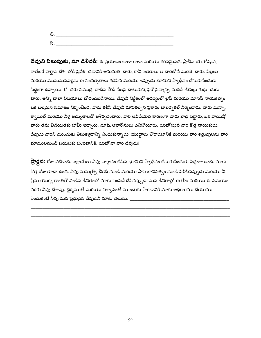| ಿ<br>$\sim$ |  |
|-------------|--|

దేవుని పిలుపుకు, మా డెలివరీ: ఈ ప్రయాణం చాలా కాలం మరియు కఠినమైనది. ప్రాచీన యెహోషువ, కాలేటరే వాగ్దాన దేశ లోకి ప్రవేశి చడానికి అనుమతి చారు, కానీ ఇతరులు ఆ దారిలోనే మరణి చారు. పిల్లలు మరియు మునుమనవళ్లను ఈ సంవత్సరాలు గడిపిన మరియు ఇప్పుడు భూమిని స్వాధీనం చేసుకునేందుకు సిద్ధంగా ఉన్నాయి. కొ దరు సముద్ర దాటిన వొడి సేలపై దాటుకుని, ఫరో సైన్యాన్ని మరణి చినట్లు గుర్తు చుకు టారు. అన్ని చాలా విషయాలు బోధించబడినాయి. దేవుని నిర్దేశంలో అరణ్యంలో లైఫ్ మరియు మోసెస్ నాయకత్వం ఒక బలమైన సమాజం నిర్మించింది. వారు కలిసి దేవుని రూపకల్పన ప్రకారం టాబర్సి కల్ నిర్మించారు. వారు మన్నా, క్వాయిల్ మరియు నీళ్ల అద్భుతాలతో ఆశీర్వదించారు. వారి అవిధేయత కారణంగా వారు బాధ పడ్డారు, ఒక వాయిస్తో వారు తమ విధేయతకు హామీ ఇచ్చారు. మోషే, అహరోనులు చనిపోయారు. యెహోషువ వారి కొత్త నాయకుడు. దేవుడు వారిని ముందుకు తీసుకెళ్లడాన్ని ఎంచుకున్నాడు, యుద్ధాలు పోరాడటానికి మరియు వారి శత్రువులను వారి భూములనుండి బయటకు పంపటానికి. యెహోవా వారి దేవుడు!

**ప్రార్థన:** రోజు వచ్చింది. ఇశ్రాయేలు నీవు వాగ్దానం చేసిన భూమిని స్వాధీనం చేసుకునేందుకు సిద్ధంగా ఉంది. మాకు కొత్త రోజు కూడా ఉంది. నీవు మమ్మల్ని చీకటి నుండి మరియు పాప బానిసత్వం నుండి పిలిచినప్పుడు మరియు నీ ప్రేమ యొక్క కాంతితో నిండిన జీవితంలో మాకు పంపిణీ చేసినప్పుడు మన జీవితాల్లో ఈ రోజు మరియు ఈ సమయం వరకు నీవు చేశావు. దైర్యముతో మరియు విశ్వాసంతో ముందుకు సాగడానికి మాకు అధికారము చేయుము ఎందుకంటే నీవు మన ప్రభువైన దేవుడని మాకు తెలుసు. \_\_\_\_\_\_\_\_\_\_\_\_